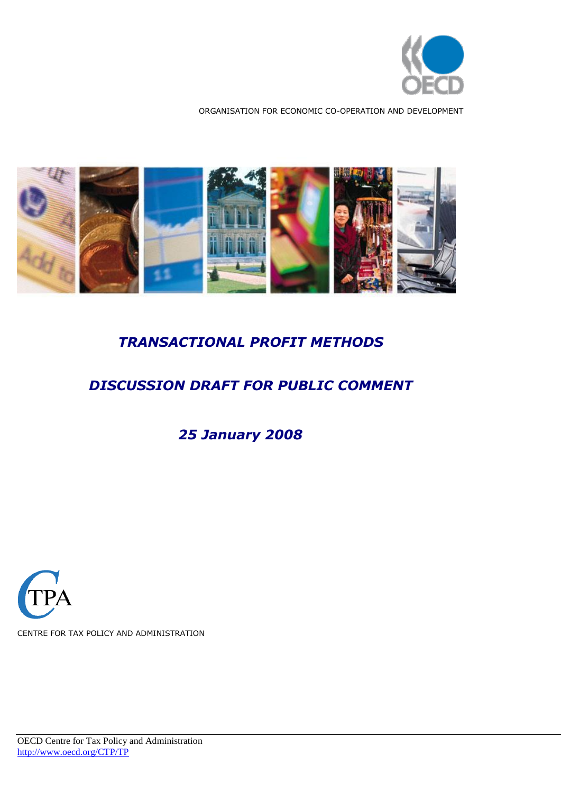

ORGANISATION FOR ECONOMIC CO-OPERATION AND DEVELOPMENT



# *TRANSACTIONAL PROFIT METHODS*

# *DISCUSSION DRAFT FOR PUBLIC COMMENT*

*25 January 2008*



CENTRE FOR TAX POLICY AND ADMINISTRATION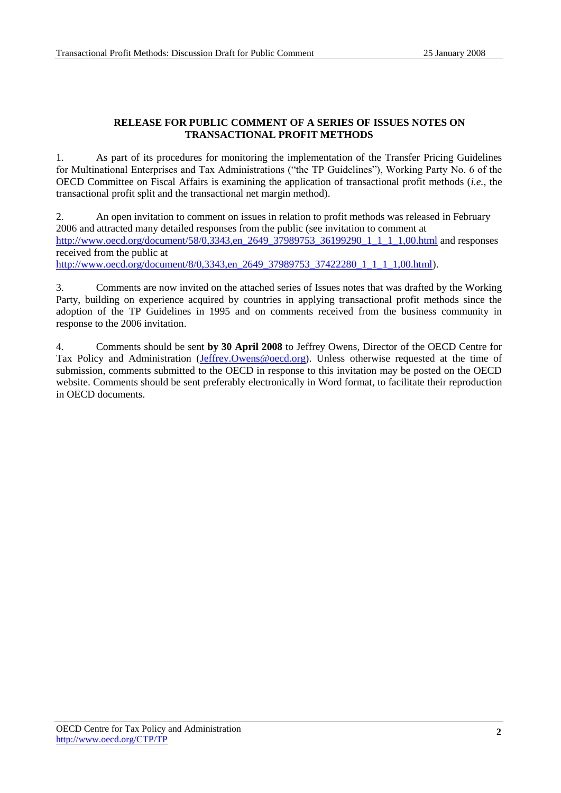# **RELEASE FOR PUBLIC COMMENT OF A SERIES OF ISSUES NOTES ON TRANSACTIONAL PROFIT METHODS**

1. As part of its procedures for monitoring the implementation of the Transfer Pricing Guidelines for Multinational Enterprises and Tax Administrations ("the TP Guidelines"), Working Party No. 6 of the OECD Committee on Fiscal Affairs is examining the application of transactional profit methods (*i.e.*, the transactional profit split and the transactional net margin method).

2. An open invitation to comment on issues in relation to profit methods was released in February 2006 and attracted many detailed responses from the public (see invitation to comment at [http://www.oecd.org/document/58/0,3343,en\\_2649\\_37989753\\_36199290\\_1\\_1\\_1\\_1,00.html](http://www.oecd.org/document/58/0,3343,en_2649_37989753_36199290_1_1_1_1,00.html) and responses received from the public at http://www.oecd.org/document/8/0,3343.en\_2649\_37989753\_37422280\_1\_1\_1\_1,00.html).

3. Comments are now invited on the attached series of Issues notes that was drafted by the Working Party, building on experience acquired by countries in applying transactional profit methods since the adoption of the TP Guidelines in 1995 and on comments received from the business community in response to the 2006 invitation.

4. Comments should be sent **by 30 April 2008** to Jeffrey Owens, Director of the OECD Centre for Tax Policy and Administration [\(Jeffrey.Owens@oecd.org\)](mailto:Jeffrey.Owens@oecd.org). Unless otherwise requested at the time of submission, comments submitted to the OECD in response to this invitation may be posted on the OECD website. Comments should be sent preferably electronically in Word format, to facilitate their reproduction in OECD documents.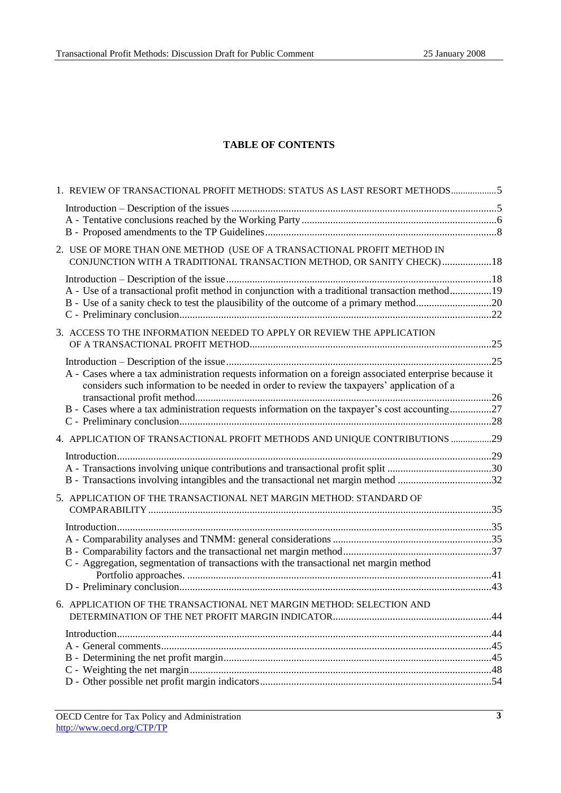## **TABLE OF CONTENTS**

| 1. REVIEW OF TRANSACTIONAL PROFIT METHODS: STATUS AS LAST RESORT METHODS5                               |  |
|---------------------------------------------------------------------------------------------------------|--|
|                                                                                                         |  |
|                                                                                                         |  |
|                                                                                                         |  |
| 2. USE OF MORE THAN ONE METHOD (USE OF A TRANSACTIONAL PROFIT METHOD IN                                 |  |
| CONJUNCTION WITH A TRADITIONAL TRANSACTION METHOD, OR SANITY CHECK)18                                   |  |
|                                                                                                         |  |
| A - Use of a transactional profit method in conjunction with a traditional transaction method19         |  |
|                                                                                                         |  |
|                                                                                                         |  |
| 3. ACCESS TO THE INFORMATION NEEDED TO APPLY OR REVIEW THE APPLICATION                                  |  |
|                                                                                                         |  |
| A - Cases where a tax administration requests information on a foreign associated enterprise because it |  |
| considers such information to be needed in order to review the taxpayers' application of a              |  |
|                                                                                                         |  |
| B - Cases where a tax administration requests information on the taxpayer's cost accounting27           |  |
|                                                                                                         |  |
| 4. APPLICATION OF TRANSACTIONAL PROFIT METHODS AND UNIQUE CONTRIBUTIONS 29                              |  |
|                                                                                                         |  |
|                                                                                                         |  |
| B - Transactions involving intangibles and the transactional net margin method 32                       |  |
| 5. APPLICATION OF THE TRANSACTIONAL NET MARGIN METHOD: STANDARD OF                                      |  |
|                                                                                                         |  |
|                                                                                                         |  |
|                                                                                                         |  |
|                                                                                                         |  |
| C - Aggregation, segmentation of transactions with the transactional net margin method                  |  |
|                                                                                                         |  |
|                                                                                                         |  |
| 6. APPLICATION OF THE TRANSACTIONAL NET MARGIN METHOD: SELECTION AND                                    |  |
|                                                                                                         |  |
|                                                                                                         |  |
|                                                                                                         |  |
|                                                                                                         |  |
|                                                                                                         |  |
|                                                                                                         |  |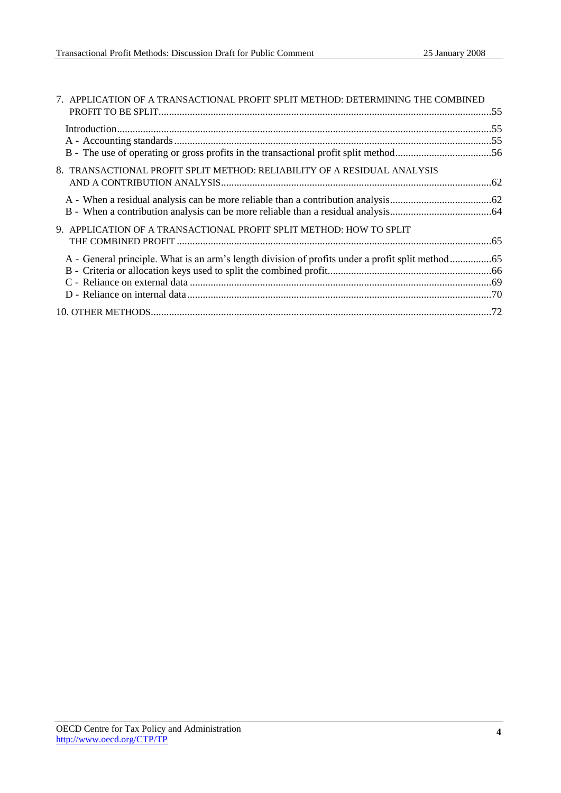| 7. APPLICATION OF A TRANSACTIONAL PROFIT SPLIT METHOD: DETERMINING THE COMBINED |  |
|---------------------------------------------------------------------------------|--|
|                                                                                 |  |
|                                                                                 |  |
|                                                                                 |  |
|                                                                                 |  |
| 8. TRANSACTIONAL PROFIT SPLIT METHOD: RELIABILITY OF A RESIDUAL ANALYSIS        |  |
|                                                                                 |  |
|                                                                                 |  |
|                                                                                 |  |
| 9. APPLICATION OF A TRANSACTIONAL PROFIT SPLIT METHOD: HOW TO SPLIT             |  |
|                                                                                 |  |
|                                                                                 |  |
|                                                                                 |  |
|                                                                                 |  |
|                                                                                 |  |
|                                                                                 |  |
|                                                                                 |  |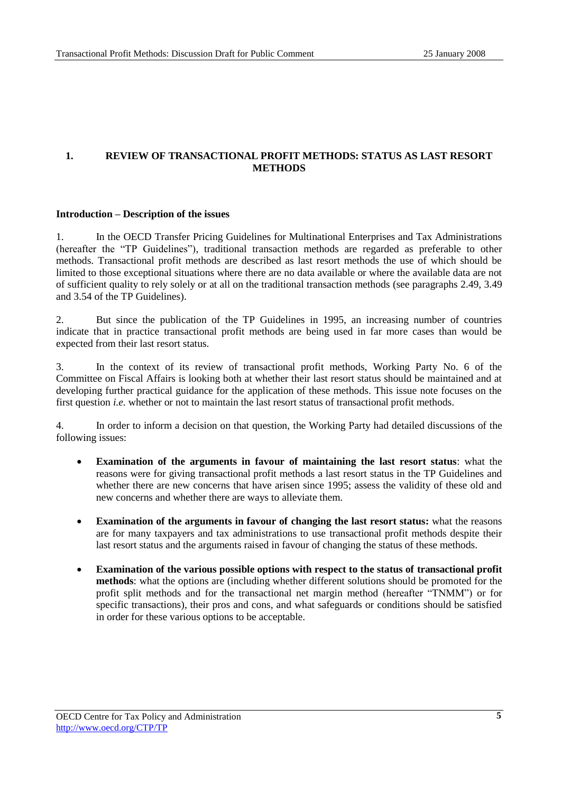## **1. REVIEW OF TRANSACTIONAL PROFIT METHODS: STATUS AS LAST RESORT METHODS**

#### **Introduction – Description of the issues**

1. In the OECD Transfer Pricing Guidelines for Multinational Enterprises and Tax Administrations (hereafter the "TP Guidelines"), traditional transaction methods are regarded as preferable to other methods. Transactional profit methods are described as last resort methods the use of which should be limited to those exceptional situations where there are no data available or where the available data are not of sufficient quality to rely solely or at all on the traditional transaction methods (see paragraphs 2.49, 3.49 and 3.54 of the TP Guidelines).

2. But since the publication of the TP Guidelines in 1995, an increasing number of countries indicate that in practice transactional profit methods are being used in far more cases than would be expected from their last resort status.

3. In the context of its review of transactional profit methods, Working Party No. 6 of the Committee on Fiscal Affairs is looking both at whether their last resort status should be maintained and at developing further practical guidance for the application of these methods. This issue note focuses on the first question *i.e.* whether or not to maintain the last resort status of transactional profit methods.

4. In order to inform a decision on that question, the Working Party had detailed discussions of the following issues:

- **Examination of the arguments in favour of maintaining the last resort status**: what the reasons were for giving transactional profit methods a last resort status in the TP Guidelines and whether there are new concerns that have arisen since 1995; assess the validity of these old and new concerns and whether there are ways to alleviate them.
- **Examination of the arguments in favour of changing the last resort status:** what the reasons are for many taxpayers and tax administrations to use transactional profit methods despite their last resort status and the arguments raised in favour of changing the status of these methods.
- **Examination of the various possible options with respect to the status of transactional profit methods**: what the options are (including whether different solutions should be promoted for the profit split methods and for the transactional net margin method (hereafter "TNMM") or for specific transactions), their pros and cons, and what safeguards or conditions should be satisfied in order for these various options to be acceptable.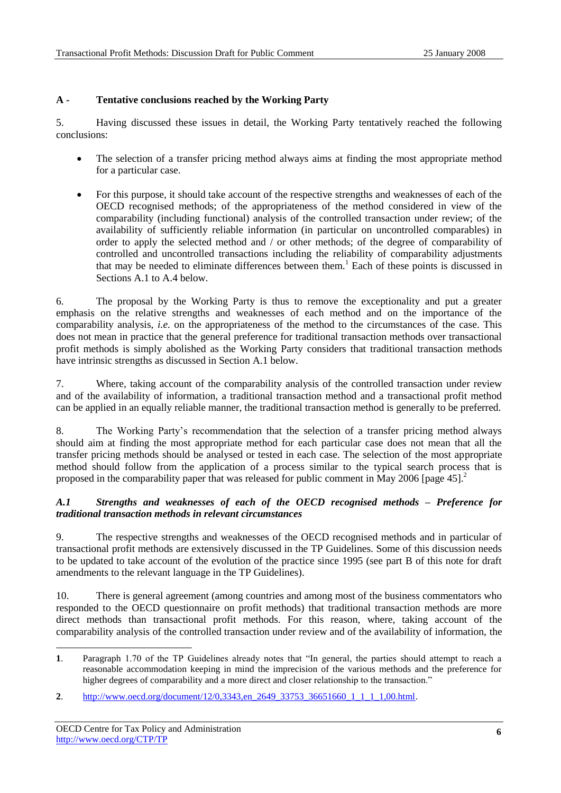# **A - Tentative conclusions reached by the Working Party**

5. Having discussed these issues in detail, the Working Party tentatively reached the following conclusions:

- The selection of a transfer pricing method always aims at finding the most appropriate method for a particular case.
- For this purpose, it should take account of the respective strengths and weaknesses of each of the OECD recognised methods; of the appropriateness of the method considered in view of the comparability (including functional) analysis of the controlled transaction under review; of the availability of sufficiently reliable information (in particular on uncontrolled comparables) in order to apply the selected method and / or other methods; of the degree of comparability of controlled and uncontrolled transactions including the reliability of comparability adjustments that may be needed to eliminate differences between them. <sup>1</sup> Each of these points is discussed in Sections A.1 to A.4 below.

6. The proposal by the Working Party is thus to remove the exceptionality and put a greater emphasis on the relative strengths and weaknesses of each method and on the importance of the comparability analysis, *i.e.* on the appropriateness of the method to the circumstances of the case. This does not mean in practice that the general preference for traditional transaction methods over transactional profit methods is simply abolished as the Working Party considers that traditional transaction methods have intrinsic strengths as discussed in Section A.1 below.

7. Where, taking account of the comparability analysis of the controlled transaction under review and of the availability of information, a traditional transaction method and a transactional profit method can be applied in an equally reliable manner, the traditional transaction method is generally to be preferred.

8. The Working Party's recommendation that the selection of a transfer pricing method always should aim at finding the most appropriate method for each particular case does not mean that all the transfer pricing methods should be analysed or tested in each case. The selection of the most appropriate method should follow from the application of a process similar to the typical search process that is proposed in the comparability paper that was released for public comment in May 2006 [page 45]. $^2$ 

## *A.1 Strengths and weaknesses of each of the OECD recognised methods – Preference for traditional transaction methods in relevant circumstances*

9. The respective strengths and weaknesses of the OECD recognised methods and in particular of transactional profit methods are extensively discussed in the TP Guidelines. Some of this discussion needs to be updated to take account of the evolution of the practice since 1995 (see part B of this note for draft amendments to the relevant language in the TP Guidelines).

10. There is general agreement (among countries and among most of the business commentators who responded to the OECD questionnaire on profit methods) that traditional transaction methods are more direct methods than transactional profit methods. For this reason, where, taking account of the comparability analysis of the controlled transaction under review and of the availability of information, the

 $\overline{a}$ **1**. Paragraph 1.70 of the TP Guidelines already notes that "In general, the parties should attempt to reach a reasonable accommodation keeping in mind the imprecision of the various methods and the preference for higher degrees of comparability and a more direct and closer relationship to the transaction."

**<sup>2</sup>**. [http://www.oecd.org/document/12/0,3343,en\\_2649\\_33753\\_36651660\\_1\\_1\\_1\\_1,00.html.](http://www.oecd.org/document/12/0,3343,en_2649_33753_36651660_1_1_1_1,00.html)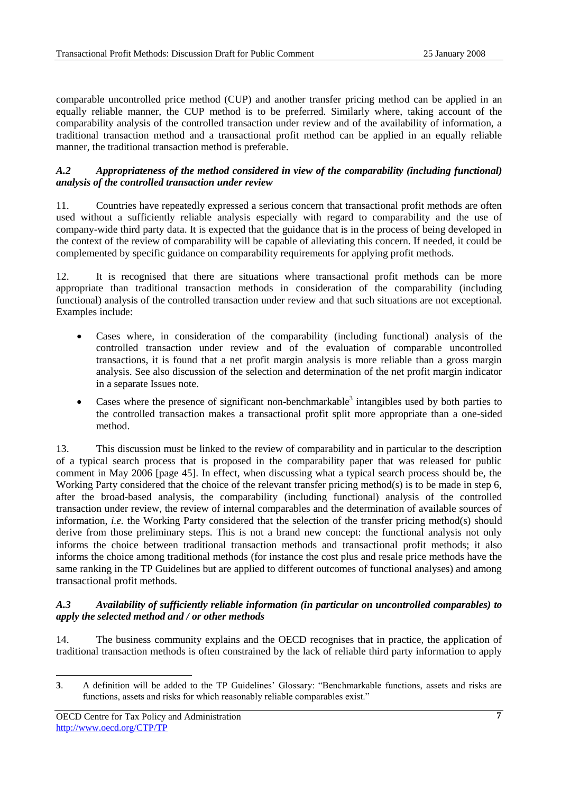comparable uncontrolled price method (CUP) and another transfer pricing method can be applied in an equally reliable manner, the CUP method is to be preferred. Similarly where, taking account of the comparability analysis of the controlled transaction under review and of the availability of information, a traditional transaction method and a transactional profit method can be applied in an equally reliable manner, the traditional transaction method is preferable.

## *A.2 Appropriateness of the method considered in view of the comparability (including functional) analysis of the controlled transaction under review*

11. Countries have repeatedly expressed a serious concern that transactional profit methods are often used without a sufficiently reliable analysis especially with regard to comparability and the use of company-wide third party data. It is expected that the guidance that is in the process of being developed in the context of the review of comparability will be capable of alleviating this concern. If needed, it could be complemented by specific guidance on comparability requirements for applying profit methods.

12. It is recognised that there are situations where transactional profit methods can be more appropriate than traditional transaction methods in consideration of the comparability (including functional) analysis of the controlled transaction under review and that such situations are not exceptional. Examples include:

- Cases where, in consideration of the comparability (including functional) analysis of the controlled transaction under review and of the evaluation of comparable uncontrolled transactions, it is found that a net profit margin analysis is more reliable than a gross margin analysis. See also discussion of the selection and determination of the net profit margin indicator in a separate Issues note.
- Cases where the presence of significant non-benchmarkable<sup>3</sup> intangibles used by both parties to the controlled transaction makes a transactional profit split more appropriate than a one-sided method.

13. This discussion must be linked to the review of comparability and in particular to the description of a typical search process that is proposed in the comparability paper that was released for public comment in May 2006 [page 45]. In effect, when discussing what a typical search process should be, the Working Party considered that the choice of the relevant transfer pricing method(s) is to be made in step 6, after the broad-based analysis, the comparability (including functional) analysis of the controlled transaction under review, the review of internal comparables and the determination of available sources of information, *i.e.* the Working Party considered that the selection of the transfer pricing method(s) should derive from those preliminary steps. This is not a brand new concept: the functional analysis not only informs the choice between traditional transaction methods and transactional profit methods; it also informs the choice among traditional methods (for instance the cost plus and resale price methods have the same ranking in the TP Guidelines but are applied to different outcomes of functional analyses) and among transactional profit methods.

## *A.3 Availability of sufficiently reliable information (in particular on uncontrolled comparables) to apply the selected method and / or other methods*

14. The business community explains and the OECD recognises that in practice, the application of traditional transaction methods is often constrained by the lack of reliable third party information to apply

l **3**. A definition will be added to the TP Guidelines' Glossary: "Benchmarkable functions, assets and risks are functions, assets and risks for which reasonably reliable comparables exist."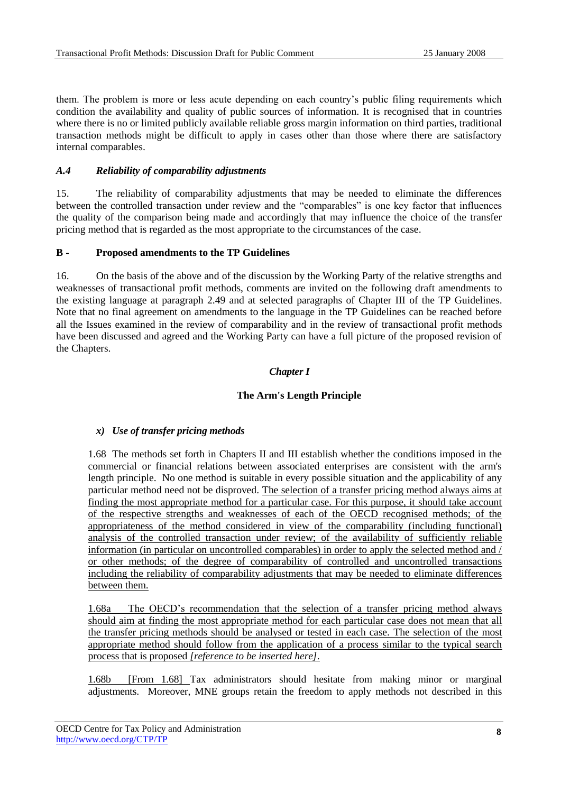them. The problem is more or less acute depending on each country's public filing requirements which condition the availability and quality of public sources of information. It is recognised that in countries where there is no or limited publicly available reliable gross margin information on third parties, traditional transaction methods might be difficult to apply in cases other than those where there are satisfactory internal comparables.

# *A.4 Reliability of comparability adjustments*

15. The reliability of comparability adjustments that may be needed to eliminate the differences between the controlled transaction under review and the "comparables" is one key factor that influences the quality of the comparison being made and accordingly that may influence the choice of the transfer pricing method that is regarded as the most appropriate to the circumstances of the case.

# **B - Proposed amendments to the TP Guidelines**

16. On the basis of the above and of the discussion by the Working Party of the relative strengths and weaknesses of transactional profit methods, comments are invited on the following draft amendments to the existing language at paragraph 2.49 and at selected paragraphs of Chapter III of the TP Guidelines. Note that no final agreement on amendments to the language in the TP Guidelines can be reached before all the Issues examined in the review of comparability and in the review of transactional profit methods have been discussed and agreed and the Working Party can have a full picture of the proposed revision of the Chapters.

# *Chapter I*

# **The Arm's Length Principle**

## *x) Use of transfer pricing methods*

1.68 The methods set forth in Chapters II and III establish whether the conditions imposed in the commercial or financial relations between associated enterprises are consistent with the arm's length principle. No one method is suitable in every possible situation and the applicability of any particular method need not be disproved. The selection of a transfer pricing method always aims at finding the most appropriate method for a particular case. For this purpose, it should take account of the respective strengths and weaknesses of each of the OECD recognised methods; of the appropriateness of the method considered in view of the comparability (including functional) analysis of the controlled transaction under review; of the availability of sufficiently reliable information (in particular on uncontrolled comparables) in order to apply the selected method and / or other methods; of the degree of comparability of controlled and uncontrolled transactions including the reliability of comparability adjustments that may be needed to eliminate differences between them.

1.68a The OECD's recommendation that the selection of a transfer pricing method always should aim at finding the most appropriate method for each particular case does not mean that all the transfer pricing methods should be analysed or tested in each case. The selection of the most appropriate method should follow from the application of a process similar to the typical search process that is proposed *[reference to be inserted here]*.

1.68b [From 1.68] Tax administrators should hesitate from making minor or marginal adjustments. Moreover, MNE groups retain the freedom to apply methods not described in this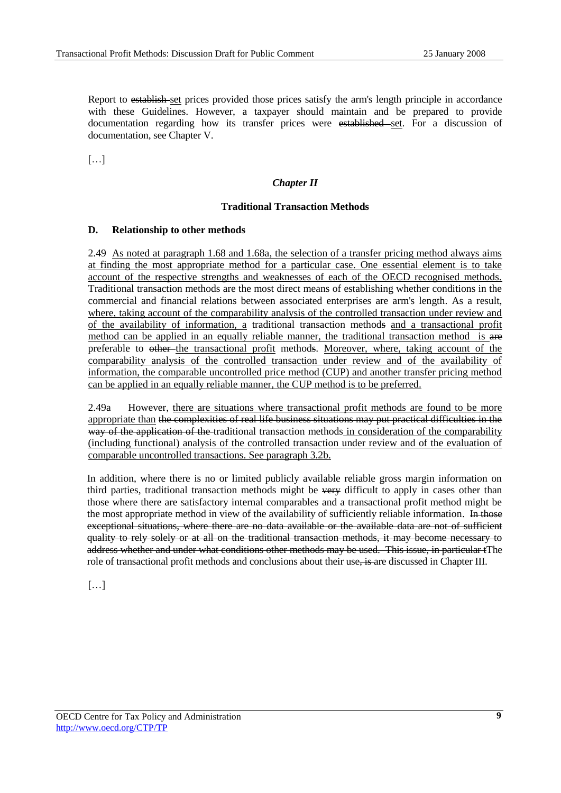Report to establish set prices provided those prices satisfy the arm's length principle in accordance with these Guidelines. However, a taxpayer should maintain and be prepared to provide documentation regarding how its transfer prices were established set. For a discussion of documentation, see Chapter V.

[…]

# *Chapter II*

## **Traditional Transaction Methods**

## **D. Relationship to other methods**

2.49 As noted at paragraph 1.68 and 1.68a, the selection of a transfer pricing method always aims at finding the most appropriate method for a particular case. One essential element is to take account of the respective strengths and weaknesses of each of the OECD recognised methods. Traditional transaction methods are the most direct means of establishing whether conditions in the commercial and financial relations between associated enterprises are arm's length. As a result, where, taking account of the comparability analysis of the controlled transaction under review and of the availability of information, a traditional transaction methods and a transactional profit method can be applied in an equally reliable manner, the traditional transaction method is are preferable to other the transactional profit methods. Moreover, where, taking account of the comparability analysis of the controlled transaction under review and of the availability of information, the comparable uncontrolled price method (CUP) and another transfer pricing method can be applied in an equally reliable manner, the CUP method is to be preferred.

2.49a However, there are situations where transactional profit methods are found to be more appropriate than the complexities of real life business situations may put practical difficulties in the way of the application of the traditional transaction methods in consideration of the comparability (including functional) analysis of the controlled transaction under review and of the evaluation of comparable uncontrolled transactions. See paragraph 3.2b.

In addition, where there is no or limited publicly available reliable gross margin information on third parties, traditional transaction methods might be very difficult to apply in cases other than those where there are satisfactory internal comparables and a transactional profit method might be the most appropriate method in view of the availability of sufficiently reliable information. In those exceptional situations, where there are no data available or the available data are not of sufficient quality to rely solely or at all on the traditional transaction methods, it may become necessary to address whether and under what conditions other methods may be used. This issue, in particular tThe role of transactional profit methods and conclusions about their use, is are discussed in Chapter III.

[…]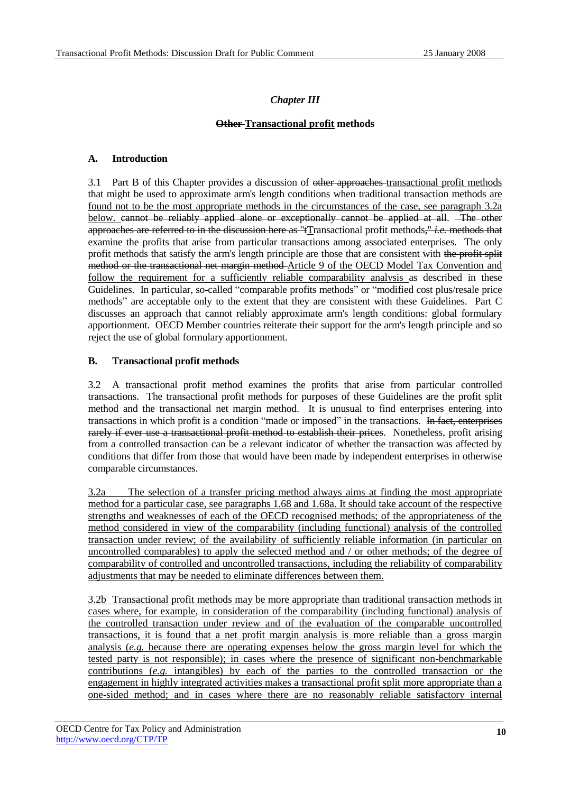# *Chapter III*

## **Other Transactional profit methods**

## **A. Introduction**

3.1 Part B of this Chapter provides a discussion of other approaches transactional profit methods that might be used to approximate arm's length conditions when traditional transaction methods are found not to be the most appropriate methods in the circumstances of the case, see paragraph 3.2a below. cannot be reliably applied alone or exceptionally cannot be applied at all. The other approaches are referred to in the discussion here as "tTransactional profit methods," *i.e.* methods that examine the profits that arise from particular transactions among associated enterprises. The only profit methods that satisfy the arm's length principle are those that are consistent with the profit split method or the transactional net margin method Article 9 of the OECD Model Tax Convention and follow the requirement for a sufficiently reliable comparability analysis as described in these Guidelines. In particular, so-called "comparable profits methods" or "modified cost plus/resale price methods" are acceptable only to the extent that they are consistent with these Guidelines. Part C discusses an approach that cannot reliably approximate arm's length conditions: global formulary apportionment. OECD Member countries reiterate their support for the arm's length principle and so reject the use of global formulary apportionment.

# **B. Transactional profit methods**

3.2 A transactional profit method examines the profits that arise from particular controlled transactions. The transactional profit methods for purposes of these Guidelines are the profit split method and the transactional net margin method. It is unusual to find enterprises entering into transactions in which profit is a condition "made or imposed" in the transactions. In fact, enterprises rarely if ever use a transactional profit method to establish their prices. Nonetheless, profit arising from a controlled transaction can be a relevant indicator of whether the transaction was affected by conditions that differ from those that would have been made by independent enterprises in otherwise comparable circumstances.

3.2a The selection of a transfer pricing method always aims at finding the most appropriate method for a particular case, see paragraphs 1.68 and 1.68a. It should take account of the respective strengths and weaknesses of each of the OECD recognised methods; of the appropriateness of the method considered in view of the comparability (including functional) analysis of the controlled transaction under review; of the availability of sufficiently reliable information (in particular on uncontrolled comparables) to apply the selected method and / or other methods; of the degree of comparability of controlled and uncontrolled transactions, including the reliability of comparability adjustments that may be needed to eliminate differences between them.

3.2b Transactional profit methods may be more appropriate than traditional transaction methods in cases where, for example, in consideration of the comparability (including functional) analysis of the controlled transaction under review and of the evaluation of the comparable uncontrolled transactions, it is found that a net profit margin analysis is more reliable than a gross margin analysis (*e.g.* because there are operating expenses below the gross margin level for which the tested party is not responsible); in cases where the presence of significant non-benchmarkable contributions (*e.g.* intangibles) by each of the parties to the controlled transaction or the engagement in highly integrated activities makes a transactional profit split more appropriate than a one-sided method; and in cases where there are no reasonably reliable satisfactory internal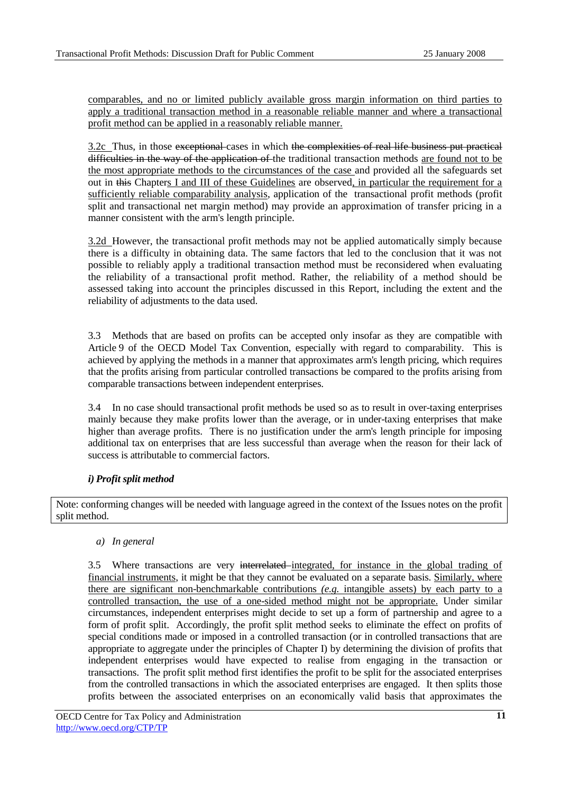comparables, and no or limited publicly available gross margin information on third parties to apply a traditional transaction method in a reasonable reliable manner and where a transactional profit method can be applied in a reasonably reliable manner.

3.2c Thus, in those exceptional cases in which the complexities of real life business put practical difficulties in the way of the application of the traditional transaction methods are found not to be the most appropriate methods to the circumstances of the case and provided all the safeguards set out in this Chapters I and III of these Guidelines are observed, in particular the requirement for a sufficiently reliable comparability analysis, application of the transactional profit methods (profit split and transactional net margin method) may provide an approximation of transfer pricing in a manner consistent with the arm's length principle.

3.2d However, the transactional profit methods may not be applied automatically simply because there is a difficulty in obtaining data. The same factors that led to the conclusion that it was not possible to reliably apply a traditional transaction method must be reconsidered when evaluating the reliability of a transactional profit method. Rather, the reliability of a method should be assessed taking into account the principles discussed in this Report, including the extent and the reliability of adjustments to the data used.

3.3 Methods that are based on profits can be accepted only insofar as they are compatible with Article 9 of the OECD Model Tax Convention, especially with regard to comparability. This is achieved by applying the methods in a manner that approximates arm's length pricing, which requires that the profits arising from particular controlled transactions be compared to the profits arising from comparable transactions between independent enterprises.

3.4 In no case should transactional profit methods be used so as to result in over-taxing enterprises mainly because they make profits lower than the average, or in under-taxing enterprises that make higher than average profits. There is no justification under the arm's length principle for imposing additional tax on enterprises that are less successful than average when the reason for their lack of success is attributable to commercial factors.

# *i) Profit split method*

Note: conforming changes will be needed with language agreed in the context of the Issues notes on the profit split method.

## *a) In general*

3.5 Where transactions are very interrelated integrated, for instance in the global trading of financial instruments, it might be that they cannot be evaluated on a separate basis. Similarly, where there are significant non-benchmarkable contributions *(e.g.* intangible assets) by each party to a controlled transaction, the use of a one-sided method might not be appropriate. Under similar circumstances, independent enterprises might decide to set up a form of partnership and agree to a form of profit split. Accordingly, the profit split method seeks to eliminate the effect on profits of special conditions made or imposed in a controlled transaction (or in controlled transactions that are appropriate to aggregate under the principles of Chapter I) by determining the division of profits that independent enterprises would have expected to realise from engaging in the transaction or transactions. The profit split method first identifies the profit to be split for the associated enterprises from the controlled transactions in which the associated enterprises are engaged. It then splits those profits between the associated enterprises on an economically valid basis that approximates the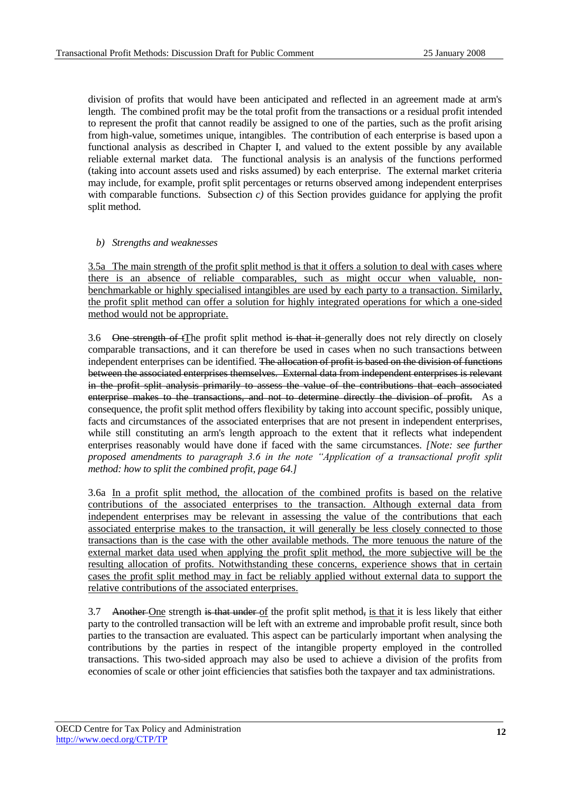division of profits that would have been anticipated and reflected in an agreement made at arm's length. The combined profit may be the total profit from the transactions or a residual profit intended to represent the profit that cannot readily be assigned to one of the parties, such as the profit arising from high-value, sometimes unique, intangibles. The contribution of each enterprise is based upon a functional analysis as described in Chapter I, and valued to the extent possible by any available reliable external market data. The functional analysis is an analysis of the functions performed (taking into account assets used and risks assumed) by each enterprise. The external market criteria may include, for example, profit split percentages or returns observed among independent enterprises with comparable functions. Subsection  $c$ ) of this Section provides guidance for applying the profit split method.

# *b) Strengths and weaknesses*

3.5a The main strength of the profit split method is that it offers a solution to deal with cases where there is an absence of reliable comparables, such as might occur when valuable, nonbenchmarkable or highly specialised intangibles are used by each party to a transaction. Similarly, the profit split method can offer a solution for highly integrated operations for which a one-sided method would not be appropriate.

3.6 One strength of tThe profit split method is that it generally does not rely directly on closely comparable transactions, and it can therefore be used in cases when no such transactions between independent enterprises can be identified. The allocation of profit is based on the division of functions between the associated enterprises themselves. External data from independent enterprises is relevant in the profit split analysis primarily to assess the value of the contributions that each associated enterprise makes to the transactions, and not to determine directly the division of profit. As a consequence, the profit split method offers flexibility by taking into account specific, possibly unique, facts and circumstances of the associated enterprises that are not present in independent enterprises, while still constituting an arm's length approach to the extent that it reflects what independent enterprises reasonably would have done if faced with the same circumstances. *[Note: see further proposed amendments to paragraph 3.6 in the note "Application of a transactional profit split method: how to split the combined profit, page 64.]*

3.6a In a profit split method, the allocation of the combined profits is based on the relative contributions of the associated enterprises to the transaction. Although external data from independent enterprises may be relevant in assessing the value of the contributions that each associated enterprise makes to the transaction, it will generally be less closely connected to those transactions than is the case with the other available methods. The more tenuous the nature of the external market data used when applying the profit split method, the more subjective will be the resulting allocation of profits. Notwithstanding these concerns, experience shows that in certain cases the profit split method may in fact be reliably applied without external data to support the relative contributions of the associated enterprises.

3.7 Another One strength is that under of the profit split method, is that it is less likely that either party to the controlled transaction will be left with an extreme and improbable profit result, since both parties to the transaction are evaluated. This aspect can be particularly important when analysing the contributions by the parties in respect of the intangible property employed in the controlled transactions. This two-sided approach may also be used to achieve a division of the profits from economies of scale or other joint efficiencies that satisfies both the taxpayer and tax administrations.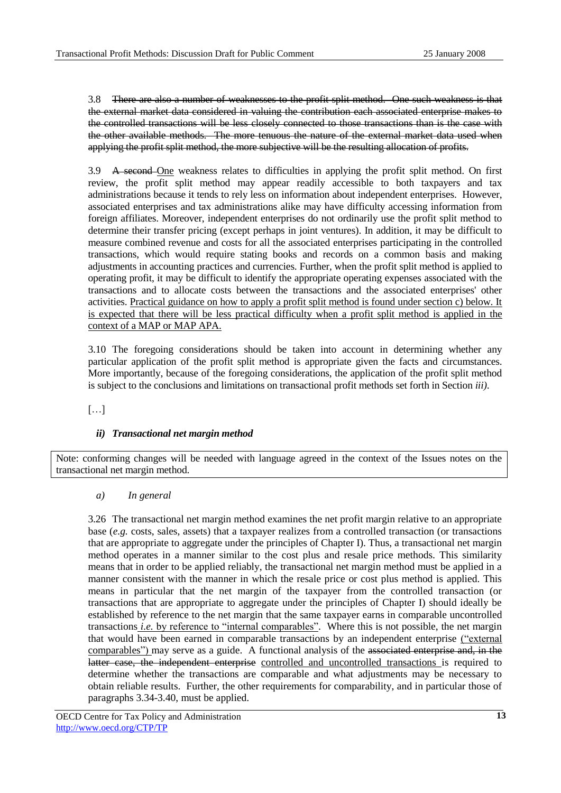3.8 There are also a number of weaknesses to the profit split method. One such weakness is that the external market data considered in valuing the contribution each associated enterprise makes to the controlled transactions will be less closely connected to those transactions than is the case with the other available methods. The more tenuous the nature of the external market data used when applying the profit split method, the more subjective will be the resulting allocation of profits.

3.9 A second One weakness relates to difficulties in applying the profit split method. On first review, the profit split method may appear readily accessible to both taxpayers and tax administrations because it tends to rely less on information about independent enterprises. However, associated enterprises and tax administrations alike may have difficulty accessing information from foreign affiliates. Moreover, independent enterprises do not ordinarily use the profit split method to determine their transfer pricing (except perhaps in joint ventures). In addition, it may be difficult to measure combined revenue and costs for all the associated enterprises participating in the controlled transactions, which would require stating books and records on a common basis and making adjustments in accounting practices and currencies. Further, when the profit split method is applied to operating profit, it may be difficult to identify the appropriate operating expenses associated with the transactions and to allocate costs between the transactions and the associated enterprises' other activities. Practical guidance on how to apply a profit split method is found under section c) below. It is expected that there will be less practical difficulty when a profit split method is applied in the context of a MAP or MAP APA.

3.10 The foregoing considerations should be taken into account in determining whether any particular application of the profit split method is appropriate given the facts and circumstances. More importantly, because of the foregoing considerations, the application of the profit split method is subject to the conclusions and limitations on transactional profit methods set forth in Section *iii)*.

[…]

## *ii) Transactional net margin method*

Note: conforming changes will be needed with language agreed in the context of the Issues notes on the transactional net margin method.

# *a) In general*

3.26 The transactional net margin method examines the net profit margin relative to an appropriate base (*e.g.* costs, sales, assets) that a taxpayer realizes from a controlled transaction (or transactions that are appropriate to aggregate under the principles of Chapter I). Thus, a transactional net margin method operates in a manner similar to the cost plus and resale price methods. This similarity means that in order to be applied reliably, the transactional net margin method must be applied in a manner consistent with the manner in which the resale price or cost plus method is applied. This means in particular that the net margin of the taxpayer from the controlled transaction (or transactions that are appropriate to aggregate under the principles of Chapter I) should ideally be established by reference to the net margin that the same taxpayer earns in comparable uncontrolled transactions *i.e.* by reference to "internal comparables". Where this is not possible, the net margin that would have been earned in comparable transactions by an independent enterprise ("external comparables") may serve as a guide. A functional analysis of the associated enterprise and, in the latter case, the independent enterprise controlled and uncontrolled transactions is required to determine whether the transactions are comparable and what adjustments may be necessary to obtain reliable results. Further, the other requirements for comparability, and in particular those of paragraphs 3.34-3.40, must be applied.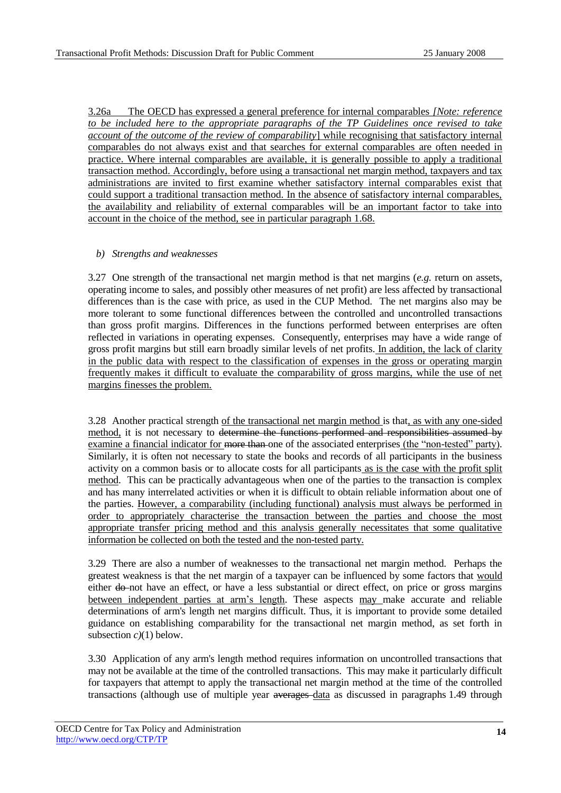3.26a The OECD has expressed a general preference for internal comparables *[Note: reference to be included here to the appropriate paragraphs of the TP Guidelines once revised to take account of the outcome of the review of comparability*] while recognising that satisfactory internal comparables do not always exist and that searches for external comparables are often needed in practice. Where internal comparables are available, it is generally possible to apply a traditional transaction method. Accordingly, before using a transactional net margin method, taxpayers and tax administrations are invited to first examine whether satisfactory internal comparables exist that could support a traditional transaction method. In the absence of satisfactory internal comparables, the availability and reliability of external comparables will be an important factor to take into account in the choice of the method, see in particular paragraph 1.68.

## *b) Strengths and weaknesses*

3.27 One strength of the transactional net margin method is that net margins (*e.g.* return on assets, operating income to sales, and possibly other measures of net profit) are less affected by transactional differences than is the case with price, as used in the CUP Method. The net margins also may be more tolerant to some functional differences between the controlled and uncontrolled transactions than gross profit margins. Differences in the functions performed between enterprises are often reflected in variations in operating expenses. Consequently, enterprises may have a wide range of gross profit margins but still earn broadly similar levels of net profits. In addition, the lack of clarity in the public data with respect to the classification of expenses in the gross or operating margin frequently makes it difficult to evaluate the comparability of gross margins, while the use of net margins finesses the problem.

3.28 Another practical strength of the transactional net margin method is that, as with any one-sided method, it is not necessary to determine the functions performed and responsibilities assumed by examine a financial indicator for more than one of the associated enterprises (the "non-tested" party). Similarly, it is often not necessary to state the books and records of all participants in the business activity on a common basis or to allocate costs for all participants as is the case with the profit split method. This can be practically advantageous when one of the parties to the transaction is complex and has many interrelated activities or when it is difficult to obtain reliable information about one of the parties. However, a comparability (including functional) analysis must always be performed in order to appropriately characterise the transaction between the parties and choose the most appropriate transfer pricing method and this analysis generally necessitates that some qualitative information be collected on both the tested and the non-tested party.

3.29 There are also a number of weaknesses to the transactional net margin method. Perhaps the greatest weakness is that the net margin of a taxpayer can be influenced by some factors that would either do not have an effect, or have a less substantial or direct effect, on price or gross margins between independent parties at arm's length. These aspects may make accurate and reliable determinations of arm's length net margins difficult. Thus, it is important to provide some detailed guidance on establishing comparability for the transactional net margin method, as set forth in subsection  $c$ )(1) below.

3.30 Application of any arm's length method requires information on uncontrolled transactions that may not be available at the time of the controlled transactions. This may make it particularly difficult for taxpayers that attempt to apply the transactional net margin method at the time of the controlled transactions (although use of multiple year averages data as discussed in paragraphs 1.49 through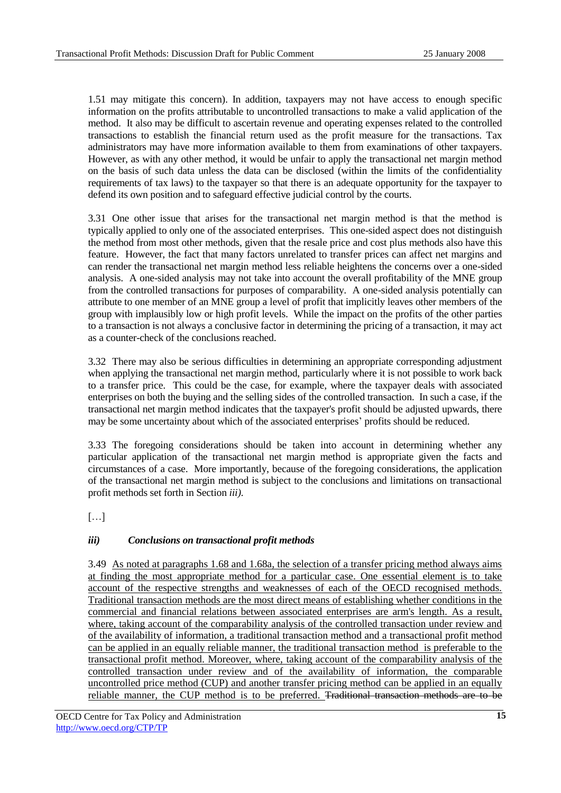1.51 may mitigate this concern). In addition, taxpayers may not have access to enough specific information on the profits attributable to uncontrolled transactions to make a valid application of the method. It also may be difficult to ascertain revenue and operating expenses related to the controlled transactions to establish the financial return used as the profit measure for the transactions. Tax administrators may have more information available to them from examinations of other taxpayers. However, as with any other method, it would be unfair to apply the transactional net margin method on the basis of such data unless the data can be disclosed (within the limits of the confidentiality requirements of tax laws) to the taxpayer so that there is an adequate opportunity for the taxpayer to defend its own position and to safeguard effective judicial control by the courts.

3.31 One other issue that arises for the transactional net margin method is that the method is typically applied to only one of the associated enterprises. This one-sided aspect does not distinguish the method from most other methods, given that the resale price and cost plus methods also have this feature. However, the fact that many factors unrelated to transfer prices can affect net margins and can render the transactional net margin method less reliable heightens the concerns over a one-sided analysis. A one-sided analysis may not take into account the overall profitability of the MNE group from the controlled transactions for purposes of comparability. A one-sided analysis potentially can attribute to one member of an MNE group a level of profit that implicitly leaves other members of the group with implausibly low or high profit levels. While the impact on the profits of the other parties to a transaction is not always a conclusive factor in determining the pricing of a transaction, it may act as a counter-check of the conclusions reached.

3.32 There may also be serious difficulties in determining an appropriate corresponding adjustment when applying the transactional net margin method, particularly where it is not possible to work back to a transfer price. This could be the case, for example, where the taxpayer deals with associated enterprises on both the buying and the selling sides of the controlled transaction. In such a case, if the transactional net margin method indicates that the taxpayer's profit should be adjusted upwards, there may be some uncertainty about which of the associated enterprises' profits should be reduced.

3.33 The foregoing considerations should be taken into account in determining whether any particular application of the transactional net margin method is appropriate given the facts and circumstances of a case. More importantly, because of the foregoing considerations, the application of the transactional net margin method is subject to the conclusions and limitations on transactional profit methods set forth in Section *iii)*.

 $[\ldots]$ 

## *iii) Conclusions on transactional profit methods*

3.49 As noted at paragraphs 1.68 and 1.68a, the selection of a transfer pricing method always aims at finding the most appropriate method for a particular case. One essential element is to take account of the respective strengths and weaknesses of each of the OECD recognised methods. Traditional transaction methods are the most direct means of establishing whether conditions in the commercial and financial relations between associated enterprises are arm's length. As a result, where, taking account of the comparability analysis of the controlled transaction under review and of the availability of information, a traditional transaction method and a transactional profit method can be applied in an equally reliable manner, the traditional transaction method is preferable to the transactional profit method. Moreover, where, taking account of the comparability analysis of the controlled transaction under review and of the availability of information, the comparable uncontrolled price method (CUP) and another transfer pricing method can be applied in an equally reliable manner, the CUP method is to be preferred. Traditional transaction methods are to be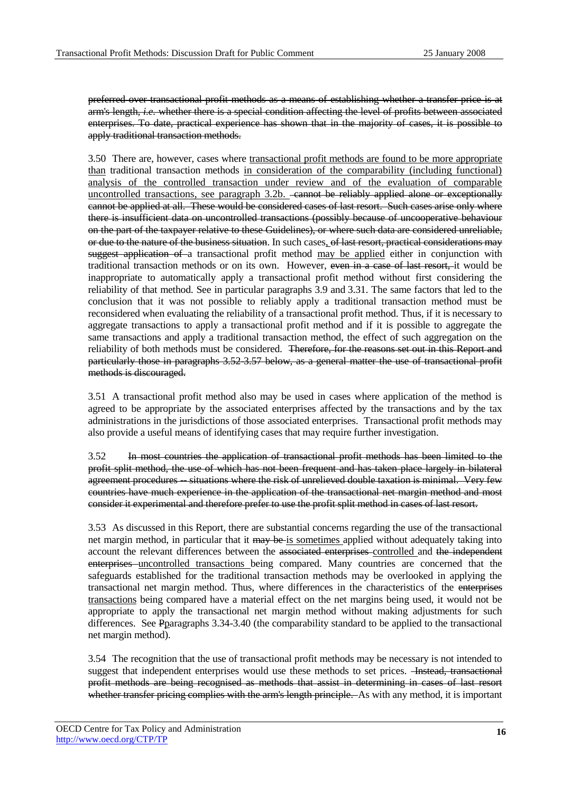preferred over transactional profit methods as a means of establishing whether a transfer price is at arm's length, *i.e.* whether there is a special condition affecting the level of profits between associated enterprises. To date, practical experience has shown that in the majority of cases, it is possible to apply traditional transaction methods.

3.50 There are, however, cases where transactional profit methods are found to be more appropriate than traditional transaction methods in consideration of the comparability (including functional) analysis of the controlled transaction under review and of the evaluation of comparable uncontrolled transactions, see paragraph 3.2b. - cannot be reliably applied alone or exceptionally cannot be applied at all. These would be considered cases of last resort. Such cases arise only where there is insufficient data on uncontrolled transactions (possibly because of uncooperative behaviour on the part of the taxpayer relative to these Guidelines), or where such data are considered unreliable, or due to the nature of the business situation. In such cases, of last resort, practical considerations may suggest application of a transactional profit method may be applied either in conjunction with traditional transaction methods or on its own. However, even in a case of last resort, it would be inappropriate to automatically apply a transactional profit method without first considering the reliability of that method. See in particular paragraphs 3.9 and 3.31. The same factors that led to the conclusion that it was not possible to reliably apply a traditional transaction method must be reconsidered when evaluating the reliability of a transactional profit method. Thus, if it is necessary to aggregate transactions to apply a transactional profit method and if it is possible to aggregate the same transactions and apply a traditional transaction method, the effect of such aggregation on the reliability of both methods must be considered. Therefore, for the reasons set out in this Report and particularly those in paragraphs 3.52-3.57 below, as a general matter the use of transactional profit methods is discouraged.

3.51 A transactional profit method also may be used in cases where application of the method is agreed to be appropriate by the associated enterprises affected by the transactions and by the tax administrations in the jurisdictions of those associated enterprises. Transactional profit methods may also provide a useful means of identifying cases that may require further investigation.

3.52 In most countries the application of transactional profit methods has been limited to the profit split method, the use of which has not been frequent and has taken place largely in bilateral agreement procedures -- situations where the risk of unrelieved double taxation is minimal. Very few countries have much experience in the application of the transactional net margin method and most consider it experimental and therefore prefer to use the profit split method in cases of last resort.

3.53 As discussed in this Report, there are substantial concerns regarding the use of the transactional net margin method, in particular that it may be is sometimes applied without adequately taking into account the relevant differences between the associated enterprises controlled and the independent enterprises uncontrolled transactions being compared. Many countries are concerned that the safeguards established for the traditional transaction methods may be overlooked in applying the transactional net margin method. Thus, where differences in the characteristics of the enterprises transactions being compared have a material effect on the net margins being used, it would not be appropriate to apply the transactional net margin method without making adjustments for such differences. See Pparagraphs 3.34-3.40 (the comparability standard to be applied to the transactional net margin method).

3.54 The recognition that the use of transactional profit methods may be necessary is not intended to suggest that independent enterprises would use these methods to set prices. <del>Instead, transactional</del> profit methods are being recognised as methods that assist in determining in cases of last resort whether transfer pricing complies with the arm's length principle. As with any method, it is important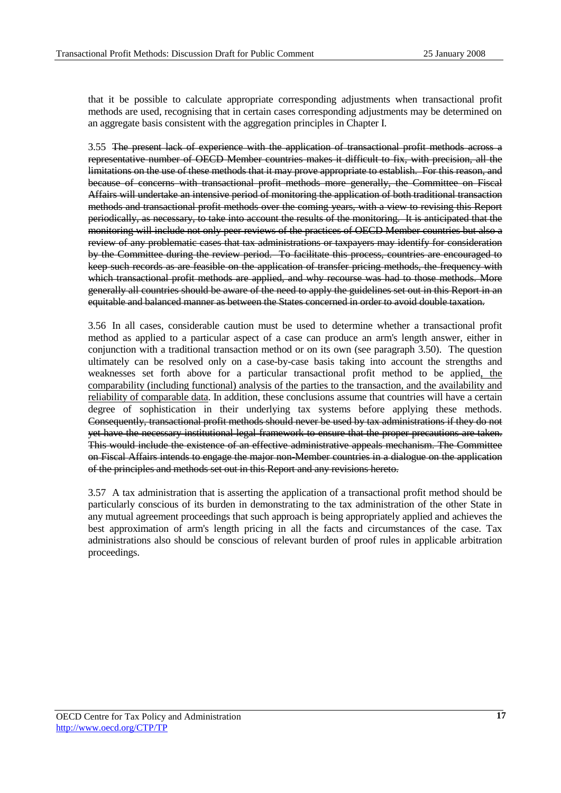that it be possible to calculate appropriate corresponding adjustments when transactional profit methods are used, recognising that in certain cases corresponding adjustments may be determined on an aggregate basis consistent with the aggregation principles in Chapter I.

3.55 The present lack of experience with the application of transactional profit methods across a representative number of OECD Member countries makes it difficult to fix, with precision, all the limitations on the use of these methods that it may prove appropriate to establish. For this reason, and because of concerns with transactional profit methods more generally, the Committee on Fiscal Affairs will undertake an intensive period of monitoring the application of both traditional transaction methods and transactional profit methods over the coming years, with a view to revising this Report periodically, as necessary, to take into account the results of the monitoring. It is anticipated that the monitoring will include not only peer reviews of the practices of OECD Member countries but also a review of any problematic cases that tax administrations or taxpayers may identify for consideration by the Committee during the review period. To facilitate this process, countries are encouraged to keep such records as are feasible on the application of transfer pricing methods, the frequency with which transactional profit methods are applied, and why recourse was had to those methods. More generally all countries should be aware of the need to apply the guidelines set out in this Report in an equitable and balanced manner as between the States concerned in order to avoid double taxation.

3.56 In all cases, considerable caution must be used to determine whether a transactional profit method as applied to a particular aspect of a case can produce an arm's length answer, either in conjunction with a traditional transaction method or on its own (see paragraph 3.50). The question ultimately can be resolved only on a case-by-case basis taking into account the strengths and weaknesses set forth above for a particular transactional profit method to be applied, the comparability (including functional) analysis of the parties to the transaction, and the availability and reliability of comparable data. In addition, these conclusions assume that countries will have a certain degree of sophistication in their underlying tax systems before applying these methods. Consequently, transactional profit methods should never be used by tax administrations if they do not yet have the necessary institutional legal framework to ensure that the proper precautions are taken. This would include the existence of an effective administrative appeals mechanism. The Committee on Fiscal Affairs intends to engage the major non-Member countries in a dialogue on the application of the principles and methods set out in this Report and any revisions hereto.

3.57 A tax administration that is asserting the application of a transactional profit method should be particularly conscious of its burden in demonstrating to the tax administration of the other State in any mutual agreement proceedings that such approach is being appropriately applied and achieves the best approximation of arm's length pricing in all the facts and circumstances of the case. Tax administrations also should be conscious of relevant burden of proof rules in applicable arbitration proceedings.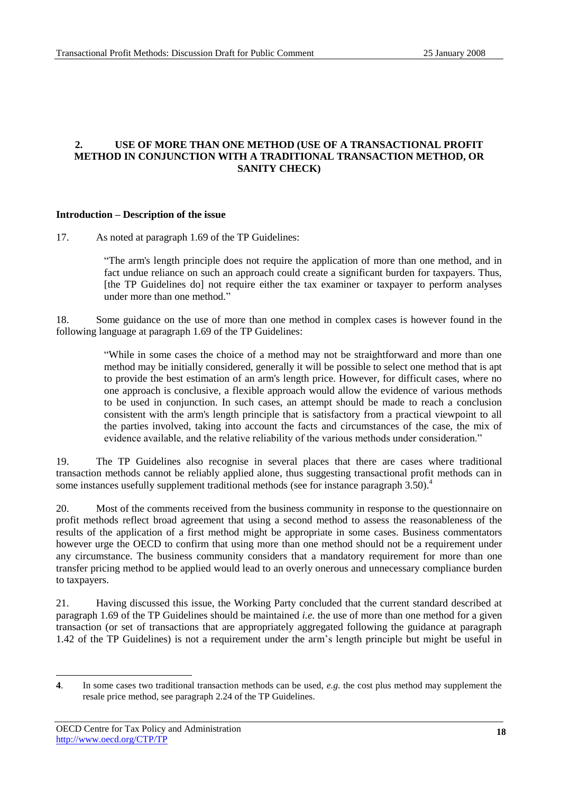# **2. USE OF MORE THAN ONE METHOD (USE OF A TRANSACTIONAL PROFIT METHOD IN CONJUNCTION WITH A TRADITIONAL TRANSACTION METHOD, OR SANITY CHECK)**

#### **Introduction – Description of the issue**

17. As noted at paragraph 1.69 of the TP Guidelines:

"The arm's length principle does not require the application of more than one method, and in fact undue reliance on such an approach could create a significant burden for taxpayers. Thus, [the TP Guidelines do] not require either the tax examiner or taxpayer to perform analyses under more than one method."

18. Some guidance on the use of more than one method in complex cases is however found in the following language at paragraph 1.69 of the TP Guidelines:

> "While in some cases the choice of a method may not be straightforward and more than one method may be initially considered, generally it will be possible to select one method that is apt to provide the best estimation of an arm's length price. However, for difficult cases, where no one approach is conclusive, a flexible approach would allow the evidence of various methods to be used in conjunction. In such cases, an attempt should be made to reach a conclusion consistent with the arm's length principle that is satisfactory from a practical viewpoint to all the parties involved, taking into account the facts and circumstances of the case, the mix of evidence available, and the relative reliability of the various methods under consideration."

19. The TP Guidelines also recognise in several places that there are cases where traditional transaction methods cannot be reliably applied alone, thus suggesting transactional profit methods can in some instances usefully supplement traditional methods (see for instance paragraph 3.50). 4

20. Most of the comments received from the business community in response to the questionnaire on profit methods reflect broad agreement that using a second method to assess the reasonableness of the results of the application of a first method might be appropriate in some cases. Business commentators however urge the OECD to confirm that using more than one method should not be a requirement under any circumstance. The business community considers that a mandatory requirement for more than one transfer pricing method to be applied would lead to an overly onerous and unnecessary compliance burden to taxpayers.

21. Having discussed this issue, the Working Party concluded that the current standard described at paragraph 1.69 of the TP Guidelines should be maintained *i.e.* the use of more than one method for a given transaction (or set of transactions that are appropriately aggregated following the guidance at paragraph 1.42 of the TP Guidelines) is not a requirement under the arm's length principle but might be useful in

l **4**. In some cases two traditional transaction methods can be used, *e.g.* the cost plus method may supplement the resale price method, see paragraph 2.24 of the TP Guidelines.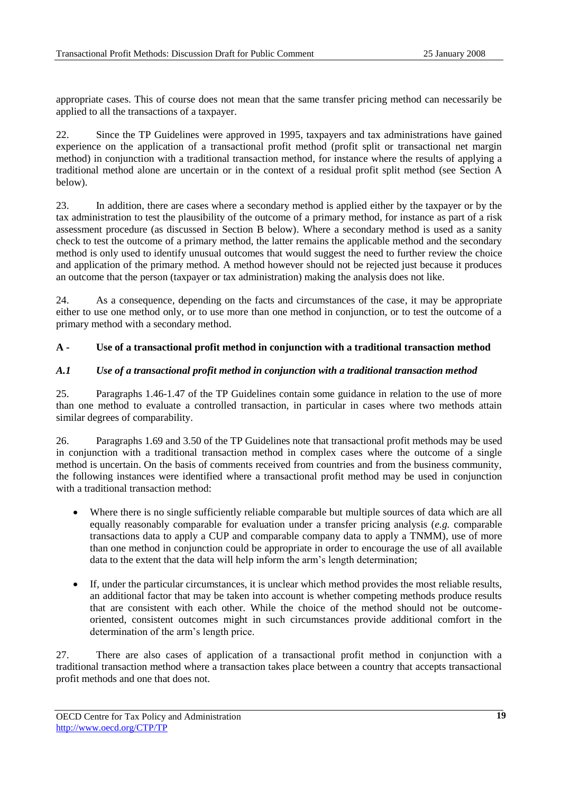appropriate cases. This of course does not mean that the same transfer pricing method can necessarily be applied to all the transactions of a taxpayer.

22. Since the TP Guidelines were approved in 1995, taxpayers and tax administrations have gained experience on the application of a transactional profit method (profit split or transactional net margin method) in conjunction with a traditional transaction method, for instance where the results of applying a traditional method alone are uncertain or in the context of a residual profit split method (see Section A below).

23. In addition, there are cases where a secondary method is applied either by the taxpayer or by the tax administration to test the plausibility of the outcome of a primary method, for instance as part of a risk assessment procedure (as discussed in Section B below). Where a secondary method is used as a sanity check to test the outcome of a primary method, the latter remains the applicable method and the secondary method is only used to identify unusual outcomes that would suggest the need to further review the choice and application of the primary method. A method however should not be rejected just because it produces an outcome that the person (taxpayer or tax administration) making the analysis does not like.

24. As a consequence, depending on the facts and circumstances of the case, it may be appropriate either to use one method only, or to use more than one method in conjunction, or to test the outcome of a primary method with a secondary method.

# **A - Use of a transactional profit method in conjunction with a traditional transaction method**

# *A.1 Use of a transactional profit method in conjunction with a traditional transaction method*

25. Paragraphs 1.46-1.47 of the TP Guidelines contain some guidance in relation to the use of more than one method to evaluate a controlled transaction, in particular in cases where two methods attain similar degrees of comparability.

26. Paragraphs 1.69 and 3.50 of the TP Guidelines note that transactional profit methods may be used in conjunction with a traditional transaction method in complex cases where the outcome of a single method is uncertain. On the basis of comments received from countries and from the business community, the following instances were identified where a transactional profit method may be used in conjunction with a traditional transaction method:

- Where there is no single sufficiently reliable comparable but multiple sources of data which are all equally reasonably comparable for evaluation under a transfer pricing analysis (*e.g.* comparable transactions data to apply a CUP and comparable company data to apply a TNMM), use of more than one method in conjunction could be appropriate in order to encourage the use of all available data to the extent that the data will help inform the arm's length determination;
- If, under the particular circumstances, it is unclear which method provides the most reliable results, an additional factor that may be taken into account is whether competing methods produce results that are consistent with each other. While the choice of the method should not be outcomeoriented, consistent outcomes might in such circumstances provide additional comfort in the determination of the arm's length price.

27. There are also cases of application of a transactional profit method in conjunction with a traditional transaction method where a transaction takes place between a country that accepts transactional profit methods and one that does not.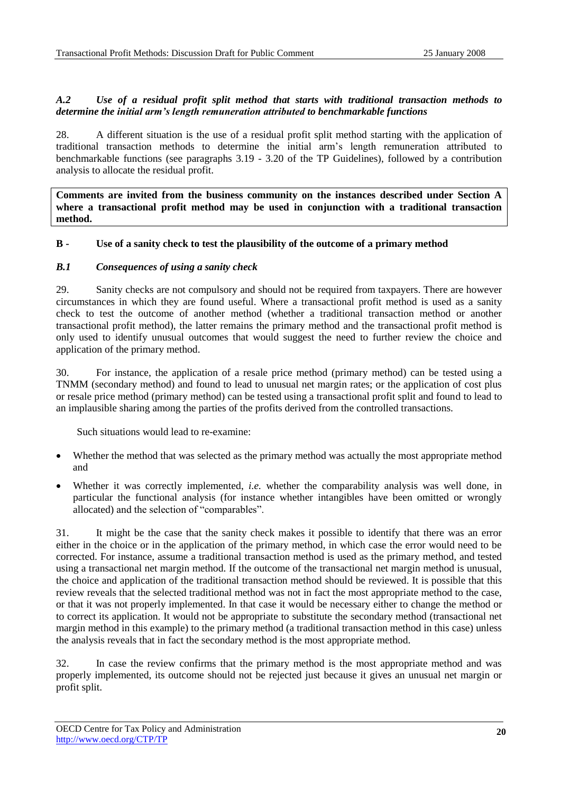#### *A.2 Use of a residual profit split method that starts with traditional transaction methods to determine the initial arm's length remuneration attributed to benchmarkable functions*

28. A different situation is the use of a residual profit split method starting with the application of traditional transaction methods to determine the initial arm's length remuneration attributed to benchmarkable functions (see paragraphs 3.19 - 3.20 of the TP Guidelines), followed by a contribution analysis to allocate the residual profit.

**Comments are invited from the business community on the instances described under Section A where a transactional profit method may be used in conjunction with a traditional transaction method.** 

## **B - Use of a sanity check to test the plausibility of the outcome of a primary method**

## *B.1 Consequences of using a sanity check*

29. Sanity checks are not compulsory and should not be required from taxpayers. There are however circumstances in which they are found useful. Where a transactional profit method is used as a sanity check to test the outcome of another method (whether a traditional transaction method or another transactional profit method), the latter remains the primary method and the transactional profit method is only used to identify unusual outcomes that would suggest the need to further review the choice and application of the primary method.

30. For instance, the application of a resale price method (primary method) can be tested using a TNMM (secondary method) and found to lead to unusual net margin rates; or the application of cost plus or resale price method (primary method) can be tested using a transactional profit split and found to lead to an implausible sharing among the parties of the profits derived from the controlled transactions.

Such situations would lead to re-examine:

- Whether the method that was selected as the primary method was actually the most appropriate method and
- Whether it was correctly implemented, *i.e.* whether the comparability analysis was well done, in particular the functional analysis (for instance whether intangibles have been omitted or wrongly allocated) and the selection of "comparables".

31. It might be the case that the sanity check makes it possible to identify that there was an error either in the choice or in the application of the primary method, in which case the error would need to be corrected. For instance, assume a traditional transaction method is used as the primary method, and tested using a transactional net margin method. If the outcome of the transactional net margin method is unusual, the choice and application of the traditional transaction method should be reviewed. It is possible that this review reveals that the selected traditional method was not in fact the most appropriate method to the case, or that it was not properly implemented. In that case it would be necessary either to change the method or to correct its application. It would not be appropriate to substitute the secondary method (transactional net margin method in this example) to the primary method (a traditional transaction method in this case) unless the analysis reveals that in fact the secondary method is the most appropriate method.

32. In case the review confirms that the primary method is the most appropriate method and was properly implemented, its outcome should not be rejected just because it gives an unusual net margin or profit split.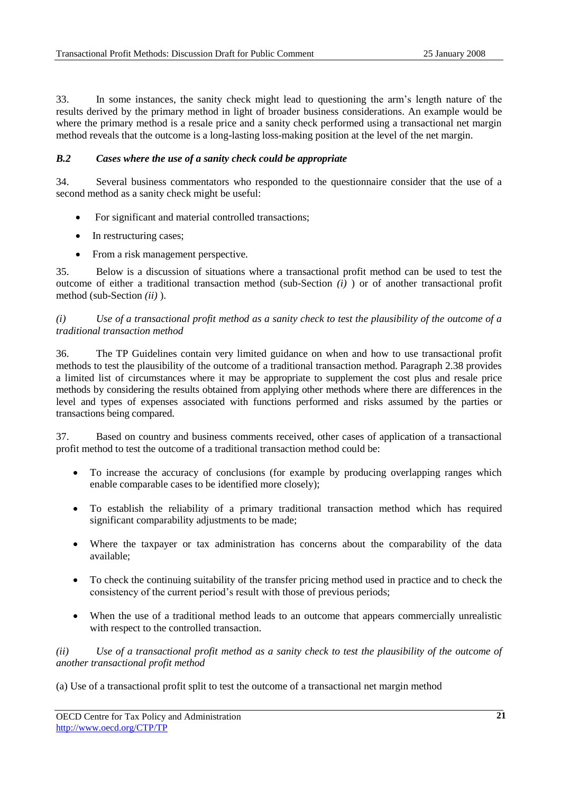33. In some instances, the sanity check might lead to questioning the arm's length nature of the results derived by the primary method in light of broader business considerations. An example would be where the primary method is a resale price and a sanity check performed using a transactional net margin method reveals that the outcome is a long-lasting loss-making position at the level of the net margin.

## *B.2 Cases where the use of a sanity check could be appropriate*

34. Several business commentators who responded to the questionnaire consider that the use of a second method as a sanity check might be useful:

- For significant and material controlled transactions;
- In restructuring cases;
- From a risk management perspective.

35. Below is a discussion of situations where a transactional profit method can be used to test the outcome of either a traditional transaction method (sub-Section *(i)* ) or of another transactional profit method (sub-Section *(ii)* ).

*(i) Use of a transactional profit method as a sanity check to test the plausibility of the outcome of a traditional transaction method*

36. The TP Guidelines contain very limited guidance on when and how to use transactional profit methods to test the plausibility of the outcome of a traditional transaction method. Paragraph 2.38 provides a limited list of circumstances where it may be appropriate to supplement the cost plus and resale price methods by considering the results obtained from applying other methods where there are differences in the level and types of expenses associated with functions performed and risks assumed by the parties or transactions being compared.

37. Based on country and business comments received, other cases of application of a transactional profit method to test the outcome of a traditional transaction method could be:

- To increase the accuracy of conclusions (for example by producing overlapping ranges which enable comparable cases to be identified more closely);
- To establish the reliability of a primary traditional transaction method which has required significant comparability adjustments to be made;
- Where the taxpayer or tax administration has concerns about the comparability of the data available;
- To check the continuing suitability of the transfer pricing method used in practice and to check the consistency of the current period's result with those of previous periods;
- When the use of a traditional method leads to an outcome that appears commercially unrealistic with respect to the controlled transaction.

*(ii) Use of a transactional profit method as a sanity check to test the plausibility of the outcome of another transactional profit method*

(a) Use of a transactional profit split to test the outcome of a transactional net margin method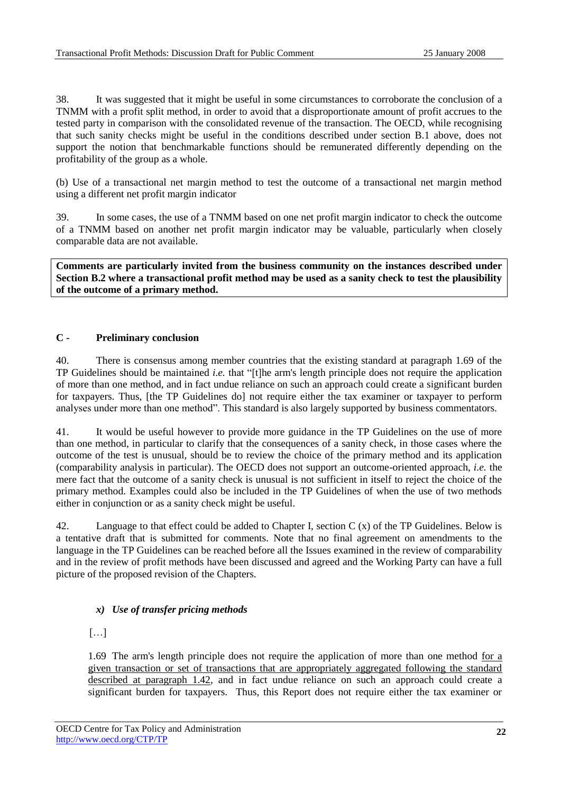38. It was suggested that it might be useful in some circumstances to corroborate the conclusion of a TNMM with a profit split method, in order to avoid that a disproportionate amount of profit accrues to the tested party in comparison with the consolidated revenue of the transaction. The OECD, while recognising that such sanity checks might be useful in the conditions described under section B.1 above, does not support the notion that benchmarkable functions should be remunerated differently depending on the profitability of the group as a whole.

(b) Use of a transactional net margin method to test the outcome of a transactional net margin method using a different net profit margin indicator

39. In some cases, the use of a TNMM based on one net profit margin indicator to check the outcome of a TNMM based on another net profit margin indicator may be valuable, particularly when closely comparable data are not available.

**Comments are particularly invited from the business community on the instances described under Section B.2 where a transactional profit method may be used as a sanity check to test the plausibility of the outcome of a primary method.** 

## **C - Preliminary conclusion**

40. There is consensus among member countries that the existing standard at paragraph 1.69 of the TP Guidelines should be maintained *i.e.* that "[t]he arm's length principle does not require the application of more than one method, and in fact undue reliance on such an approach could create a significant burden for taxpayers. Thus, [the TP Guidelines do] not require either the tax examiner or taxpayer to perform analyses under more than one method". This standard is also largely supported by business commentators.

41. It would be useful however to provide more guidance in the TP Guidelines on the use of more than one method, in particular to clarify that the consequences of a sanity check, in those cases where the outcome of the test is unusual, should be to review the choice of the primary method and its application (comparability analysis in particular). The OECD does not support an outcome-oriented approach, *i.e.* the mere fact that the outcome of a sanity check is unusual is not sufficient in itself to reject the choice of the primary method. Examples could also be included in the TP Guidelines of when the use of two methods either in conjunction or as a sanity check might be useful.

42. Language to that effect could be added to Chapter I, section C (x) of the TP Guidelines. Below is a tentative draft that is submitted for comments. Note that no final agreement on amendments to the language in the TP Guidelines can be reached before all the Issues examined in the review of comparability and in the review of profit methods have been discussed and agreed and the Working Party can have a full picture of the proposed revision of the Chapters.

# *x) Use of transfer pricing methods*

 $[\ldots]$ 

1.69 The arm's length principle does not require the application of more than one method for a given transaction or set of transactions that are appropriately aggregated following the standard described at paragraph 1.42, and in fact undue reliance on such an approach could create a significant burden for taxpayers. Thus, this Report does not require either the tax examiner or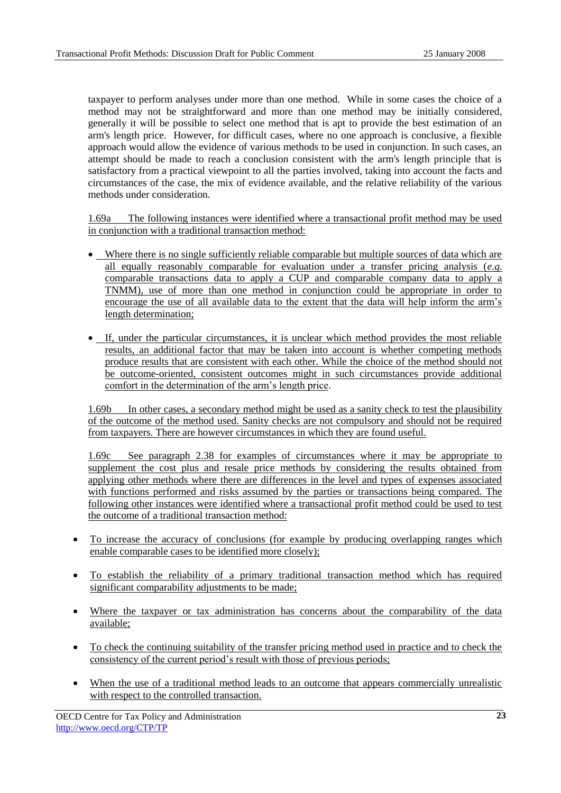taxpayer to perform analyses under more than one method. While in some cases the choice of a method may not be straightforward and more than one method may be initially considered, generally it will be possible to select one method that is apt to provide the best estimation of an arm's length price. However, for difficult cases, where no one approach is conclusive, a flexible approach would allow the evidence of various methods to be used in conjunction. In such cases, an attempt should be made to reach a conclusion consistent with the arm's length principle that is satisfactory from a practical viewpoint to all the parties involved, taking into account the facts and circumstances of the case, the mix of evidence available, and the relative reliability of the various methods under consideration.

1.69a The following instances were identified where a transactional profit method may be used in conjunction with a traditional transaction method:

- Where there is no single sufficiently reliable comparable but multiple sources of data which are all equally reasonably comparable for evaluation under a transfer pricing analysis (*e.g.* comparable transactions data to apply a CUP and comparable company data to apply a TNMM), use of more than one method in conjunction could be appropriate in order to encourage the use of all available data to the extent that the data will help inform the arm's length determination;
- If, under the particular circumstances, it is unclear which method provides the most reliable results, an additional factor that may be taken into account is whether competing methods produce results that are consistent with each other. While the choice of the method should not be outcome-oriented, consistent outcomes might in such circumstances provide additional comfort in the determination of the arm's length price.

1.69b In other cases, a secondary method might be used as a sanity check to test the plausibility of the outcome of the method used. Sanity checks are not compulsory and should not be required from taxpayers. There are however circumstances in which they are found useful.

1.69c See paragraph 2.38 for examples of circumstances where it may be appropriate to supplement the cost plus and resale price methods by considering the results obtained from applying other methods where there are differences in the level and types of expenses associated with functions performed and risks assumed by the parties or transactions being compared. The following other instances were identified where a transactional profit method could be used to test the outcome of a traditional transaction method:

- To increase the accuracy of conclusions (for example by producing overlapping ranges which enable comparable cases to be identified more closely);
- To establish the reliability of a primary traditional transaction method which has required significant comparability adjustments to be made;
- Where the taxpayer or tax administration has concerns about the comparability of the data available;
- To check the continuing suitability of the transfer pricing method used in practice and to check the consistency of the current period's result with those of previous periods;
- When the use of a traditional method leads to an outcome that appears commercially unrealistic with respect to the controlled transaction.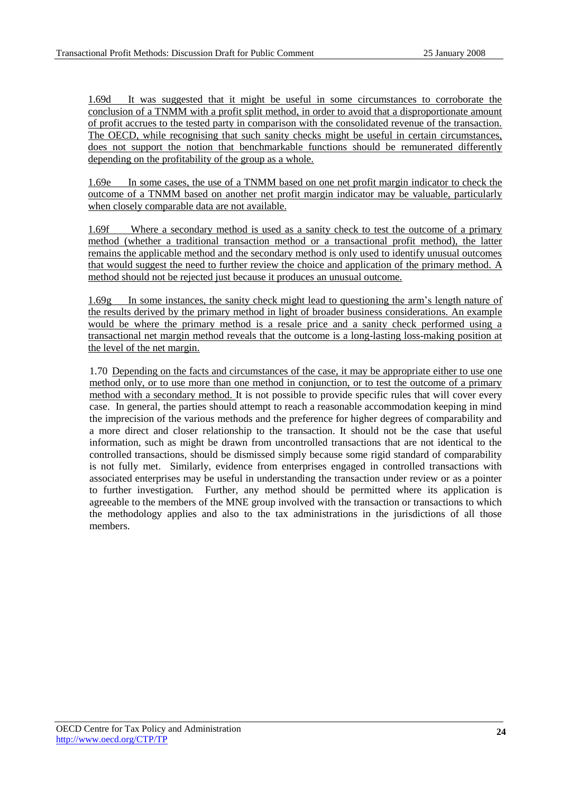1.69d It was suggested that it might be useful in some circumstances to corroborate the conclusion of a TNMM with a profit split method, in order to avoid that a disproportionate amount of profit accrues to the tested party in comparison with the consolidated revenue of the transaction. The OECD, while recognising that such sanity checks might be useful in certain circumstances, does not support the notion that benchmarkable functions should be remunerated differently depending on the profitability of the group as a whole.

1.69e In some cases, the use of a TNMM based on one net profit margin indicator to check the outcome of a TNMM based on another net profit margin indicator may be valuable, particularly when closely comparable data are not available.

1.69f Where a secondary method is used as a sanity check to test the outcome of a primary method (whether a traditional transaction method or a transactional profit method), the latter remains the applicable method and the secondary method is only used to identify unusual outcomes that would suggest the need to further review the choice and application of the primary method. A method should not be rejected just because it produces an unusual outcome.

1.69g In some instances, the sanity check might lead to questioning the arm's length nature of the results derived by the primary method in light of broader business considerations. An example would be where the primary method is a resale price and a sanity check performed using a transactional net margin method reveals that the outcome is a long-lasting loss-making position at the level of the net margin.

1.70 Depending on the facts and circumstances of the case, it may be appropriate either to use one method only, or to use more than one method in conjunction, or to test the outcome of a primary method with a secondary method. It is not possible to provide specific rules that will cover every case. In general, the parties should attempt to reach a reasonable accommodation keeping in mind the imprecision of the various methods and the preference for higher degrees of comparability and a more direct and closer relationship to the transaction. It should not be the case that useful information, such as might be drawn from uncontrolled transactions that are not identical to the controlled transactions, should be dismissed simply because some rigid standard of comparability is not fully met. Similarly, evidence from enterprises engaged in controlled transactions with associated enterprises may be useful in understanding the transaction under review or as a pointer to further investigation. Further, any method should be permitted where its application is agreeable to the members of the MNE group involved with the transaction or transactions to which the methodology applies and also to the tax administrations in the jurisdictions of all those members.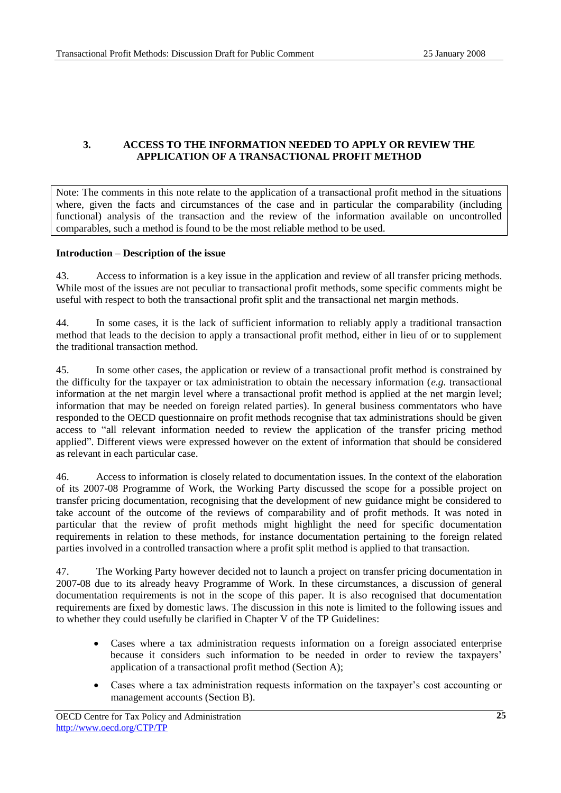# **3. ACCESS TO THE INFORMATION NEEDED TO APPLY OR REVIEW THE APPLICATION OF A TRANSACTIONAL PROFIT METHOD**

Note: The comments in this note relate to the application of a transactional profit method in the situations where, given the facts and circumstances of the case and in particular the comparability (including functional) analysis of the transaction and the review of the information available on uncontrolled comparables, such a method is found to be the most reliable method to be used.

## **Introduction – Description of the issue**

43. Access to information is a key issue in the application and review of all transfer pricing methods. While most of the issues are not peculiar to transactional profit methods, some specific comments might be useful with respect to both the transactional profit split and the transactional net margin methods.

44. In some cases, it is the lack of sufficient information to reliably apply a traditional transaction method that leads to the decision to apply a transactional profit method, either in lieu of or to supplement the traditional transaction method.

45. In some other cases, the application or review of a transactional profit method is constrained by the difficulty for the taxpayer or tax administration to obtain the necessary information (*e.g.* transactional information at the net margin level where a transactional profit method is applied at the net margin level; information that may be needed on foreign related parties). In general business commentators who have responded to the OECD questionnaire on profit methods recognise that tax administrations should be given access to "all relevant information needed to review the application of the transfer pricing method applied". Different views were expressed however on the extent of information that should be considered as relevant in each particular case.

46. Access to information is closely related to documentation issues. In the context of the elaboration of its 2007-08 Programme of Work, the Working Party discussed the scope for a possible project on transfer pricing documentation, recognising that the development of new guidance might be considered to take account of the outcome of the reviews of comparability and of profit methods. It was noted in particular that the review of profit methods might highlight the need for specific documentation requirements in relation to these methods, for instance documentation pertaining to the foreign related parties involved in a controlled transaction where a profit split method is applied to that transaction.

47. The Working Party however decided not to launch a project on transfer pricing documentation in 2007-08 due to its already heavy Programme of Work. In these circumstances, a discussion of general documentation requirements is not in the scope of this paper. It is also recognised that documentation requirements are fixed by domestic laws. The discussion in this note is limited to the following issues and to whether they could usefully be clarified in Chapter V of the TP Guidelines:

- Cases where a tax administration requests information on a foreign associated enterprise because it considers such information to be needed in order to review the taxpayers' application of a transactional profit method (Section A);
- Cases where a tax administration requests information on the taxpayer's cost accounting or management accounts (Section B).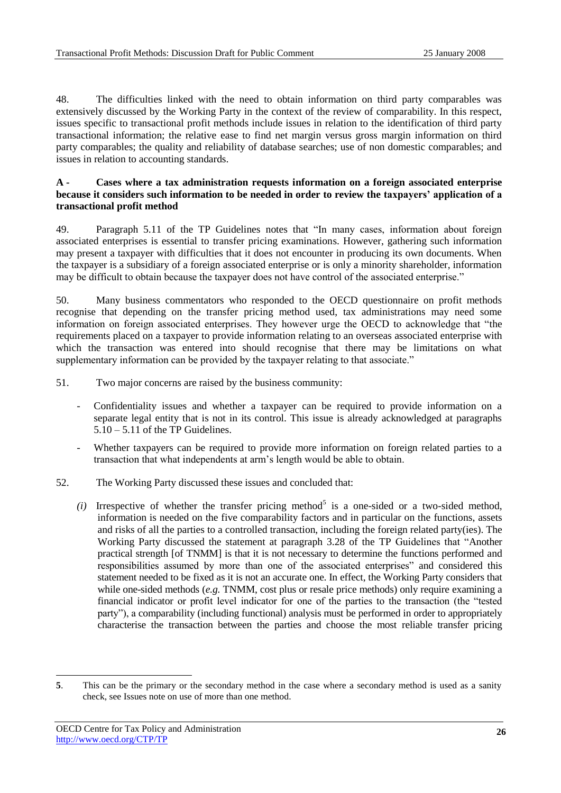48. The difficulties linked with the need to obtain information on third party comparables was extensively discussed by the Working Party in the context of the review of comparability. In this respect, issues specific to transactional profit methods include issues in relation to the identification of third party transactional information; the relative ease to find net margin versus gross margin information on third party comparables; the quality and reliability of database searches; use of non domestic comparables; and issues in relation to accounting standards.

#### **A - Cases where a tax administration requests information on a foreign associated enterprise because it considers such information to be needed in order to review the taxpayers' application of a transactional profit method**

49. Paragraph 5.11 of the TP Guidelines notes that "In many cases, information about foreign associated enterprises is essential to transfer pricing examinations. However, gathering such information may present a taxpayer with difficulties that it does not encounter in producing its own documents. When the taxpayer is a subsidiary of a foreign associated enterprise or is only a minority shareholder, information may be difficult to obtain because the taxpayer does not have control of the associated enterprise."

50. Many business commentators who responded to the OECD questionnaire on profit methods recognise that depending on the transfer pricing method used, tax administrations may need some information on foreign associated enterprises. They however urge the OECD to acknowledge that "the requirements placed on a taxpayer to provide information relating to an overseas associated enterprise with which the transaction was entered into should recognise that there may be limitations on what supplementary information can be provided by the taxpayer relating to that associate."

51. Two major concerns are raised by the business community:

- Confidentiality issues and whether a taxpayer can be required to provide information on a separate legal entity that is not in its control. This issue is already acknowledged at paragraphs 5.10 – 5.11 of the TP Guidelines.
- Whether taxpayers can be required to provide more information on foreign related parties to a transaction that what independents at arm's length would be able to obtain.
- 52. The Working Party discussed these issues and concluded that:
	- $(i)$  Irrespective of whether the transfer pricing method<sup>5</sup> is a one-sided or a two-sided method, information is needed on the five comparability factors and in particular on the functions, assets and risks of all the parties to a controlled transaction, including the foreign related party(ies). The Working Party discussed the statement at paragraph 3.28 of the TP Guidelines that "Another practical strength [of TNMM] is that it is not necessary to determine the functions performed and responsibilities assumed by more than one of the associated enterprises" and considered this statement needed to be fixed as it is not an accurate one. In effect, the Working Party considers that while one-sided methods (*e.g.* TNMM, cost plus or resale price methods) only require examining a financial indicator or profit level indicator for one of the parties to the transaction (the "tested party"), a comparability (including functional) analysis must be performed in order to appropriately characterise the transaction between the parties and choose the most reliable transfer pricing

l

**<sup>5</sup>**. This can be the primary or the secondary method in the case where a secondary method is used as a sanity check, see Issues note on use of more than one method.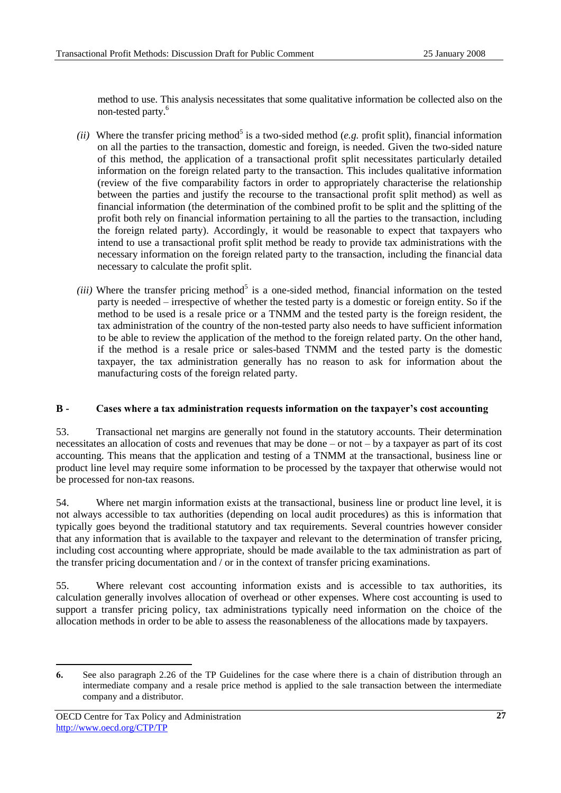method to use. This analysis necessitates that some qualitative information be collected also on the non-tested party. 6

- (*ii*) Where the transfer pricing method<sup>5</sup> is a two-sided method (*e.g.* profit split), financial information on all the parties to the transaction, domestic and foreign, is needed. Given the two-sided nature of this method, the application of a transactional profit split necessitates particularly detailed information on the foreign related party to the transaction. This includes qualitative information (review of the five comparability factors in order to appropriately characterise the relationship between the parties and justify the recourse to the transactional profit split method) as well as financial information (the determination of the combined profit to be split and the splitting of the profit both rely on financial information pertaining to all the parties to the transaction, including the foreign related party). Accordingly, it would be reasonable to expect that taxpayers who intend to use a transactional profit split method be ready to provide tax administrations with the necessary information on the foreign related party to the transaction, including the financial data necessary to calculate the profit split.
- $(iii)$  Where the transfer pricing method<sup>5</sup> is a one-sided method, financial information on the tested party is needed – irrespective of whether the tested party is a domestic or foreign entity. So if the method to be used is a resale price or a TNMM and the tested party is the foreign resident, the tax administration of the country of the non-tested party also needs to have sufficient information to be able to review the application of the method to the foreign related party. On the other hand, if the method is a resale price or sales-based TNMM and the tested party is the domestic taxpayer, the tax administration generally has no reason to ask for information about the manufacturing costs of the foreign related party.

## **B - Cases where a tax administration requests information on the taxpayer's cost accounting**

53. Transactional net margins are generally not found in the statutory accounts. Their determination necessitates an allocation of costs and revenues that may be done – or not – by a taxpayer as part of its cost accounting. This means that the application and testing of a TNMM at the transactional, business line or product line level may require some information to be processed by the taxpayer that otherwise would not be processed for non-tax reasons.

54. Where net margin information exists at the transactional, business line or product line level, it is not always accessible to tax authorities (depending on local audit procedures) as this is information that typically goes beyond the traditional statutory and tax requirements. Several countries however consider that any information that is available to the taxpayer and relevant to the determination of transfer pricing, including cost accounting where appropriate, should be made available to the tax administration as part of the transfer pricing documentation and / or in the context of transfer pricing examinations.

55. Where relevant cost accounting information exists and is accessible to tax authorities, its calculation generally involves allocation of overhead or other expenses. Where cost accounting is used to support a transfer pricing policy, tax administrations typically need information on the choice of the allocation methods in order to be able to assess the reasonableness of the allocations made by taxpayers.

l

**<sup>6.</sup>** See also paragraph 2.26 of the TP Guidelines for the case where there is a chain of distribution through an intermediate company and a resale price method is applied to the sale transaction between the intermediate company and a distributor.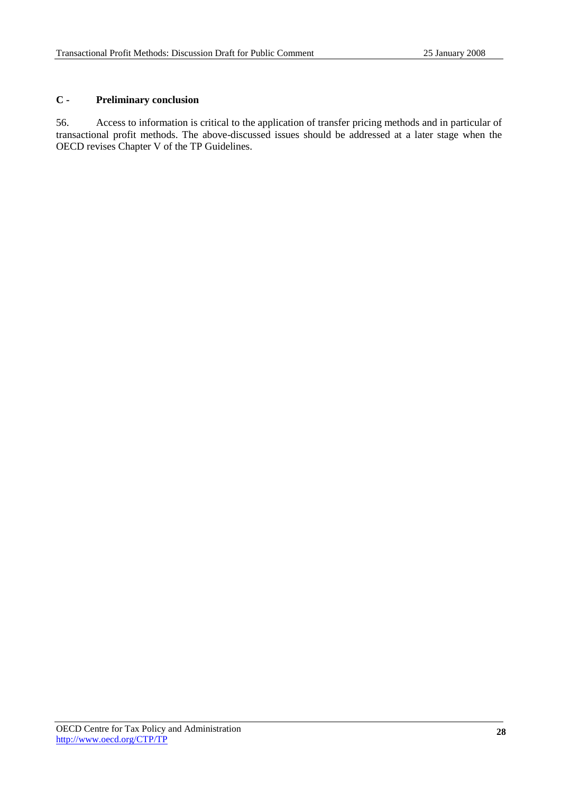# **C - Preliminary conclusion**

56. Access to information is critical to the application of transfer pricing methods and in particular of transactional profit methods. The above-discussed issues should be addressed at a later stage when the OECD revises Chapter V of the TP Guidelines.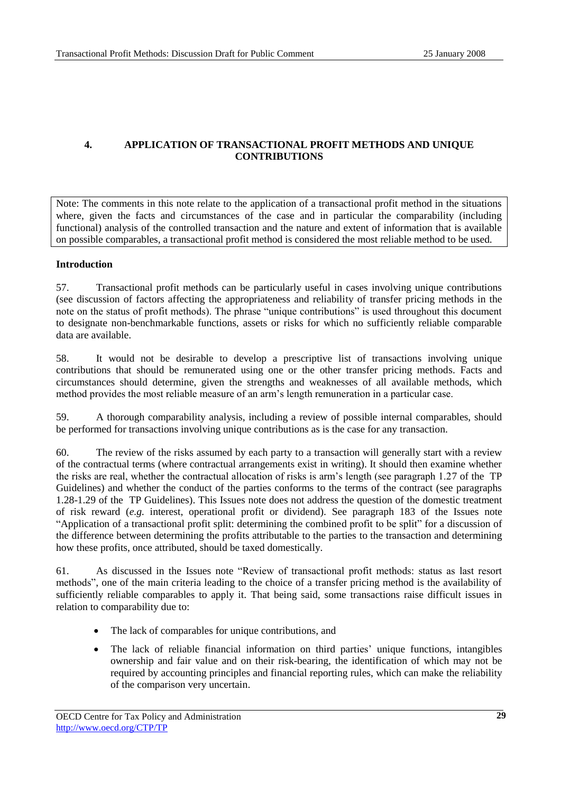# **4. APPLICATION OF TRANSACTIONAL PROFIT METHODS AND UNIQUE CONTRIBUTIONS**

Note: The comments in this note relate to the application of a transactional profit method in the situations where, given the facts and circumstances of the case and in particular the comparability (including functional) analysis of the controlled transaction and the nature and extent of information that is available on possible comparables, a transactional profit method is considered the most reliable method to be used.

## **Introduction**

57. Transactional profit methods can be particularly useful in cases involving unique contributions (see discussion of factors affecting the appropriateness and reliability of transfer pricing methods in the note on the status of profit methods). The phrase "unique contributions" is used throughout this document to designate non-benchmarkable functions, assets or risks for which no sufficiently reliable comparable data are available.

58. It would not be desirable to develop a prescriptive list of transactions involving unique contributions that should be remunerated using one or the other transfer pricing methods. Facts and circumstances should determine, given the strengths and weaknesses of all available methods, which method provides the most reliable measure of an arm's length remuneration in a particular case.

59. A thorough comparability analysis, including a review of possible internal comparables, should be performed for transactions involving unique contributions as is the case for any transaction.

60. The review of the risks assumed by each party to a transaction will generally start with a review of the contractual terms (where contractual arrangements exist in writing). It should then examine whether the risks are real, whether the contractual allocation of risks is arm's length (see paragraph 1.27 of the TP Guidelines) and whether the conduct of the parties conforms to the terms of the contract (see paragraphs 1.28-1.29 of the TP Guidelines). This Issues note does not address the question of the domestic treatment of risk reward (*e.g.* interest, operational profit or dividend). See paragraph 183 of the Issues note "Application of a transactional profit split: determining the combined profit to be split" for a discussion of the difference between determining the profits attributable to the parties to the transaction and determining how these profits, once attributed, should be taxed domestically.

61. As discussed in the Issues note "Review of transactional profit methods: status as last resort methods", one of the main criteria leading to the choice of a transfer pricing method is the availability of sufficiently reliable comparables to apply it. That being said, some transactions raise difficult issues in relation to comparability due to:

- The lack of comparables for unique contributions, and
- The lack of reliable financial information on third parties' unique functions, intangibles ownership and fair value and on their risk-bearing, the identification of which may not be required by accounting principles and financial reporting rules, which can make the reliability of the comparison very uncertain.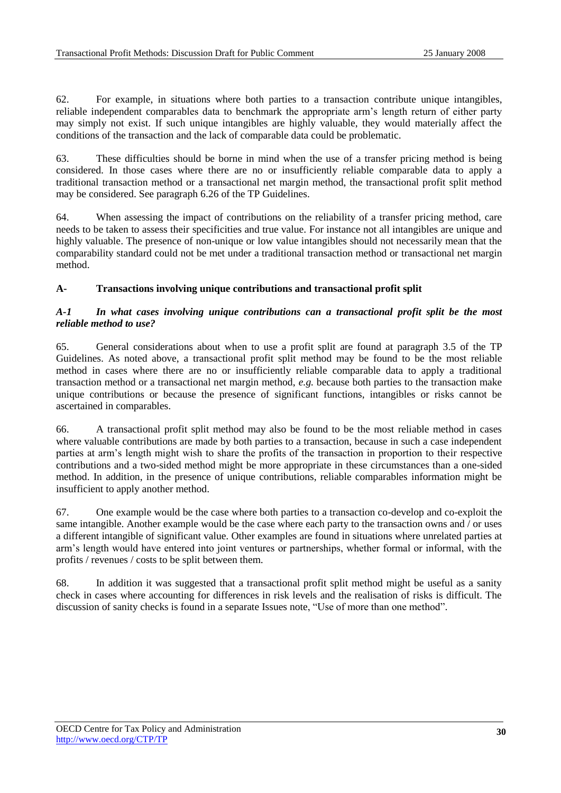62. For example, in situations where both parties to a transaction contribute unique intangibles, reliable independent comparables data to benchmark the appropriate arm's length return of either party may simply not exist. If such unique intangibles are highly valuable, they would materially affect the conditions of the transaction and the lack of comparable data could be problematic.

63. These difficulties should be borne in mind when the use of a transfer pricing method is being considered. In those cases where there are no or insufficiently reliable comparable data to apply a traditional transaction method or a transactional net margin method, the transactional profit split method may be considered. See paragraph 6.26 of the TP Guidelines.

64. When assessing the impact of contributions on the reliability of a transfer pricing method, care needs to be taken to assess their specificities and true value. For instance not all intangibles are unique and highly valuable. The presence of non-unique or low value intangibles should not necessarily mean that the comparability standard could not be met under a traditional transaction method or transactional net margin method.

# **A- Transactions involving unique contributions and transactional profit split**

### *A-1 In what cases involving unique contributions can a transactional profit split be the most reliable method to use?*

65. General considerations about when to use a profit split are found at paragraph 3.5 of the TP Guidelines. As noted above, a transactional profit split method may be found to be the most reliable method in cases where there are no or insufficiently reliable comparable data to apply a traditional transaction method or a transactional net margin method, *e.g.* because both parties to the transaction make unique contributions or because the presence of significant functions, intangibles or risks cannot be ascertained in comparables.

66. A transactional profit split method may also be found to be the most reliable method in cases where valuable contributions are made by both parties to a transaction, because in such a case independent parties at arm's length might wish to share the profits of the transaction in proportion to their respective contributions and a two-sided method might be more appropriate in these circumstances than a one-sided method. In addition, in the presence of unique contributions, reliable comparables information might be insufficient to apply another method.

67. One example would be the case where both parties to a transaction co-develop and co-exploit the same intangible. Another example would be the case where each party to the transaction owns and / or uses a different intangible of significant value. Other examples are found in situations where unrelated parties at arm's length would have entered into joint ventures or partnerships, whether formal or informal, with the profits / revenues / costs to be split between them.

68. In addition it was suggested that a transactional profit split method might be useful as a sanity check in cases where accounting for differences in risk levels and the realisation of risks is difficult. The discussion of sanity checks is found in a separate Issues note, "Use of more than one method".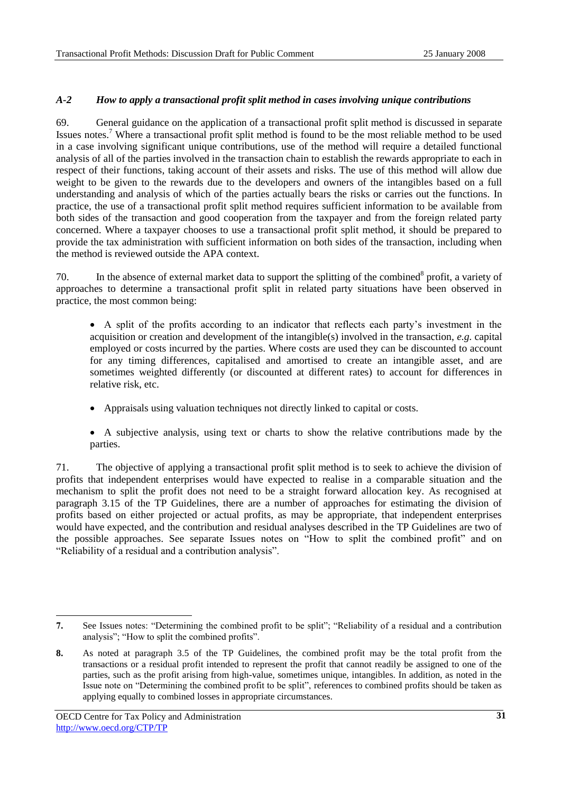# *A-2 How to apply a transactional profit split method in cases involving unique contributions*

69. General guidance on the application of a transactional profit split method is discussed in separate Issues notes. <sup>7</sup> Where a transactional profit split method is found to be the most reliable method to be used in a case involving significant unique contributions, use of the method will require a detailed functional analysis of all of the parties involved in the transaction chain to establish the rewards appropriate to each in respect of their functions, taking account of their assets and risks. The use of this method will allow due weight to be given to the rewards due to the developers and owners of the intangibles based on a full understanding and analysis of which of the parties actually bears the risks or carries out the functions. In practice, the use of a transactional profit split method requires sufficient information to be available from both sides of the transaction and good cooperation from the taxpayer and from the foreign related party concerned. Where a taxpayer chooses to use a transactional profit split method, it should be prepared to provide the tax administration with sufficient information on both sides of the transaction, including when the method is reviewed outside the APA context.

70. In the absence of external market data to support the splitting of the combined<sup>8</sup> profit, a variety of approaches to determine a transactional profit split in related party situations have been observed in practice, the most common being:

 A split of the profits according to an indicator that reflects each party's investment in the acquisition or creation and development of the intangible(s) involved in the transaction, *e.g.* capital employed or costs incurred by the parties. Where costs are used they can be discounted to account for any timing differences, capitalised and amortised to create an intangible asset, and are sometimes weighted differently (or discounted at different rates) to account for differences in relative risk, etc.

- Appraisals using valuation techniques not directly linked to capital or costs.
- A subjective analysis, using text or charts to show the relative contributions made by the parties.

71. The objective of applying a transactional profit split method is to seek to achieve the division of profits that independent enterprises would have expected to realise in a comparable situation and the mechanism to split the profit does not need to be a straight forward allocation key. As recognised at paragraph 3.15 of the TP Guidelines, there are a number of approaches for estimating the division of profits based on either projected or actual profits, as may be appropriate, that independent enterprises would have expected, and the contribution and residual analyses described in the TP Guidelines are two of the possible approaches. See separate Issues notes on "How to split the combined profit" and on "Reliability of a residual and a contribution analysis".

 $\overline{a}$ **7.** See Issues notes: "Determining the combined profit to be split"; "Reliability of a residual and a contribution analysis"; "How to split the combined profits".

**<sup>8.</sup>** As noted at paragraph 3.5 of the TP Guidelines, the combined profit may be the total profit from the transactions or a residual profit intended to represent the profit that cannot readily be assigned to one of the parties, such as the profit arising from high-value, sometimes unique, intangibles. In addition, as noted in the Issue note on "Determining the combined profit to be split", references to combined profits should be taken as applying equally to combined losses in appropriate circumstances.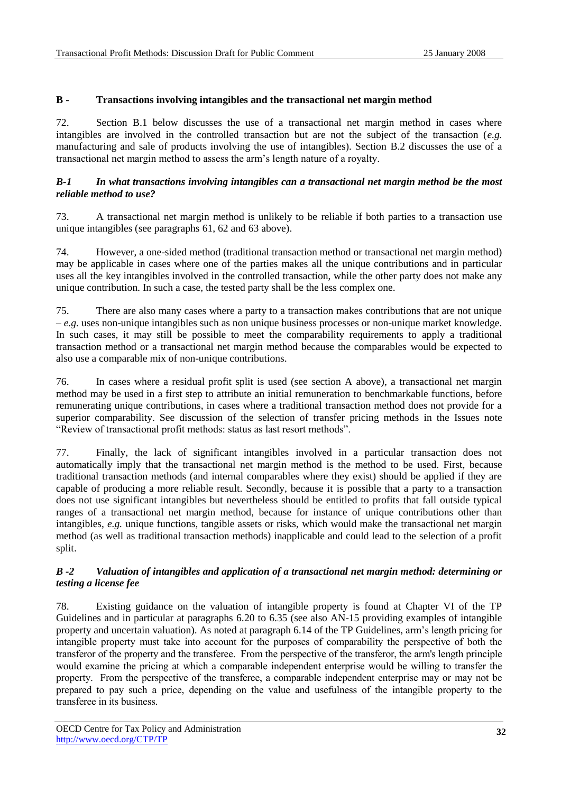# **B - Transactions involving intangibles and the transactional net margin method**

72. Section B.1 below discusses the use of a transactional net margin method in cases where intangibles are involved in the controlled transaction but are not the subject of the transaction (*e.g.* manufacturing and sale of products involving the use of intangibles). Section B.2 discusses the use of a transactional net margin method to assess the arm's length nature of a royalty.

### *B-1 In what transactions involving intangibles can a transactional net margin method be the most reliable method to use?*

73. A transactional net margin method is unlikely to be reliable if both parties to a transaction use unique intangibles (see paragraphs 61, 62 and 63 above).

74. However, a one-sided method (traditional transaction method or transactional net margin method) may be applicable in cases where one of the parties makes all the unique contributions and in particular uses all the key intangibles involved in the controlled transaction, while the other party does not make any unique contribution. In such a case, the tested party shall be the less complex one.

75. There are also many cases where a party to a transaction makes contributions that are not unique  $-e.g.$  uses non-unique intangibles such as non unique business processes or non-unique market knowledge. In such cases, it may still be possible to meet the comparability requirements to apply a traditional transaction method or a transactional net margin method because the comparables would be expected to also use a comparable mix of non-unique contributions.

76. In cases where a residual profit split is used (see section A above), a transactional net margin method may be used in a first step to attribute an initial remuneration to benchmarkable functions, before remunerating unique contributions, in cases where a traditional transaction method does not provide for a superior comparability. See discussion of the selection of transfer pricing methods in the Issues note "Review of transactional profit methods: status as last resort methods".

77. Finally, the lack of significant intangibles involved in a particular transaction does not automatically imply that the transactional net margin method is the method to be used. First, because traditional transaction methods (and internal comparables where they exist) should be applied if they are capable of producing a more reliable result. Secondly, because it is possible that a party to a transaction does not use significant intangibles but nevertheless should be entitled to profits that fall outside typical ranges of a transactional net margin method, because for instance of unique contributions other than intangibles, *e.g.* unique functions, tangible assets or risks, which would make the transactional net margin method (as well as traditional transaction methods) inapplicable and could lead to the selection of a profit split.

## *B -2 Valuation of intangibles and application of a transactional net margin method: determining or testing a license fee*

78. Existing guidance on the valuation of intangible property is found at Chapter VI of the TP Guidelines and in particular at paragraphs 6.20 to 6.35 (see also AN-15 providing examples of intangible property and uncertain valuation). As noted at paragraph 6.14 of the TP Guidelines, arm's length pricing for intangible property must take into account for the purposes of comparability the perspective of both the transferor of the property and the transferee. From the perspective of the transferor, the arm's length principle would examine the pricing at which a comparable independent enterprise would be willing to transfer the property. From the perspective of the transferee, a comparable independent enterprise may or may not be prepared to pay such a price, depending on the value and usefulness of the intangible property to the transferee in its business.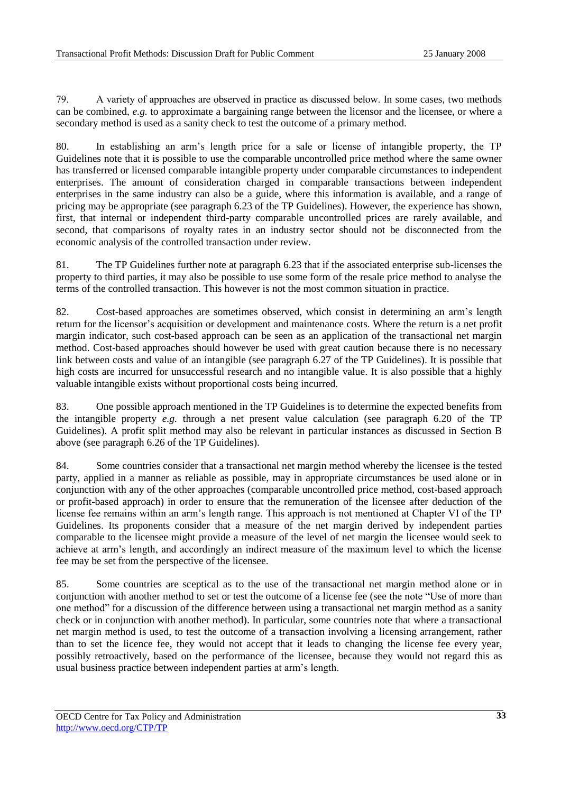79. A variety of approaches are observed in practice as discussed below. In some cases, two methods can be combined, *e.g.* to approximate a bargaining range between the licensor and the licensee, or where a secondary method is used as a sanity check to test the outcome of a primary method.

80. In establishing an arm's length price for a sale or license of intangible property, the TP Guidelines note that it is possible to use the comparable uncontrolled price method where the same owner has transferred or licensed comparable intangible property under comparable circumstances to independent enterprises. The amount of consideration charged in comparable transactions between independent enterprises in the same industry can also be a guide, where this information is available, and a range of pricing may be appropriate (see paragraph 6.23 of the TP Guidelines). However, the experience has shown, first, that internal or independent third-party comparable uncontrolled prices are rarely available, and second, that comparisons of royalty rates in an industry sector should not be disconnected from the economic analysis of the controlled transaction under review.

81. The TP Guidelines further note at paragraph 6.23 that if the associated enterprise sub-licenses the property to third parties, it may also be possible to use some form of the resale price method to analyse the terms of the controlled transaction. This however is not the most common situation in practice.

82. Cost-based approaches are sometimes observed, which consist in determining an arm's length return for the licensor's acquisition or development and maintenance costs. Where the return is a net profit margin indicator, such cost-based approach can be seen as an application of the transactional net margin method. Cost-based approaches should however be used with great caution because there is no necessary link between costs and value of an intangible (see paragraph 6.27 of the TP Guidelines). It is possible that high costs are incurred for unsuccessful research and no intangible value. It is also possible that a highly valuable intangible exists without proportional costs being incurred.

83. One possible approach mentioned in the TP Guidelines is to determine the expected benefits from the intangible property *e.g.* through a net present value calculation (see paragraph 6.20 of the TP Guidelines). A profit split method may also be relevant in particular instances as discussed in Section B above (see paragraph 6.26 of the TP Guidelines).

84. Some countries consider that a transactional net margin method whereby the licensee is the tested party, applied in a manner as reliable as possible, may in appropriate circumstances be used alone or in conjunction with any of the other approaches (comparable uncontrolled price method, cost-based approach or profit-based approach) in order to ensure that the remuneration of the licensee after deduction of the license fee remains within an arm's length range. This approach is not mentioned at Chapter VI of the TP Guidelines. Its proponents consider that a measure of the net margin derived by independent parties comparable to the licensee might provide a measure of the level of net margin the licensee would seek to achieve at arm's length, and accordingly an indirect measure of the maximum level to which the license fee may be set from the perspective of the licensee.

85. Some countries are sceptical as to the use of the transactional net margin method alone or in conjunction with another method to set or test the outcome of a license fee (see the note "Use of more than one method" for a discussion of the difference between using a transactional net margin method as a sanity check or in conjunction with another method). In particular, some countries note that where a transactional net margin method is used, to test the outcome of a transaction involving a licensing arrangement, rather than to set the licence fee, they would not accept that it leads to changing the license fee every year, possibly retroactively, based on the performance of the licensee, because they would not regard this as usual business practice between independent parties at arm's length.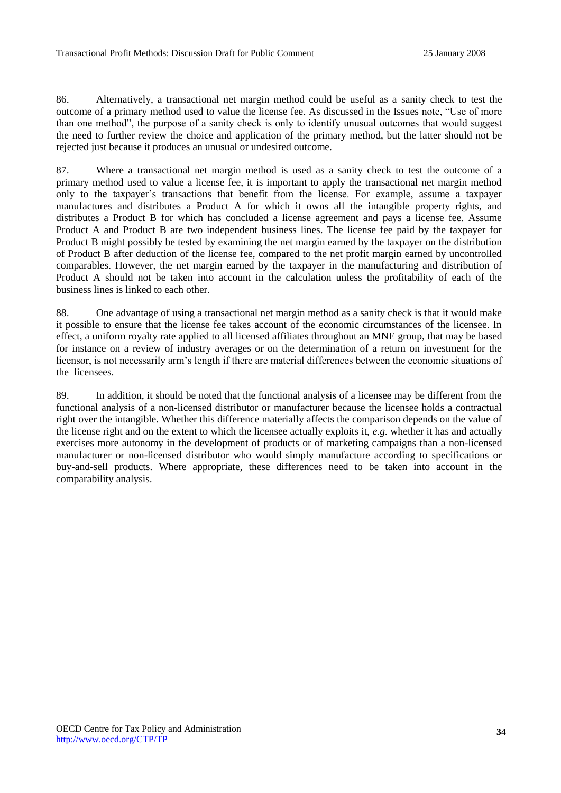86. Alternatively, a transactional net margin method could be useful as a sanity check to test the outcome of a primary method used to value the license fee. As discussed in the Issues note, "Use of more than one method", the purpose of a sanity check is only to identify unusual outcomes that would suggest the need to further review the choice and application of the primary method, but the latter should not be rejected just because it produces an unusual or undesired outcome.

87. Where a transactional net margin method is used as a sanity check to test the outcome of a primary method used to value a license fee, it is important to apply the transactional net margin method only to the taxpayer's transactions that benefit from the license. For example, assume a taxpayer manufactures and distributes a Product A for which it owns all the intangible property rights, and distributes a Product B for which has concluded a license agreement and pays a license fee. Assume Product A and Product B are two independent business lines. The license fee paid by the taxpayer for Product B might possibly be tested by examining the net margin earned by the taxpayer on the distribution of Product B after deduction of the license fee, compared to the net profit margin earned by uncontrolled comparables. However, the net margin earned by the taxpayer in the manufacturing and distribution of Product A should not be taken into account in the calculation unless the profitability of each of the business lines is linked to each other.

88. One advantage of using a transactional net margin method as a sanity check is that it would make it possible to ensure that the license fee takes account of the economic circumstances of the licensee. In effect, a uniform royalty rate applied to all licensed affiliates throughout an MNE group, that may be based for instance on a review of industry averages or on the determination of a return on investment for the licensor, is not necessarily arm's length if there are material differences between the economic situations of the licensees.

89. In addition, it should be noted that the functional analysis of a licensee may be different from the functional analysis of a non-licensed distributor or manufacturer because the licensee holds a contractual right over the intangible. Whether this difference materially affects the comparison depends on the value of the license right and on the extent to which the licensee actually exploits it, *e.g.* whether it has and actually exercises more autonomy in the development of products or of marketing campaigns than a non-licensed manufacturer or non-licensed distributor who would simply manufacture according to specifications or buy-and-sell products. Where appropriate, these differences need to be taken into account in the comparability analysis.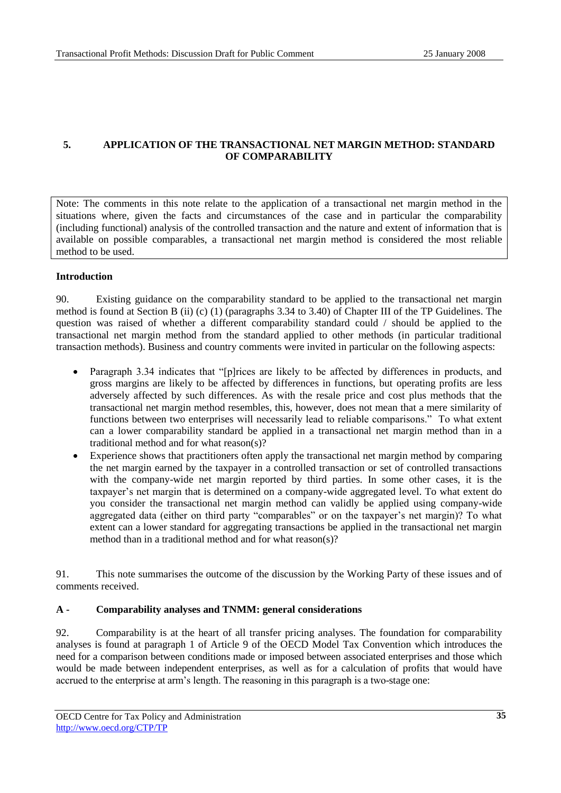# **5. APPLICATION OF THE TRANSACTIONAL NET MARGIN METHOD: STANDARD OF COMPARABILITY**

Note: The comments in this note relate to the application of a transactional net margin method in the situations where, given the facts and circumstances of the case and in particular the comparability (including functional) analysis of the controlled transaction and the nature and extent of information that is available on possible comparables, a transactional net margin method is considered the most reliable method to be used.

# **Introduction**

90. Existing guidance on the comparability standard to be applied to the transactional net margin method is found at Section B (ii) (c) (1) (paragraphs 3.34 to 3.40) of Chapter III of the TP Guidelines. The question was raised of whether a different comparability standard could / should be applied to the transactional net margin method from the standard applied to other methods (in particular traditional transaction methods). Business and country comments were invited in particular on the following aspects:

- Paragraph 3.34 indicates that "[p]rices are likely to be affected by differences in products, and gross margins are likely to be affected by differences in functions, but operating profits are less adversely affected by such differences. As with the resale price and cost plus methods that the transactional net margin method resembles, this, however, does not mean that a mere similarity of functions between two enterprises will necessarily lead to reliable comparisons." To what extent can a lower comparability standard be applied in a transactional net margin method than in a traditional method and for what reason(s)?
- Experience shows that practitioners often apply the transactional net margin method by comparing the net margin earned by the taxpayer in a controlled transaction or set of controlled transactions with the company-wide net margin reported by third parties. In some other cases, it is the taxpayer's net margin that is determined on a company-wide aggregated level. To what extent do you consider the transactional net margin method can validly be applied using company-wide aggregated data (either on third party "comparables" or on the taxpayer's net margin)? To what extent can a lower standard for aggregating transactions be applied in the transactional net margin method than in a traditional method and for what reason(s)?

91. This note summarises the outcome of the discussion by the Working Party of these issues and of comments received.

# **A - Comparability analyses and TNMM: general considerations**

92. Comparability is at the heart of all transfer pricing analyses. The foundation for comparability analyses is found at paragraph 1 of Article 9 of the OECD Model Tax Convention which introduces the need for a comparison between conditions made or imposed between associated enterprises and those which would be made between independent enterprises, as well as for a calculation of profits that would have accrued to the enterprise at arm's length. The reasoning in this paragraph is a two-stage one: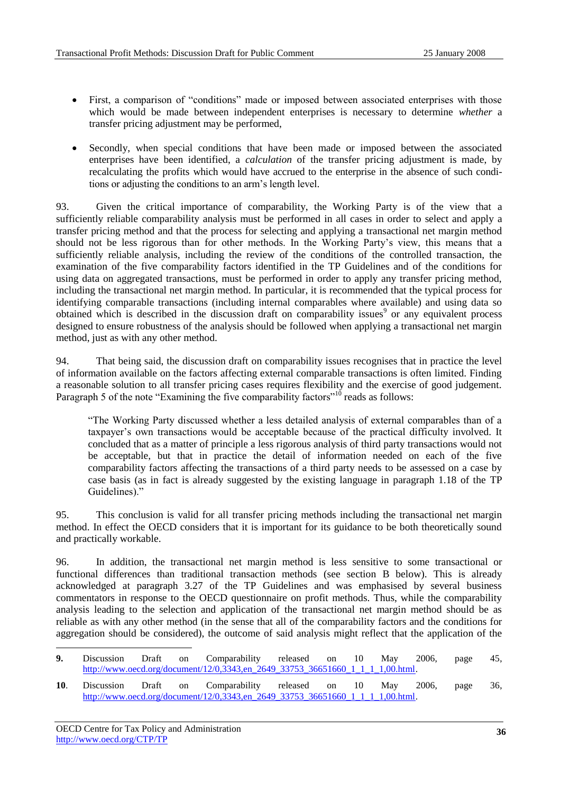- First, a comparison of "conditions" made or imposed between associated enterprises with those which would be made between independent enterprises is necessary to determine *whether* a transfer pricing adjustment may be performed,
- Secondly, when special conditions that have been made or imposed between the associated enterprises have been identified, a *calculation* of the transfer pricing adjustment is made, by recalculating the profits which would have accrued to the enterprise in the absence of such conditions or adjusting the conditions to an arm's length level.

93. Given the critical importance of comparability, the Working Party is of the view that a sufficiently reliable comparability analysis must be performed in all cases in order to select and apply a transfer pricing method and that the process for selecting and applying a transactional net margin method should not be less rigorous than for other methods. In the Working Party's view, this means that a sufficiently reliable analysis, including the review of the conditions of the controlled transaction, the examination of the five comparability factors identified in the TP Guidelines and of the conditions for using data on aggregated transactions, must be performed in order to apply any transfer pricing method, including the transactional net margin method. In particular, it is recommended that the typical process for identifying comparable transactions (including internal comparables where available) and using data so obtained which is described in the discussion draft on comparability issues<sup>9</sup> or any equivalent process designed to ensure robustness of the analysis should be followed when applying a transactional net margin method, just as with any other method.

94. That being said, the discussion draft on comparability issues recognises that in practice the level of information available on the factors affecting external comparable transactions is often limited. Finding a reasonable solution to all transfer pricing cases requires flexibility and the exercise of good judgement. Paragraph 5 of the note "Examining the five comparability factors"<sup>10</sup> reads as follows:

"The Working Party discussed whether a less detailed analysis of external comparables than of a taxpayer's own transactions would be acceptable because of the practical difficulty involved. It concluded that as a matter of principle a less rigorous analysis of third party transactions would not be acceptable, but that in practice the detail of information needed on each of the five comparability factors affecting the transactions of a third party needs to be assessed on a case by case basis (as in fact is already suggested by the existing language in paragraph 1.18 of the TP Guidelines)."

95. This conclusion is valid for all transfer pricing methods including the transactional net margin method. In effect the OECD considers that it is important for its guidance to be both theoretically sound and practically workable.

96. In addition, the transactional net margin method is less sensitive to some transactional or functional differences than traditional transaction methods (see section B below). This is already acknowledged at paragraph 3.27 of the TP Guidelines and was emphasised by several business commentators in response to the OECD questionnaire on profit methods. Thus, while the comparability analysis leading to the selection and application of the transactional net margin method should be as reliable as with any other method (in the sense that all of the comparability factors and the conditions for aggregation should be considered), the outcome of said analysis might reflect that the application of the

 $\overline{a}$ **9.** Discussion Draft on Comparability released on 10 May 2006, page 45, [http://www.oecd.org/document/12/0,3343,en\\_2649\\_33753\\_36651660\\_1\\_1\\_1\\_1,00.html.](http://www.oecd.org/document/12/0,3343,en_2649_33753_36651660_1_1_1_1,00.html)

**<sup>10</sup>**. Discussion Draft on Comparability released on 10 May 2006, page 36, [http://www.oecd.org/document/12/0,3343,en\\_2649\\_33753\\_36651660\\_1\\_1\\_1\\_1,00.html.](http://www.oecd.org/document/12/0,3343,en_2649_33753_36651660_1_1_1_1,00.html)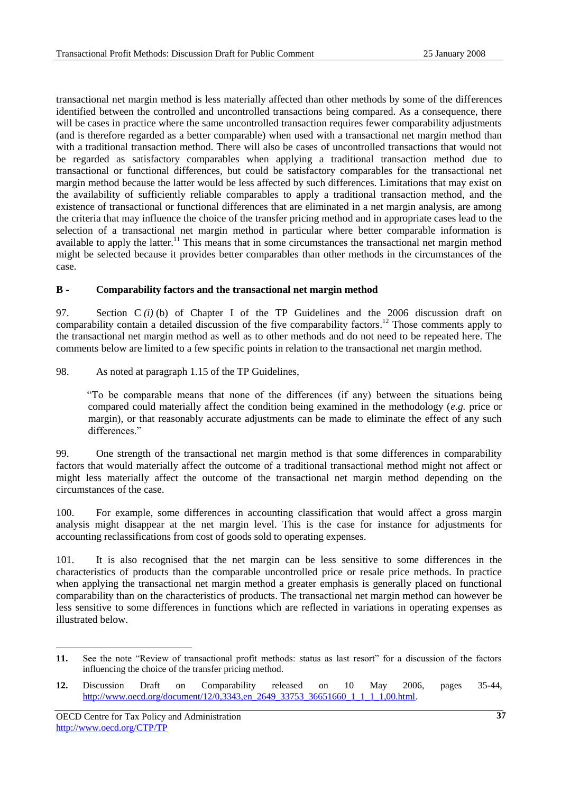transactional net margin method is less materially affected than other methods by some of the differences identified between the controlled and uncontrolled transactions being compared. As a consequence, there will be cases in practice where the same uncontrolled transaction requires fewer comparability adjustments (and is therefore regarded as a better comparable) when used with a transactional net margin method than with a traditional transaction method. There will also be cases of uncontrolled transactions that would not be regarded as satisfactory comparables when applying a traditional transaction method due to transactional or functional differences, but could be satisfactory comparables for the transactional net margin method because the latter would be less affected by such differences. Limitations that may exist on the availability of sufficiently reliable comparables to apply a traditional transaction method, and the existence of transactional or functional differences that are eliminated in a net margin analysis, are among the criteria that may influence the choice of the transfer pricing method and in appropriate cases lead to the selection of a transactional net margin method in particular where better comparable information is available to apply the latter.<sup>11</sup> This means that in some circumstances the transactional net margin method might be selected because it provides better comparables than other methods in the circumstances of the case.

# **B - Comparability factors and the transactional net margin method**

97. Section C *(i)* (b) of Chapter I of the TP Guidelines and the 2006 discussion draft on comparability contain a detailed discussion of the five comparability factors.<sup>12</sup> Those comments apply to the transactional net margin method as well as to other methods and do not need to be repeated here. The comments below are limited to a few specific points in relation to the transactional net margin method.

98. As noted at paragraph 1.15 of the TP Guidelines,

"To be comparable means that none of the differences (if any) between the situations being compared could materially affect the condition being examined in the methodology (*e.g.* price or margin), or that reasonably accurate adjustments can be made to eliminate the effect of any such differences."

99. One strength of the transactional net margin method is that some differences in comparability factors that would materially affect the outcome of a traditional transactional method might not affect or might less materially affect the outcome of the transactional net margin method depending on the circumstances of the case.

100. For example, some differences in accounting classification that would affect a gross margin analysis might disappear at the net margin level. This is the case for instance for adjustments for accounting reclassifications from cost of goods sold to operating expenses.

101. It is also recognised that the net margin can be less sensitive to some differences in the characteristics of products than the comparable uncontrolled price or resale price methods. In practice when applying the transactional net margin method a greater emphasis is generally placed on functional comparability than on the characteristics of products. The transactional net margin method can however be less sensitive to some differences in functions which are reflected in variations in operating expenses as illustrated below.

 $\overline{a}$ 

**<sup>11.</sup>** See the note "Review of transactional profit methods: status as last resort" for a discussion of the factors influencing the choice of the transfer pricing method.

**<sup>12.</sup>** Discussion Draft on Comparability released on 10 May 2006, pages 35-44, [http://www.oecd.org/document/12/0,3343,en\\_2649\\_33753\\_36651660\\_1\\_1\\_1\\_1,00.html.](http://www.oecd.org/document/12/0,3343,en_2649_33753_36651660_1_1_1_1,00.html)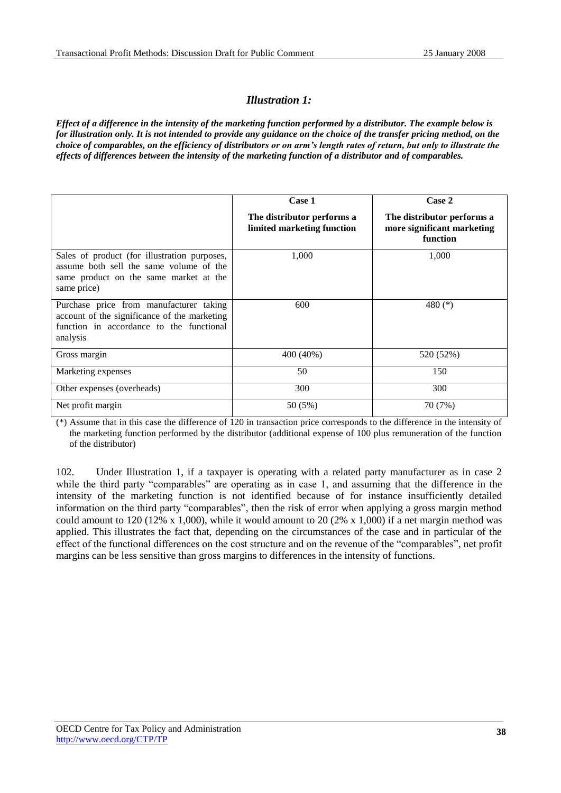# *Illustration 1:*

*Effect of a difference in the intensity of the marketing function performed by a distributor. The example below is for illustration only. It is not intended to provide any guidance on the choice of the transfer pricing method, on the choice of comparables, on the efficiency of distributors or on arm's length rates of return, but only to illustrate the effects of differences between the intensity of the marketing function of a distributor and of comparables.*

|                                                                                                                                                  | Case 1                                                   | Case 2                                                               |
|--------------------------------------------------------------------------------------------------------------------------------------------------|----------------------------------------------------------|----------------------------------------------------------------------|
|                                                                                                                                                  | The distributor performs a<br>limited marketing function | The distributor performs a<br>more significant marketing<br>function |
| Sales of product (for illustration purposes,<br>assume both sell the same volume of the<br>same product on the same market at the<br>same price) | 1,000                                                    | 1,000                                                                |
| Purchase price from manufacturer taking<br>account of the significance of the marketing<br>function in accordance to the functional<br>analysis  | 600                                                      | 480 $(*)$                                                            |
| Gross margin                                                                                                                                     | 400 (40%)                                                | 520 (52%)                                                            |
| Marketing expenses                                                                                                                               | 50                                                       | 150                                                                  |
| Other expenses (overheads)                                                                                                                       | 300                                                      | 300                                                                  |
| Net profit margin                                                                                                                                | 50 (5%)                                                  | 70 (7%)                                                              |

(\*) Assume that in this case the difference of 120 in transaction price corresponds to the difference in the intensity of the marketing function performed by the distributor (additional expense of 100 plus remuneration of the function of the distributor)

102. Under Illustration 1, if a taxpayer is operating with a related party manufacturer as in case 2 while the third party "comparables" are operating as in case 1, and assuming that the difference in the intensity of the marketing function is not identified because of for instance insufficiently detailed information on the third party "comparables", then the risk of error when applying a gross margin method could amount to 120 (12% x 1,000), while it would amount to 20 (2% x 1,000) if a net margin method was applied. This illustrates the fact that, depending on the circumstances of the case and in particular of the effect of the functional differences on the cost structure and on the revenue of the "comparables", net profit margins can be less sensitive than gross margins to differences in the intensity of functions.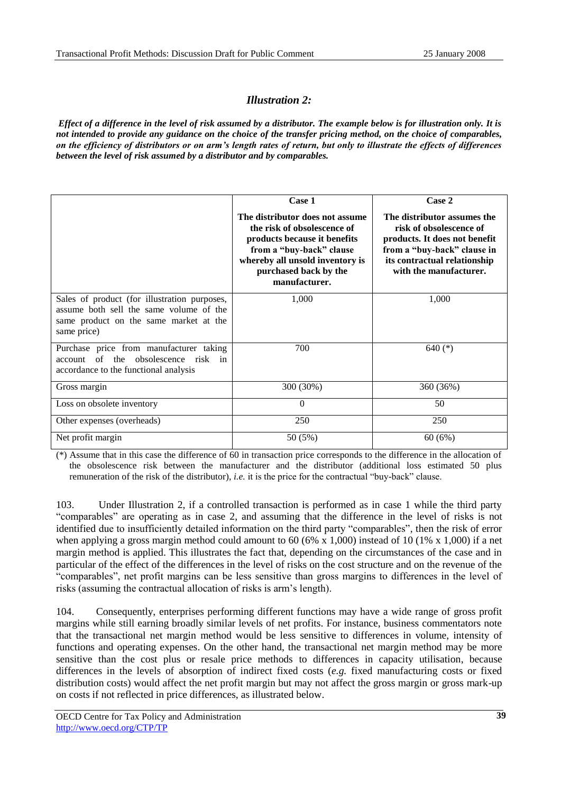# *Illustration 2:*

*Effect of a difference in the level of risk assumed by a distributor. The example below is for illustration only. It is not intended to provide any guidance on the choice of the transfer pricing method, on the choice of comparables, on the efficiency of distributors or on arm's length rates of return, but only to illustrate the effects of differences between the level of risk assumed by a distributor and by comparables.*

|                                                                                                                                                  | <b>Case 1</b>                                                                                                                                                                                           | Case 2                                                                                                                                                                           |  |
|--------------------------------------------------------------------------------------------------------------------------------------------------|---------------------------------------------------------------------------------------------------------------------------------------------------------------------------------------------------------|----------------------------------------------------------------------------------------------------------------------------------------------------------------------------------|--|
|                                                                                                                                                  | The distributor does not assume<br>the risk of obsolescence of<br>products because it benefits<br>from a "buy-back" clause<br>whereby all unsold inventory is<br>purchased back by the<br>manufacturer. | The distributor assumes the<br>risk of obsolescence of<br>products. It does not benefit<br>from a "buy-back" clause in<br>its contractual relationship<br>with the manufacturer. |  |
| Sales of product (for illustration purposes,<br>assume both sell the same volume of the<br>same product on the same market at the<br>same price) | 1,000                                                                                                                                                                                                   | 1,000                                                                                                                                                                            |  |
| Purchase price from manufacturer taking<br>account of the<br>obsolescence risk<br>in<br>accordance to the functional analysis                    | 700                                                                                                                                                                                                     | 640 $(*)$                                                                                                                                                                        |  |
| Gross margin                                                                                                                                     | 300 (30%)                                                                                                                                                                                               | 360 (36%)                                                                                                                                                                        |  |
| Loss on obsolete inventory                                                                                                                       | 0                                                                                                                                                                                                       | 50                                                                                                                                                                               |  |
| Other expenses (overheads)                                                                                                                       | 250                                                                                                                                                                                                     | 250                                                                                                                                                                              |  |
| Net profit margin                                                                                                                                | 50 (5%)                                                                                                                                                                                                 | 60(6%)                                                                                                                                                                           |  |

(\*) Assume that in this case the difference of 60 in transaction price corresponds to the difference in the allocation of the obsolescence risk between the manufacturer and the distributor (additional loss estimated 50 plus remuneration of the risk of the distributor), *i.e.* it is the price for the contractual "buy-back" clause.

103. Under Illustration 2, if a controlled transaction is performed as in case 1 while the third party "comparables" are operating as in case 2, and assuming that the difference in the level of risks is not identified due to insufficiently detailed information on the third party "comparables", then the risk of error when applying a gross margin method could amount to 60 (6% x 1,000) instead of 10 (1% x 1,000) if a net margin method is applied. This illustrates the fact that, depending on the circumstances of the case and in particular of the effect of the differences in the level of risks on the cost structure and on the revenue of the "comparables", net profit margins can be less sensitive than gross margins to differences in the level of risks (assuming the contractual allocation of risks is arm's length).

104. Consequently, enterprises performing different functions may have a wide range of gross profit margins while still earning broadly similar levels of net profits. For instance, business commentators note that the transactional net margin method would be less sensitive to differences in volume, intensity of functions and operating expenses. On the other hand, the transactional net margin method may be more sensitive than the cost plus or resale price methods to differences in capacity utilisation, because differences in the levels of absorption of indirect fixed costs (*e.g.* fixed manufacturing costs or fixed distribution costs) would affect the net profit margin but may not affect the gross margin or gross mark-up on costs if not reflected in price differences, as illustrated below.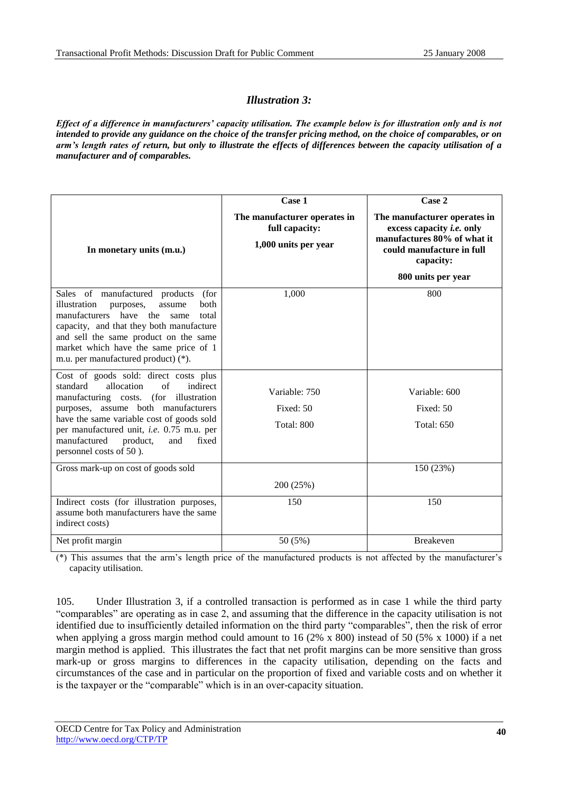# *Illustration 3:*

*Effect of a difference in manufacturers' capacity utilisation. The example below is for illustration only and is not intended to provide any guidance on the choice of the transfer pricing method, on the choice of comparables, or on arm's length rates of return, but only to illustrate the effects of differences between the capacity utilisation of a manufacturer and of comparables.*

|                                                                                                                                                                                                                                                                                                                                             | Case 1                                                                 | Case 2                                                                                                                                                          |
|---------------------------------------------------------------------------------------------------------------------------------------------------------------------------------------------------------------------------------------------------------------------------------------------------------------------------------------------|------------------------------------------------------------------------|-----------------------------------------------------------------------------------------------------------------------------------------------------------------|
| In monetary units (m.u.)                                                                                                                                                                                                                                                                                                                    | The manufacturer operates in<br>full capacity:<br>1,000 units per year | The manufacturer operates in<br>excess capacity <i>i.e.</i> only<br>manufactures 80% of what it<br>could manufacture in full<br>capacity:<br>800 units per year |
| Sales of manufactured products<br>(for<br>illustration<br>purposes,<br><b>both</b><br>assume<br>manufacturers<br>have the<br>total<br>same<br>capacity, and that they both manufacture<br>and sell the same product on the same<br>market which have the same price of 1<br>m.u. per manufactured product) (*).                             | 1,000                                                                  | 800                                                                                                                                                             |
| Cost of goods sold: direct costs plus<br>allocation<br>standard<br>indirect<br>$\sigma$ f<br>manufacturing costs. (for illustration<br>purposes, assume both manufacturers<br>have the same variable cost of goods sold<br>per manufactured unit, i.e. 0.75 m.u. per<br>manufactured<br>fixed<br>product,<br>and<br>personnel costs of 50). | Variable: 750<br>Fixed: 50<br><b>Total: 800</b>                        | Variable: 600<br>Fixed: 50<br><b>Total: 650</b>                                                                                                                 |
| Gross mark-up on cost of goods sold                                                                                                                                                                                                                                                                                                         | 200 (25%)                                                              | 150 (23%)                                                                                                                                                       |
| Indirect costs (for illustration purposes,<br>assume both manufacturers have the same<br>indirect costs)                                                                                                                                                                                                                                    | 150                                                                    | 150                                                                                                                                                             |
| Net profit margin                                                                                                                                                                                                                                                                                                                           | 50 (5%)                                                                | Breakeven                                                                                                                                                       |

(\*) This assumes that the arm's length price of the manufactured products is not affected by the manufacturer's capacity utilisation.

105. Under Illustration 3, if a controlled transaction is performed as in case 1 while the third party "comparables" are operating as in case 2, and assuming that the difference in the capacity utilisation is not identified due to insufficiently detailed information on the third party "comparables", then the risk of error when applying a gross margin method could amount to 16 (2% x 800) instead of 50 (5% x 1000) if a net margin method is applied. This illustrates the fact that net profit margins can be more sensitive than gross mark-up or gross margins to differences in the capacity utilisation, depending on the facts and circumstances of the case and in particular on the proportion of fixed and variable costs and on whether it is the taxpayer or the "comparable" which is in an over-capacity situation.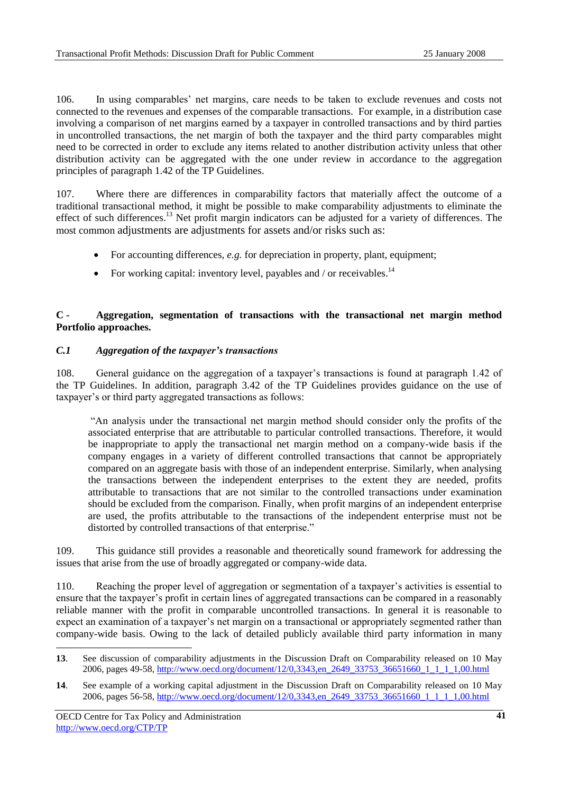106. In using comparables' net margins, care needs to be taken to exclude revenues and costs not connected to the revenues and expenses of the comparable transactions. For example, in a distribution case involving a comparison of net margins earned by a taxpayer in controlled transactions and by third parties in uncontrolled transactions, the net margin of both the taxpayer and the third party comparables might need to be corrected in order to exclude any items related to another distribution activity unless that other distribution activity can be aggregated with the one under review in accordance to the aggregation principles of paragraph 1.42 of the TP Guidelines.

107. Where there are differences in comparability factors that materially affect the outcome of a traditional transactional method, it might be possible to make comparability adjustments to eliminate the effect of such differences.<sup>13</sup> Net profit margin indicators can be adjusted for a variety of differences. The most common adjustments are adjustments for assets and/or risks such as:

- For accounting differences, *e.g.* for depreciation in property, plant, equipment;
- For working capital: inventory level, payables and / or receivables.<sup>14</sup>

# **C - Aggregation, segmentation of transactions with the transactional net margin method Portfolio approaches.**

# *C.1 Aggregation of the taxpayer's transactions*

108. General guidance on the aggregation of a taxpayer's transactions is found at paragraph 1.42 of the TP Guidelines. In addition, paragraph 3.42 of the TP Guidelines provides guidance on the use of taxpayer's or third party aggregated transactions as follows:

"An analysis under the transactional net margin method should consider only the profits of the associated enterprise that are attributable to particular controlled transactions. Therefore, it would be inappropriate to apply the transactional net margin method on a company-wide basis if the company engages in a variety of different controlled transactions that cannot be appropriately compared on an aggregate basis with those of an independent enterprise. Similarly, when analysing the transactions between the independent enterprises to the extent they are needed, profits attributable to transactions that are not similar to the controlled transactions under examination should be excluded from the comparison. Finally, when profit margins of an independent enterprise are used, the profits attributable to the transactions of the independent enterprise must not be distorted by controlled transactions of that enterprise."

109. This guidance still provides a reasonable and theoretically sound framework for addressing the issues that arise from the use of broadly aggregated or company-wide data.

110. Reaching the proper level of aggregation or segmentation of a taxpayer's activities is essential to ensure that the taxpayer's profit in certain lines of aggregated transactions can be compared in a reasonably reliable manner with the profit in comparable uncontrolled transactions. In general it is reasonable to expect an examination of a taxpayer's net margin on a transactional or appropriately segmented rather than company-wide basis. Owing to the lack of detailed publicly available third party information in many

 $\overline{a}$ **13**. See discussion of comparability adjustments in the Discussion Draft on Comparability released on 10 May 2006, pages 49-58[, http://www.oecd.org/document/12/0,3343,en\\_2649\\_33753\\_36651660\\_1\\_1\\_1\\_1,00.html](http://www.oecd.org/document/12/0,3343,en_2649_33753_36651660_1_1_1_1,00.html)

**<sup>14</sup>**. See example of a working capital adjustment in the Discussion Draft on Comparability released on 10 May 2006, pages 56-58[, http://www.oecd.org/document/12/0,3343,en\\_2649\\_33753\\_36651660\\_1\\_1\\_1\\_1,00.html](http://www.oecd.org/document/12/0,3343,en_2649_33753_36651660_1_1_1_1,00.html)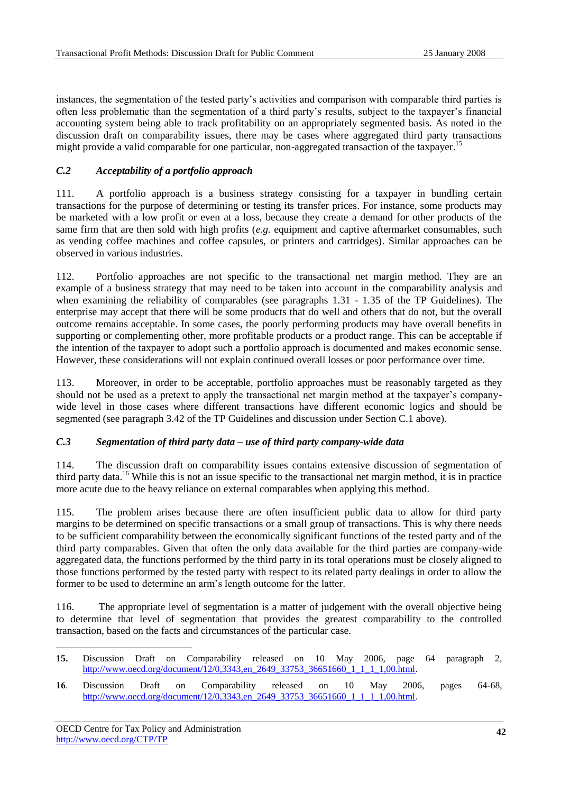instances, the segmentation of the tested party's activities and comparison with comparable third parties is often less problematic than the segmentation of a third party's results, subject to the taxpayer's financial accounting system being able to track profitability on an appropriately segmented basis. As noted in the discussion draft on comparability issues, there may be cases where aggregated third party transactions might provide a valid comparable for one particular, non-aggregated transaction of the taxpayer.<sup>15</sup>

# *C.2 Acceptability of a portfolio approach*

111. A portfolio approach is a business strategy consisting for a taxpayer in bundling certain transactions for the purpose of determining or testing its transfer prices. For instance, some products may be marketed with a low profit or even at a loss, because they create a demand for other products of the same firm that are then sold with high profits (*e.g.* equipment and captive aftermarket consumables, such as vending coffee machines and coffee capsules, or printers and cartridges). Similar approaches can be observed in various industries.

112. Portfolio approaches are not specific to the transactional net margin method. They are an example of a business strategy that may need to be taken into account in the comparability analysis and when examining the reliability of comparables (see paragraphs 1.31 - 1.35 of the TP Guidelines). The enterprise may accept that there will be some products that do well and others that do not, but the overall outcome remains acceptable. In some cases, the poorly performing products may have overall benefits in supporting or complementing other, more profitable products or a product range. This can be acceptable if the intention of the taxpayer to adopt such a portfolio approach is documented and makes economic sense. However, these considerations will not explain continued overall losses or poor performance over time.

113. Moreover, in order to be acceptable, portfolio approaches must be reasonably targeted as they should not be used as a pretext to apply the transactional net margin method at the taxpayer's companywide level in those cases where different transactions have different economic logics and should be segmented (see paragraph 3.42 of the TP Guidelines and discussion under Section C.1 above).

## *C.3 Segmentation of third party data – use of third party company-wide data*

114. The discussion draft on comparability issues contains extensive discussion of segmentation of third party data.<sup>16</sup> While this is not an issue specific to the transactional net margin method, it is in practice more acute due to the heavy reliance on external comparables when applying this method.

115. The problem arises because there are often insufficient public data to allow for third party margins to be determined on specific transactions or a small group of transactions. This is why there needs to be sufficient comparability between the economically significant functions of the tested party and of the third party comparables. Given that often the only data available for the third parties are company-wide aggregated data, the functions performed by the third party in its total operations must be closely aligned to those functions performed by the tested party with respect to its related party dealings in order to allow the former to be used to determine an arm's length outcome for the latter.

116. The appropriate level of segmentation is a matter of judgement with the overall objective being to determine that level of segmentation that provides the greatest comparability to the controlled transaction, based on the facts and circumstances of the particular case.

 $\overline{a}$ **15.** Discussion Draft on Comparability released on 10 May 2006, page 64 paragraph 2, [http://www.oecd.org/document/12/0,3343,en\\_2649\\_33753\\_36651660\\_1\\_1\\_1\\_1,00.html.](http://www.oecd.org/document/12/0,3343,en_2649_33753_36651660_1_1_1_1,00.html)

**<sup>16</sup>**. Discussion Draft on Comparability released on 10 May 2006, pages 64-68, [http://www.oecd.org/document/12/0,3343,en\\_2649\\_33753\\_36651660\\_1\\_1\\_1\\_1,00.html.](http://www.oecd.org/document/12/0,3343,en_2649_33753_36651660_1_1_1_1,00.html)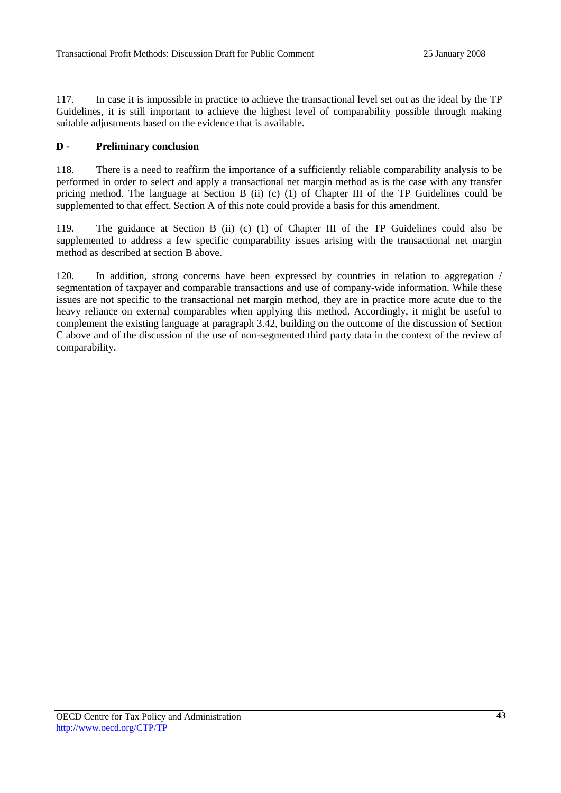117. In case it is impossible in practice to achieve the transactional level set out as the ideal by the TP Guidelines, it is still important to achieve the highest level of comparability possible through making suitable adjustments based on the evidence that is available.

# **D - Preliminary conclusion**

118. There is a need to reaffirm the importance of a sufficiently reliable comparability analysis to be performed in order to select and apply a transactional net margin method as is the case with any transfer pricing method. The language at Section B (ii) (c) (1) of Chapter III of the TP Guidelines could be supplemented to that effect. Section A of this note could provide a basis for this amendment.

119. The guidance at Section B (ii) (c) (1) of Chapter III of the TP Guidelines could also be supplemented to address a few specific comparability issues arising with the transactional net margin method as described at section B above.

120. In addition, strong concerns have been expressed by countries in relation to aggregation / segmentation of taxpayer and comparable transactions and use of company-wide information. While these issues are not specific to the transactional net margin method, they are in practice more acute due to the heavy reliance on external comparables when applying this method. Accordingly, it might be useful to complement the existing language at paragraph 3.42, building on the outcome of the discussion of Section C above and of the discussion of the use of non-segmented third party data in the context of the review of comparability.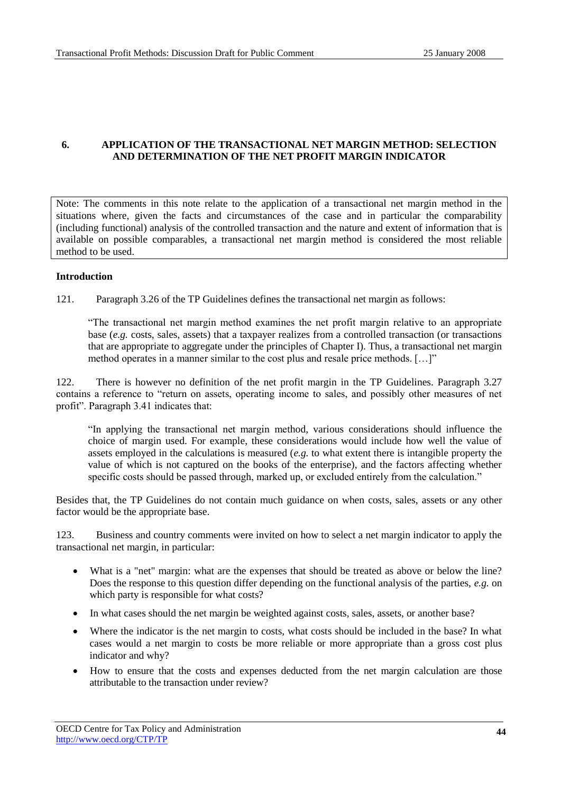#### **6. APPLICATION OF THE TRANSACTIONAL NET MARGIN METHOD: SELECTION AND DETERMINATION OF THE NET PROFIT MARGIN INDICATOR**

Note: The comments in this note relate to the application of a transactional net margin method in the situations where, given the facts and circumstances of the case and in particular the comparability (including functional) analysis of the controlled transaction and the nature and extent of information that is available on possible comparables, a transactional net margin method is considered the most reliable method to be used.

#### **Introduction**

121. Paragraph 3.26 of the TP Guidelines defines the transactional net margin as follows:

"The transactional net margin method examines the net profit margin relative to an appropriate base (*e.g.* costs, sales, assets) that a taxpayer realizes from a controlled transaction (or transactions that are appropriate to aggregate under the principles of Chapter I). Thus, a transactional net margin method operates in a manner similar to the cost plus and resale price methods. […]"

122. There is however no definition of the net profit margin in the TP Guidelines. Paragraph 3.27 contains a reference to "return on assets, operating income to sales, and possibly other measures of net profit". Paragraph 3.41 indicates that:

"In applying the transactional net margin method, various considerations should influence the choice of margin used. For example, these considerations would include how well the value of assets employed in the calculations is measured (*e.g.* to what extent there is intangible property the value of which is not captured on the books of the enterprise), and the factors affecting whether specific costs should be passed through, marked up, or excluded entirely from the calculation."

Besides that, the TP Guidelines do not contain much guidance on when costs, sales, assets or any other factor would be the appropriate base.

123. Business and country comments were invited on how to select a net margin indicator to apply the transactional net margin, in particular:

- What is a "net" margin: what are the expenses that should be treated as above or below the line? Does the response to this question differ depending on the functional analysis of the parties, *e.g.* on which party is responsible for what costs?
- In what cases should the net margin be weighted against costs, sales, assets, or another base?
- Where the indicator is the net margin to costs, what costs should be included in the base? In what cases would a net margin to costs be more reliable or more appropriate than a gross cost plus indicator and why?
- How to ensure that the costs and expenses deducted from the net margin calculation are those attributable to the transaction under review?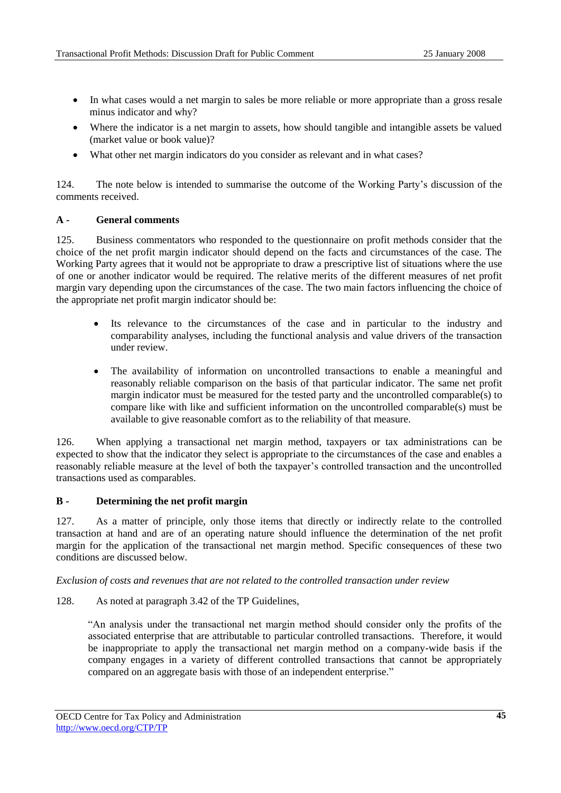- In what cases would a net margin to sales be more reliable or more appropriate than a gross resale minus indicator and why?
- Where the indicator is a net margin to assets, how should tangible and intangible assets be valued (market value or book value)?
- What other net margin indicators do you consider as relevant and in what cases?

124. The note below is intended to summarise the outcome of the Working Party's discussion of the comments received.

## **A - General comments**

125. Business commentators who responded to the questionnaire on profit methods consider that the choice of the net profit margin indicator should depend on the facts and circumstances of the case. The Working Party agrees that it would not be appropriate to draw a prescriptive list of situations where the use of one or another indicator would be required. The relative merits of the different measures of net profit margin vary depending upon the circumstances of the case. The two main factors influencing the choice of the appropriate net profit margin indicator should be:

- Its relevance to the circumstances of the case and in particular to the industry and comparability analyses, including the functional analysis and value drivers of the transaction under review.
- The availability of information on uncontrolled transactions to enable a meaningful and reasonably reliable comparison on the basis of that particular indicator. The same net profit margin indicator must be measured for the tested party and the uncontrolled comparable(s) to compare like with like and sufficient information on the uncontrolled comparable(s) must be available to give reasonable comfort as to the reliability of that measure.

126. When applying a transactional net margin method, taxpayers or tax administrations can be expected to show that the indicator they select is appropriate to the circumstances of the case and enables a reasonably reliable measure at the level of both the taxpayer's controlled transaction and the uncontrolled transactions used as comparables.

## **B - Determining the net profit margin**

127. As a matter of principle, only those items that directly or indirectly relate to the controlled transaction at hand and are of an operating nature should influence the determination of the net profit margin for the application of the transactional net margin method. Specific consequences of these two conditions are discussed below.

*Exclusion of costs and revenues that are not related to the controlled transaction under review* 

128. As noted at paragraph 3.42 of the TP Guidelines,

"An analysis under the transactional net margin method should consider only the profits of the associated enterprise that are attributable to particular controlled transactions. Therefore, it would be inappropriate to apply the transactional net margin method on a company-wide basis if the company engages in a variety of different controlled transactions that cannot be appropriately compared on an aggregate basis with those of an independent enterprise."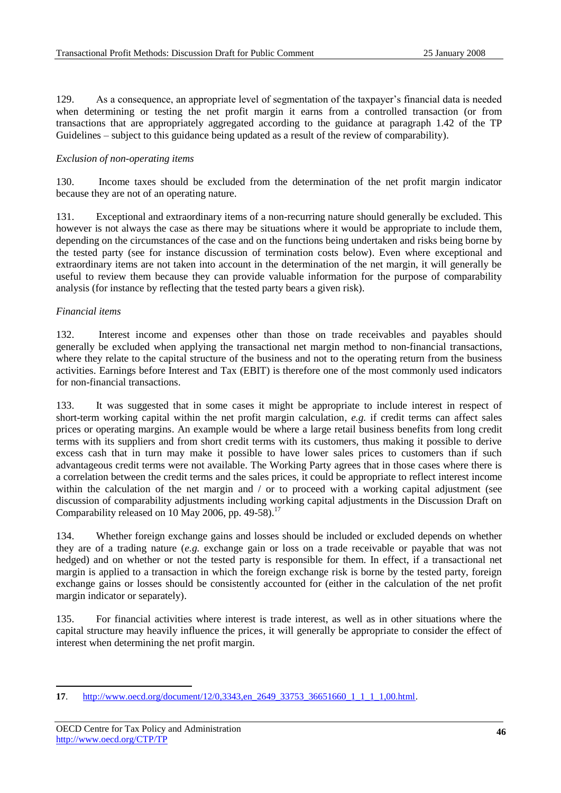129. As a consequence, an appropriate level of segmentation of the taxpayer's financial data is needed when determining or testing the net profit margin it earns from a controlled transaction (or from transactions that are appropriately aggregated according to the guidance at paragraph 1.42 of the TP Guidelines – subject to this guidance being updated as a result of the review of comparability).

# *Exclusion of non-operating items*

130. Income taxes should be excluded from the determination of the net profit margin indicator because they are not of an operating nature.

131. Exceptional and extraordinary items of a non-recurring nature should generally be excluded. This however is not always the case as there may be situations where it would be appropriate to include them, depending on the circumstances of the case and on the functions being undertaken and risks being borne by the tested party (see for instance discussion of termination costs below). Even where exceptional and extraordinary items are not taken into account in the determination of the net margin, it will generally be useful to review them because they can provide valuable information for the purpose of comparability analysis (for instance by reflecting that the tested party bears a given risk).

## *Financial items*

132. Interest income and expenses other than those on trade receivables and payables should generally be excluded when applying the transactional net margin method to non-financial transactions, where they relate to the capital structure of the business and not to the operating return from the business activities. Earnings before Interest and Tax (EBIT) is therefore one of the most commonly used indicators for non-financial transactions.

133. It was suggested that in some cases it might be appropriate to include interest in respect of short-term working capital within the net profit margin calculation, *e.g.* if credit terms can affect sales prices or operating margins. An example would be where a large retail business benefits from long credit terms with its suppliers and from short credit terms with its customers, thus making it possible to derive excess cash that in turn may make it possible to have lower sales prices to customers than if such advantageous credit terms were not available. The Working Party agrees that in those cases where there is a correlation between the credit terms and the sales prices, it could be appropriate to reflect interest income within the calculation of the net margin and / or to proceed with a working capital adjustment (see discussion of comparability adjustments including working capital adjustments in the Discussion Draft on Comparability released on 10 May 2006, pp. 49-58).<sup>17</sup>

134. Whether foreign exchange gains and losses should be included or excluded depends on whether they are of a trading nature (*e.g.* exchange gain or loss on a trade receivable or payable that was not hedged) and on whether or not the tested party is responsible for them. In effect, if a transactional net margin is applied to a transaction in which the foreign exchange risk is borne by the tested party, foreign exchange gains or losses should be consistently accounted for (either in the calculation of the net profit margin indicator or separately).

135. For financial activities where interest is trade interest, as well as in other situations where the capital structure may heavily influence the prices, it will generally be appropriate to consider the effect of interest when determining the net profit margin.

l

**<sup>17.</sup>** [http://www.oecd.org/document/12/0,3343,en\\_2649\\_33753\\_36651660\\_1\\_1\\_1\\_1,00.html.](http://www.oecd.org/document/12/0,3343,en_2649_33753_36651660_1_1_1_1,00.html)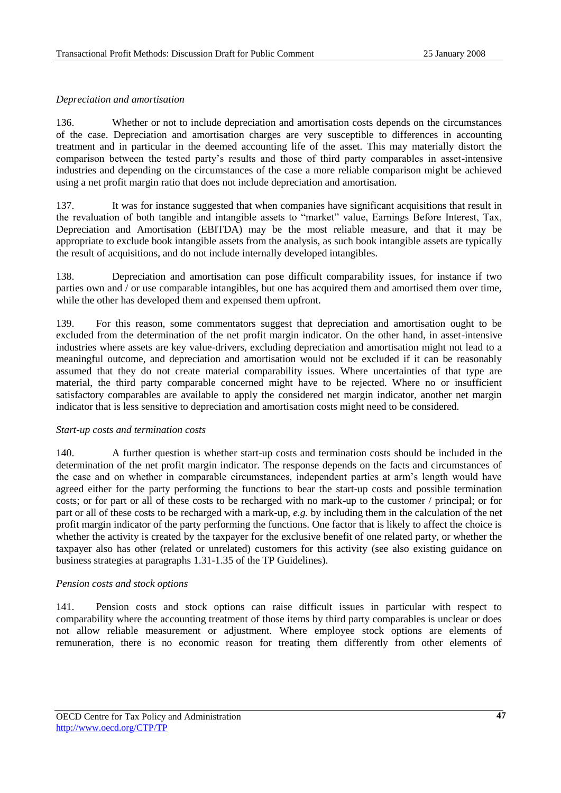# *Depreciation and amortisation*

136. Whether or not to include depreciation and amortisation costs depends on the circumstances of the case. Depreciation and amortisation charges are very susceptible to differences in accounting treatment and in particular in the deemed accounting life of the asset. This may materially distort the comparison between the tested party's results and those of third party comparables in asset-intensive industries and depending on the circumstances of the case a more reliable comparison might be achieved using a net profit margin ratio that does not include depreciation and amortisation.

137. It was for instance suggested that when companies have significant acquisitions that result in the revaluation of both tangible and intangible assets to "market" value, Earnings Before Interest, Tax, Depreciation and Amortisation (EBITDA) may be the most reliable measure, and that it may be appropriate to exclude book intangible assets from the analysis, as such book intangible assets are typically the result of acquisitions, and do not include internally developed intangibles.

138. Depreciation and amortisation can pose difficult comparability issues, for instance if two parties own and / or use comparable intangibles, but one has acquired them and amortised them over time, while the other has developed them and expensed them upfront.

139. For this reason, some commentators suggest that depreciation and amortisation ought to be excluded from the determination of the net profit margin indicator. On the other hand, in asset-intensive industries where assets are key value-drivers, excluding depreciation and amortisation might not lead to a meaningful outcome, and depreciation and amortisation would not be excluded if it can be reasonably assumed that they do not create material comparability issues. Where uncertainties of that type are material, the third party comparable concerned might have to be rejected. Where no or insufficient satisfactory comparables are available to apply the considered net margin indicator, another net margin indicator that is less sensitive to depreciation and amortisation costs might need to be considered.

## *Start-up costs and termination costs*

140. A further question is whether start-up costs and termination costs should be included in the determination of the net profit margin indicator. The response depends on the facts and circumstances of the case and on whether in comparable circumstances, independent parties at arm's length would have agreed either for the party performing the functions to bear the start-up costs and possible termination costs; or for part or all of these costs to be recharged with no mark-up to the customer / principal; or for part or all of these costs to be recharged with a mark-up, *e.g.* by including them in the calculation of the net profit margin indicator of the party performing the functions. One factor that is likely to affect the choice is whether the activity is created by the taxpayer for the exclusive benefit of one related party, or whether the taxpayer also has other (related or unrelated) customers for this activity (see also existing guidance on business strategies at paragraphs 1.31-1.35 of the TP Guidelines).

## *Pension costs and stock options*

141. Pension costs and stock options can raise difficult issues in particular with respect to comparability where the accounting treatment of those items by third party comparables is unclear or does not allow reliable measurement or adjustment. Where employee stock options are elements of remuneration, there is no economic reason for treating them differently from other elements of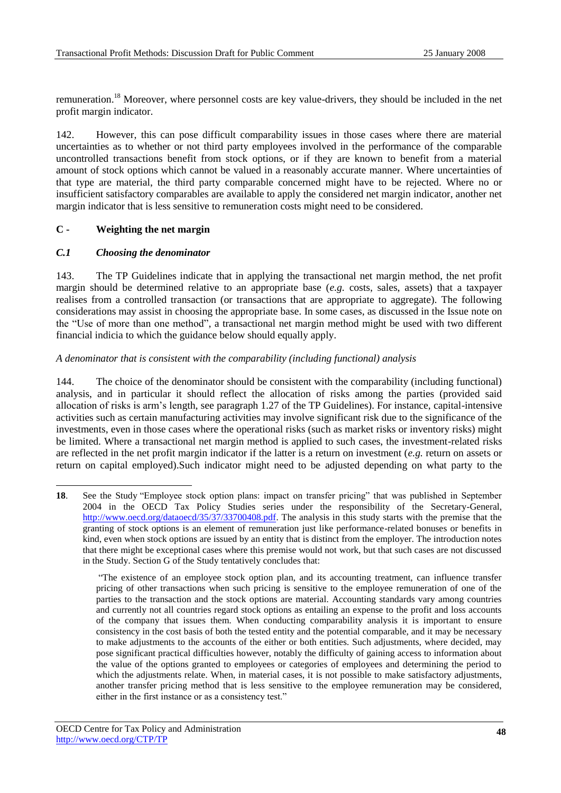remuneration.<sup>18</sup> Moreover, where personnel costs are key value-drivers, they should be included in the net profit margin indicator.

142. However, this can pose difficult comparability issues in those cases where there are material uncertainties as to whether or not third party employees involved in the performance of the comparable uncontrolled transactions benefit from stock options, or if they are known to benefit from a material amount of stock options which cannot be valued in a reasonably accurate manner. Where uncertainties of that type are material, the third party comparable concerned might have to be rejected. Where no or insufficient satisfactory comparables are available to apply the considered net margin indicator, another net margin indicator that is less sensitive to remuneration costs might need to be considered.

## **C - Weighting the net margin**

## *C.1 Choosing the denominator*

143. The TP Guidelines indicate that in applying the transactional net margin method, the net profit margin should be determined relative to an appropriate base (*e.g.* costs, sales, assets) that a taxpayer realises from a controlled transaction (or transactions that are appropriate to aggregate). The following considerations may assist in choosing the appropriate base. In some cases, as discussed in the Issue note on the "Use of more than one method", a transactional net margin method might be used with two different financial indicia to which the guidance below should equally apply.

## *A denominator that is consistent with the comparability (including functional) analysis*

144. The choice of the denominator should be consistent with the comparability (including functional) analysis, and in particular it should reflect the allocation of risks among the parties (provided said allocation of risks is arm's length, see paragraph 1.27 of the TP Guidelines). For instance, capital-intensive activities such as certain manufacturing activities may involve significant risk due to the significance of the investments, even in those cases where the operational risks (such as market risks or inventory risks) might be limited. Where a transactional net margin method is applied to such cases, the investment-related risks are reflected in the net profit margin indicator if the latter is a return on investment (*e.g.* return on assets or return on capital employed).Such indicator might need to be adjusted depending on what party to the

l **18**. See the Study "Employee stock option plans: impact on transfer pricing" that was published in September 2004 in the OECD Tax Policy Studies series under the responsibility of the Secretary-General, [http://www.oecd.org/dataoecd/35/37/33700408.pdf.](http://www.oecd.org/dataoecd/35/37/33700408.pdf) The analysis in this study starts with the premise that the granting of stock options is an element of remuneration just like performance-related bonuses or benefits in kind, even when stock options are issued by an entity that is distinct from the employer. The introduction notes that there might be exceptional cases where this premise would not work, but that such cases are not discussed in the Study. Section G of the Study tentatively concludes that:

<sup>&</sup>quot;The existence of an employee stock option plan, and its accounting treatment, can influence transfer pricing of other transactions when such pricing is sensitive to the employee remuneration of one of the parties to the transaction and the stock options are material. Accounting standards vary among countries and currently not all countries regard stock options as entailing an expense to the profit and loss accounts of the company that issues them. When conducting comparability analysis it is important to ensure consistency in the cost basis of both the tested entity and the potential comparable, and it may be necessary to make adjustments to the accounts of the either or both entities. Such adjustments, where decided, may pose significant practical difficulties however, notably the difficulty of gaining access to information about the value of the options granted to employees or categories of employees and determining the period to which the adjustments relate. When, in material cases, it is not possible to make satisfactory adjustments, another transfer pricing method that is less sensitive to the employee remuneration may be considered, either in the first instance or as a consistency test."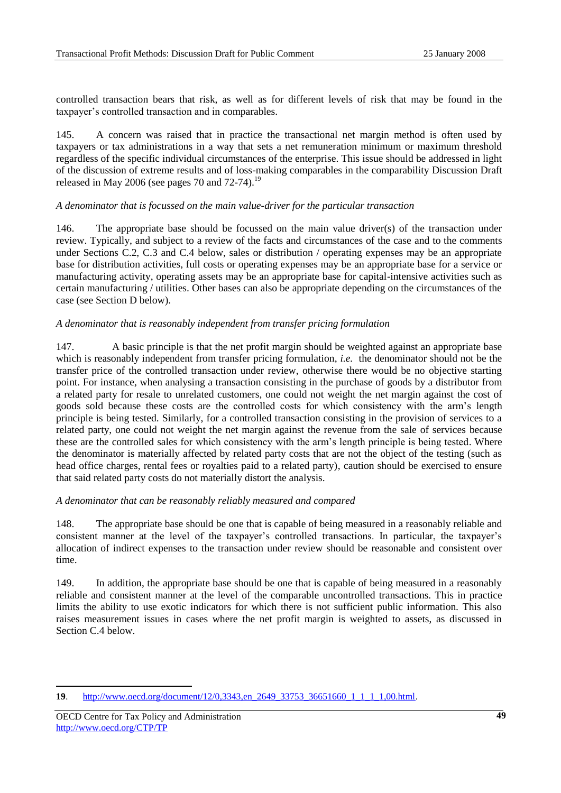controlled transaction bears that risk, as well as for different levels of risk that may be found in the taxpayer's controlled transaction and in comparables.

145. A concern was raised that in practice the transactional net margin method is often used by taxpayers or tax administrations in a way that sets a net remuneration minimum or maximum threshold regardless of the specific individual circumstances of the enterprise. This issue should be addressed in light of the discussion of extreme results and of loss-making comparables in the comparability Discussion Draft released in May 2006 (see pages 70 and 72-74).<sup>19</sup>

## *A denominator that is focussed on the main value-driver for the particular transaction*

146. The appropriate base should be focussed on the main value driver(s) of the transaction under review. Typically, and subject to a review of the facts and circumstances of the case and to the comments under Sections C.2, C.3 and C.4 below, sales or distribution / operating expenses may be an appropriate base for distribution activities, full costs or operating expenses may be an appropriate base for a service or manufacturing activity, operating assets may be an appropriate base for capital-intensive activities such as certain manufacturing / utilities. Other bases can also be appropriate depending on the circumstances of the case (see Section D below).

## *A denominator that is reasonably independent from transfer pricing formulation*

147. A basic principle is that the net profit margin should be weighted against an appropriate base which is reasonably independent from transfer pricing formulation, *i.e.* the denominator should not be the transfer price of the controlled transaction under review, otherwise there would be no objective starting point. For instance, when analysing a transaction consisting in the purchase of goods by a distributor from a related party for resale to unrelated customers, one could not weight the net margin against the cost of goods sold because these costs are the controlled costs for which consistency with the arm's length principle is being tested. Similarly, for a controlled transaction consisting in the provision of services to a related party, one could not weight the net margin against the revenue from the sale of services because these are the controlled sales for which consistency with the arm's length principle is being tested. Where the denominator is materially affected by related party costs that are not the object of the testing (such as head office charges, rental fees or royalties paid to a related party), caution should be exercised to ensure that said related party costs do not materially distort the analysis.

#### *A denominator that can be reasonably reliably measured and compared*

148. The appropriate base should be one that is capable of being measured in a reasonably reliable and consistent manner at the level of the taxpayer's controlled transactions. In particular, the taxpayer's allocation of indirect expenses to the transaction under review should be reasonable and consistent over time.

149. In addition, the appropriate base should be one that is capable of being measured in a reasonably reliable and consistent manner at the level of the comparable uncontrolled transactions. This in practice limits the ability to use exotic indicators for which there is not sufficient public information. This also raises measurement issues in cases where the net profit margin is weighted to assets, as discussed in Section C.4 below.

l

**<sup>19.</sup>** [http://www.oecd.org/document/12/0,3343,en\\_2649\\_33753\\_36651660\\_1\\_1\\_1\\_1,00.html.](http://www.oecd.org/document/12/0,3343,en_2649_33753_36651660_1_1_1_1,00.html)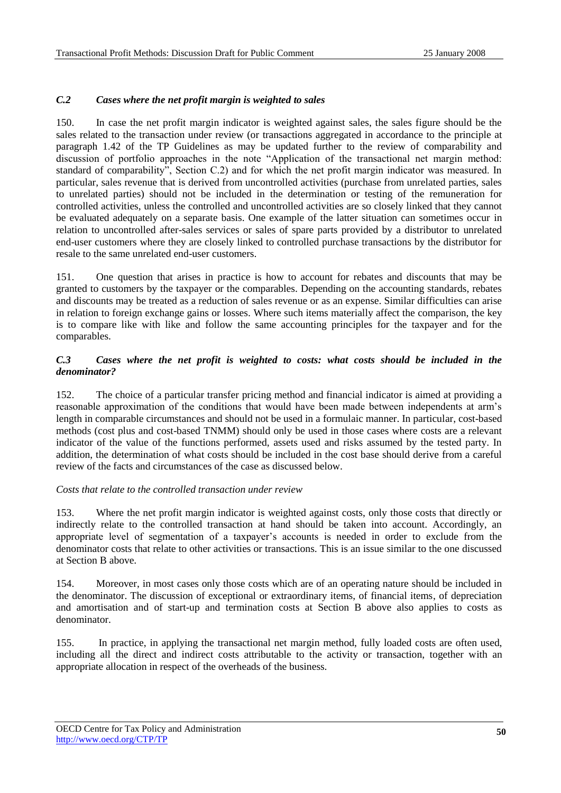# *C.2 Cases where the net profit margin is weighted to sales*

150. In case the net profit margin indicator is weighted against sales, the sales figure should be the sales related to the transaction under review (or transactions aggregated in accordance to the principle at paragraph 1.42 of the TP Guidelines as may be updated further to the review of comparability and discussion of portfolio approaches in the note "Application of the transactional net margin method: standard of comparability", Section C.2) and for which the net profit margin indicator was measured. In particular, sales revenue that is derived from uncontrolled activities (purchase from unrelated parties, sales to unrelated parties) should not be included in the determination or testing of the remuneration for controlled activities, unless the controlled and uncontrolled activities are so closely linked that they cannot be evaluated adequately on a separate basis. One example of the latter situation can sometimes occur in relation to uncontrolled after-sales services or sales of spare parts provided by a distributor to unrelated end-user customers where they are closely linked to controlled purchase transactions by the distributor for resale to the same unrelated end-user customers.

151. One question that arises in practice is how to account for rebates and discounts that may be granted to customers by the taxpayer or the comparables. Depending on the accounting standards, rebates and discounts may be treated as a reduction of sales revenue or as an expense. Similar difficulties can arise in relation to foreign exchange gains or losses. Where such items materially affect the comparison, the key is to compare like with like and follow the same accounting principles for the taxpayer and for the comparables.

#### *C.3 Cases where the net profit is weighted to costs: what costs should be included in the denominator?*

152. The choice of a particular transfer pricing method and financial indicator is aimed at providing a reasonable approximation of the conditions that would have been made between independents at arm's length in comparable circumstances and should not be used in a formulaic manner. In particular, cost-based methods (cost plus and cost-based TNMM) should only be used in those cases where costs are a relevant indicator of the value of the functions performed, assets used and risks assumed by the tested party. In addition, the determination of what costs should be included in the cost base should derive from a careful review of the facts and circumstances of the case as discussed below.

## *Costs that relate to the controlled transaction under review*

153. Where the net profit margin indicator is weighted against costs, only those costs that directly or indirectly relate to the controlled transaction at hand should be taken into account. Accordingly, an appropriate level of segmentation of a taxpayer's accounts is needed in order to exclude from the denominator costs that relate to other activities or transactions. This is an issue similar to the one discussed at Section B above.

154. Moreover, in most cases only those costs which are of an operating nature should be included in the denominator. The discussion of exceptional or extraordinary items, of financial items, of depreciation and amortisation and of start-up and termination costs at Section B above also applies to costs as denominator.

155. In practice, in applying the transactional net margin method, fully loaded costs are often used, including all the direct and indirect costs attributable to the activity or transaction, together with an appropriate allocation in respect of the overheads of the business.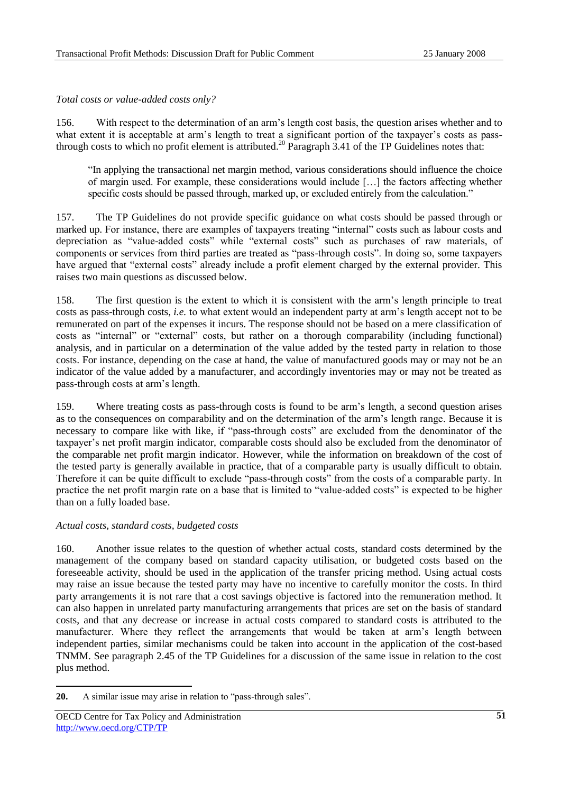## *Total costs or value-added costs only?*

156. With respect to the determination of an arm's length cost basis, the question arises whether and to what extent it is acceptable at arm's length to treat a significant portion of the taxpayer's costs as passthrough costs to which no profit element is attributed.<sup>20</sup> Paragraph  $3.41$  of the TP Guidelines notes that:

"In applying the transactional net margin method, various considerations should influence the choice of margin used. For example, these considerations would include […] the factors affecting whether specific costs should be passed through, marked up, or excluded entirely from the calculation."

157. The TP Guidelines do not provide specific guidance on what costs should be passed through or marked up. For instance, there are examples of taxpayers treating "internal" costs such as labour costs and depreciation as "value-added costs" while "external costs" such as purchases of raw materials, of components or services from third parties are treated as "pass-through costs". In doing so, some taxpayers have argued that "external costs" already include a profit element charged by the external provider. This raises two main questions as discussed below.

158. The first question is the extent to which it is consistent with the arm's length principle to treat costs as pass-through costs, *i.e.* to what extent would an independent party at arm's length accept not to be remunerated on part of the expenses it incurs. The response should not be based on a mere classification of costs as "internal" or "external" costs, but rather on a thorough comparability (including functional) analysis, and in particular on a determination of the value added by the tested party in relation to those costs. For instance, depending on the case at hand, the value of manufactured goods may or may not be an indicator of the value added by a manufacturer, and accordingly inventories may or may not be treated as pass-through costs at arm's length.

159. Where treating costs as pass-through costs is found to be arm's length, a second question arises as to the consequences on comparability and on the determination of the arm's length range. Because it is necessary to compare like with like, if "pass-through costs" are excluded from the denominator of the taxpayer's net profit margin indicator, comparable costs should also be excluded from the denominator of the comparable net profit margin indicator. However, while the information on breakdown of the cost of the tested party is generally available in practice, that of a comparable party is usually difficult to obtain. Therefore it can be quite difficult to exclude "pass-through costs" from the costs of a comparable party. In practice the net profit margin rate on a base that is limited to "value-added costs" is expected to be higher than on a fully loaded base.

## *Actual costs, standard costs, budgeted costs*

160. Another issue relates to the question of whether actual costs, standard costs determined by the management of the company based on standard capacity utilisation, or budgeted costs based on the foreseeable activity, should be used in the application of the transfer pricing method. Using actual costs may raise an issue because the tested party may have no incentive to carefully monitor the costs. In third party arrangements it is not rare that a cost savings objective is factored into the remuneration method. It can also happen in unrelated party manufacturing arrangements that prices are set on the basis of standard costs, and that any decrease or increase in actual costs compared to standard costs is attributed to the manufacturer. Where they reflect the arrangements that would be taken at arm's length between independent parties, similar mechanisms could be taken into account in the application of the cost-based TNMM. See paragraph 2.45 of the TP Guidelines for a discussion of the same issue in relation to the cost plus method.

l **20.** A similar issue may arise in relation to "pass-through sales".

OECD Centre for Tax Policy and Administration http://www.oecd.org/CTP/TP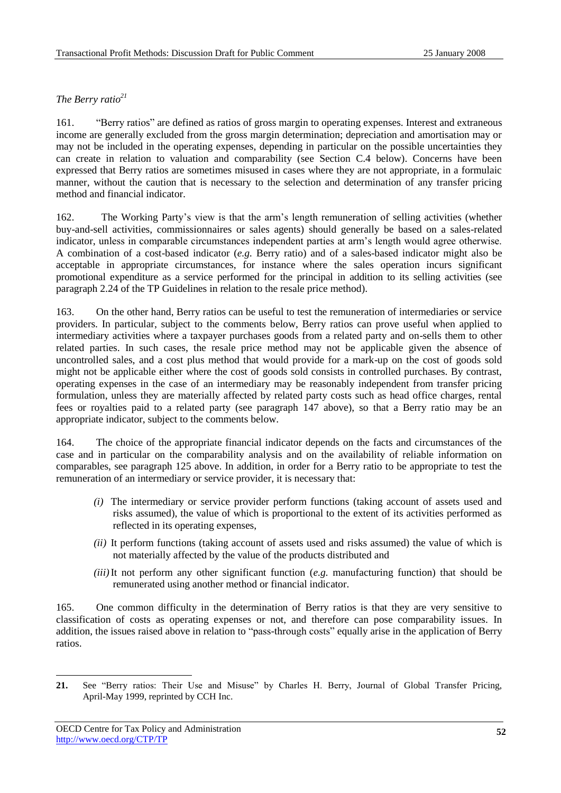# *The Berry ratio<sup>21</sup>*

161. "Berry ratios" are defined as ratios of gross margin to operating expenses. Interest and extraneous income are generally excluded from the gross margin determination; depreciation and amortisation may or may not be included in the operating expenses, depending in particular on the possible uncertainties they can create in relation to valuation and comparability (see Section C.4 below). Concerns have been expressed that Berry ratios are sometimes misused in cases where they are not appropriate, in a formulaic manner, without the caution that is necessary to the selection and determination of any transfer pricing method and financial indicator.

162. The Working Party's view is that the arm's length remuneration of selling activities (whether buy-and-sell activities, commissionnaires or sales agents) should generally be based on a sales-related indicator, unless in comparable circumstances independent parties at arm's length would agree otherwise. A combination of a cost-based indicator (*e.g.* Berry ratio) and of a sales-based indicator might also be acceptable in appropriate circumstances, for instance where the sales operation incurs significant promotional expenditure as a service performed for the principal in addition to its selling activities (see paragraph 2.24 of the TP Guidelines in relation to the resale price method).

163. On the other hand, Berry ratios can be useful to test the remuneration of intermediaries or service providers. In particular, subject to the comments below, Berry ratios can prove useful when applied to intermediary activities where a taxpayer purchases goods from a related party and on-sells them to other related parties. In such cases, the resale price method may not be applicable given the absence of uncontrolled sales, and a cost plus method that would provide for a mark-up on the cost of goods sold might not be applicable either where the cost of goods sold consists in controlled purchases. By contrast, operating expenses in the case of an intermediary may be reasonably independent from transfer pricing formulation, unless they are materially affected by related party costs such as head office charges, rental fees or royalties paid to a related party (see paragraph 147 above), so that a Berry ratio may be an appropriate indicator, subject to the comments below.

164. The choice of the appropriate financial indicator depends on the facts and circumstances of the case and in particular on the comparability analysis and on the availability of reliable information on comparables, see paragraph 125 above. In addition, in order for a Berry ratio to be appropriate to test the remuneration of an intermediary or service provider, it is necessary that:

- *(i)* The intermediary or service provider perform functions (taking account of assets used and risks assumed), the value of which is proportional to the extent of its activities performed as reflected in its operating expenses,
- *(ii)* It perform functions *(taking account of assets used and risks assumed)* the value of which is not materially affected by the value of the products distributed and
- *(iii)*It not perform any other significant function (*e.g.* manufacturing function) that should be remunerated using another method or financial indicator.

165. One common difficulty in the determination of Berry ratios is that they are very sensitive to classification of costs as operating expenses or not, and therefore can pose comparability issues. In addition, the issues raised above in relation to "pass-through costs" equally arise in the application of Berry ratios.

l **21.** See "Berry ratios: Their Use and Misuse" by Charles H. Berry, Journal of Global Transfer Pricing, April-May 1999, reprinted by CCH Inc.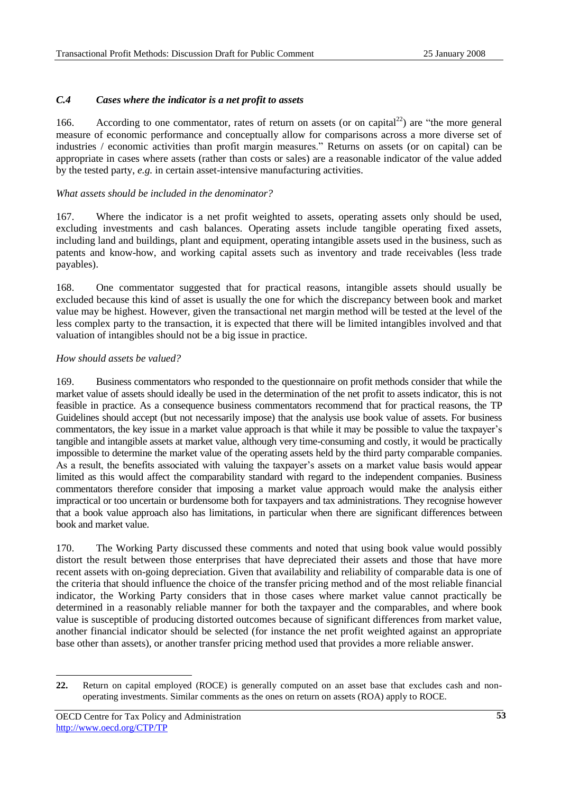# *C.4 Cases where the indicator is a net profit to assets*

166. According to one commentator, rates of return on assets (or on capital<sup>22</sup>) are "the more general measure of economic performance and conceptually allow for comparisons across a more diverse set of industries / economic activities than profit margin measures." Returns on assets (or on capital) can be appropriate in cases where assets (rather than costs or sales) are a reasonable indicator of the value added by the tested party, *e.g.* in certain asset-intensive manufacturing activities.

## *What assets should be included in the denominator?*

167. Where the indicator is a net profit weighted to assets, operating assets only should be used, excluding investments and cash balances. Operating assets include tangible operating fixed assets, including land and buildings, plant and equipment, operating intangible assets used in the business, such as patents and know-how, and working capital assets such as inventory and trade receivables (less trade payables).

168. One commentator suggested that for practical reasons, intangible assets should usually be excluded because this kind of asset is usually the one for which the discrepancy between book and market value may be highest. However, given the transactional net margin method will be tested at the level of the less complex party to the transaction, it is expected that there will be limited intangibles involved and that valuation of intangibles should not be a big issue in practice.

# *How should assets be valued?*

169. Business commentators who responded to the questionnaire on profit methods consider that while the market value of assets should ideally be used in the determination of the net profit to assets indicator, this is not feasible in practice. As a consequence business commentators recommend that for practical reasons, the TP Guidelines should accept (but not necessarily impose) that the analysis use book value of assets. For business commentators, the key issue in a market value approach is that while it may be possible to value the taxpayer's tangible and intangible assets at market value, although very time-consuming and costly, it would be practically impossible to determine the market value of the operating assets held by the third party comparable companies. As a result, the benefits associated with valuing the taxpayer's assets on a market value basis would appear limited as this would affect the comparability standard with regard to the independent companies. Business commentators therefore consider that imposing a market value approach would make the analysis either impractical or too uncertain or burdensome both for taxpayers and tax administrations. They recognise however that a book value approach also has limitations, in particular when there are significant differences between book and market value.

170. The Working Party discussed these comments and noted that using book value would possibly distort the result between those enterprises that have depreciated their assets and those that have more recent assets with on-going depreciation. Given that availability and reliability of comparable data is one of the criteria that should influence the choice of the transfer pricing method and of the most reliable financial indicator, the Working Party considers that in those cases where market value cannot practically be determined in a reasonably reliable manner for both the taxpayer and the comparables, and where book value is susceptible of producing distorted outcomes because of significant differences from market value, another financial indicator should be selected (for instance the net profit weighted against an appropriate base other than assets), or another transfer pricing method used that provides a more reliable answer.

l **22.** Return on capital employed (ROCE) is generally computed on an asset base that excludes cash and nonoperating investments. Similar comments as the ones on return on assets (ROA) apply to ROCE.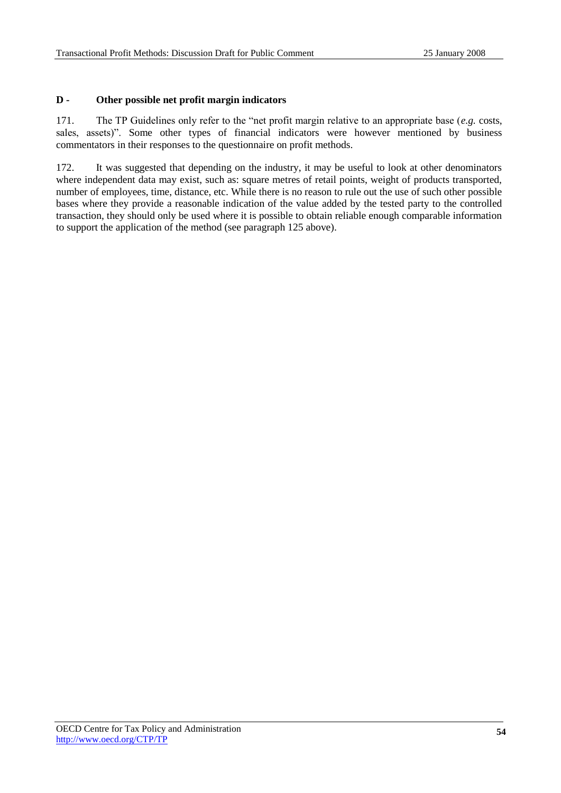# **D - Other possible net profit margin indicators**

171. The TP Guidelines only refer to the "net profit margin relative to an appropriate base (*e.g.* costs, sales, assets)". Some other types of financial indicators were however mentioned by business commentators in their responses to the questionnaire on profit methods.

172. It was suggested that depending on the industry, it may be useful to look at other denominators where independent data may exist, such as: square metres of retail points, weight of products transported, number of employees, time, distance, etc. While there is no reason to rule out the use of such other possible bases where they provide a reasonable indication of the value added by the tested party to the controlled transaction, they should only be used where it is possible to obtain reliable enough comparable information to support the application of the method (see paragraph 125 above).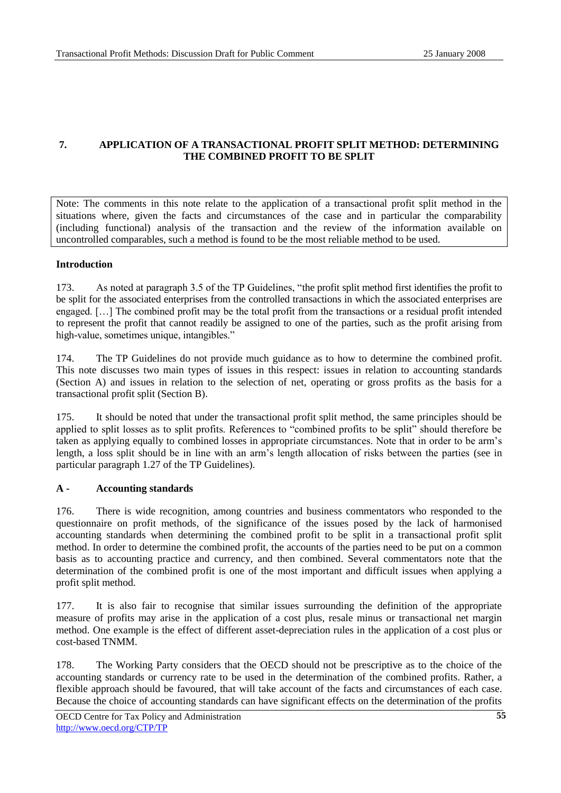# **7. APPLICATION OF A TRANSACTIONAL PROFIT SPLIT METHOD: DETERMINING THE COMBINED PROFIT TO BE SPLIT**

Note: The comments in this note relate to the application of a transactional profit split method in the situations where, given the facts and circumstances of the case and in particular the comparability (including functional) analysis of the transaction and the review of the information available on uncontrolled comparables, such a method is found to be the most reliable method to be used.

# **Introduction**

173. As noted at paragraph 3.5 of the TP Guidelines, "the profit split method first identifies the profit to be split for the associated enterprises from the controlled transactions in which the associated enterprises are engaged. […] The combined profit may be the total profit from the transactions or a residual profit intended to represent the profit that cannot readily be assigned to one of the parties, such as the profit arising from high-value, sometimes unique, intangibles."

174. The TP Guidelines do not provide much guidance as to how to determine the combined profit. This note discusses two main types of issues in this respect: issues in relation to accounting standards (Section A) and issues in relation to the selection of net, operating or gross profits as the basis for a transactional profit split (Section B).

175. It should be noted that under the transactional profit split method, the same principles should be applied to split losses as to split profits. References to "combined profits to be split" should therefore be taken as applying equally to combined losses in appropriate circumstances. Note that in order to be arm's length, a loss split should be in line with an arm's length allocation of risks between the parties (see in particular paragraph 1.27 of the TP Guidelines).

## **A - Accounting standards**

176. There is wide recognition, among countries and business commentators who responded to the questionnaire on profit methods, of the significance of the issues posed by the lack of harmonised accounting standards when determining the combined profit to be split in a transactional profit split method. In order to determine the combined profit, the accounts of the parties need to be put on a common basis as to accounting practice and currency, and then combined. Several commentators note that the determination of the combined profit is one of the most important and difficult issues when applying a profit split method.

177. It is also fair to recognise that similar issues surrounding the definition of the appropriate measure of profits may arise in the application of a cost plus, resale minus or transactional net margin method. One example is the effect of different asset-depreciation rules in the application of a cost plus or cost-based TNMM.

178. The Working Party considers that the OECD should not be prescriptive as to the choice of the accounting standards or currency rate to be used in the determination of the combined profits. Rather, a flexible approach should be favoured, that will take account of the facts and circumstances of each case. Because the choice of accounting standards can have significant effects on the determination of the profits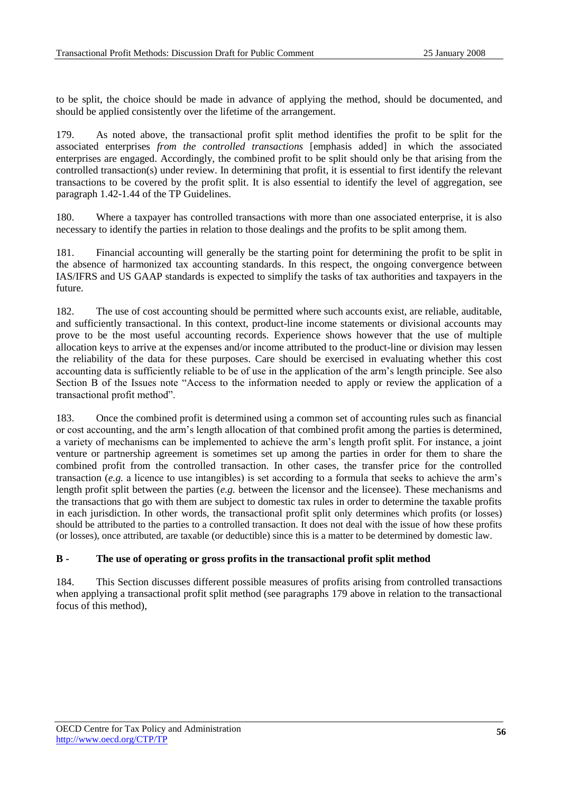to be split, the choice should be made in advance of applying the method, should be documented, and should be applied consistently over the lifetime of the arrangement.

179. As noted above, the transactional profit split method identifies the profit to be split for the associated enterprises *from the controlled transactions* [emphasis added] in which the associated enterprises are engaged. Accordingly, the combined profit to be split should only be that arising from the controlled transaction(s) under review. In determining that profit, it is essential to first identify the relevant transactions to be covered by the profit split. It is also essential to identify the level of aggregation, see paragraph 1.42-1.44 of the TP Guidelines.

180. Where a taxpayer has controlled transactions with more than one associated enterprise, it is also necessary to identify the parties in relation to those dealings and the profits to be split among them.

181. Financial accounting will generally be the starting point for determining the profit to be split in the absence of harmonized tax accounting standards. In this respect, the ongoing convergence between IAS/IFRS and US GAAP standards is expected to simplify the tasks of tax authorities and taxpayers in the future.

182. The use of cost accounting should be permitted where such accounts exist, are reliable, auditable, and sufficiently transactional. In this context, product-line income statements or divisional accounts may prove to be the most useful accounting records. Experience shows however that the use of multiple allocation keys to arrive at the expenses and/or income attributed to the product-line or division may lessen the reliability of the data for these purposes. Care should be exercised in evaluating whether this cost accounting data is sufficiently reliable to be of use in the application of the arm's length principle. See also Section B of the Issues note "Access to the information needed to apply or review the application of a transactional profit method".

183. Once the combined profit is determined using a common set of accounting rules such as financial or cost accounting, and the arm's length allocation of that combined profit among the parties is determined, a variety of mechanisms can be implemented to achieve the arm's length profit split. For instance, a joint venture or partnership agreement is sometimes set up among the parties in order for them to share the combined profit from the controlled transaction. In other cases, the transfer price for the controlled transaction (*e.g.* a licence to use intangibles) is set according to a formula that seeks to achieve the arm's length profit split between the parties (*e.g.* between the licensor and the licensee). These mechanisms and the transactions that go with them are subject to domestic tax rules in order to determine the taxable profits in each jurisdiction. In other words, the transactional profit split only determines which profits (or losses) should be attributed to the parties to a controlled transaction. It does not deal with the issue of how these profits (or losses), once attributed, are taxable (or deductible) since this is a matter to be determined by domestic law.

## **B - The use of operating or gross profits in the transactional profit split method**

184. This Section discusses different possible measures of profits arising from controlled transactions when applying a transactional profit split method (see paragraphs 179 above in relation to the transactional focus of this method),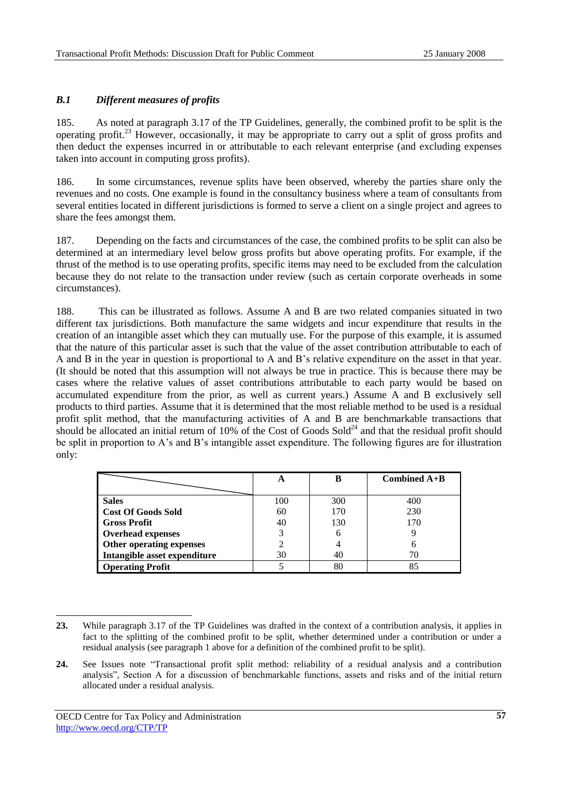# *B.1 Different measures of profits*

185. As noted at paragraph 3.17 of the TP Guidelines, generally, the combined profit to be split is the operating profit.<sup>23</sup> However, occasionally, it may be appropriate to carry out a split of gross profits and then deduct the expenses incurred in or attributable to each relevant enterprise (and excluding expenses taken into account in computing gross profits).

186. In some circumstances, revenue splits have been observed, whereby the parties share only the revenues and no costs. One example is found in the consultancy business where a team of consultants from several entities located in different jurisdictions is formed to serve a client on a single project and agrees to share the fees amongst them.

187. Depending on the facts and circumstances of the case, the combined profits to be split can also be determined at an intermediary level below gross profits but above operating profits. For example, if the thrust of the method is to use operating profits, specific items may need to be excluded from the calculation because they do not relate to the transaction under review (such as certain corporate overheads in some circumstances).

188. This can be illustrated as follows. Assume A and B are two related companies situated in two different tax jurisdictions. Both manufacture the same widgets and incur expenditure that results in the creation of an intangible asset which they can mutually use. For the purpose of this example, it is assumed that the nature of this particular asset is such that the value of the asset contribution attributable to each of A and B in the year in question is proportional to A and B's relative expenditure on the asset in that year. (It should be noted that this assumption will not always be true in practice. This is because there may be cases where the relative values of asset contributions attributable to each party would be based on accumulated expenditure from the prior, as well as current years.) Assume A and B exclusively sell products to third parties. Assume that it is determined that the most reliable method to be used is a residual profit split method, that the manufacturing activities of A and B are benchmarkable transactions that should be allocated an initial return of  $10\%$  of the Cost of Goods Sold<sup>24</sup> and that the residual profit should be split in proportion to A's and B's intangible asset expenditure. The following figures are for illustration only:

|                              | $\mathbf{H}$ |     | Combined $A+B$ |
|------------------------------|--------------|-----|----------------|
|                              |              |     |                |
| <b>Sales</b>                 | 100          | 300 | 400            |
| <b>Cost Of Goods Sold</b>    | 60           | 170 | 230            |
| <b>Gross Profit</b>          | 40           | 130 | 170            |
| <b>Overhead expenses</b>     |              |     |                |
| Other operating expenses     |              |     |                |
| Intangible asset expenditure | 30           |     | 70             |
| <b>Operating Profit</b>      |              |     | 85             |

l **23.** While paragraph 3.17 of the TP Guidelines was drafted in the context of a contribution analysis, it applies in fact to the splitting of the combined profit to be split, whether determined under a contribution or under a residual analysis (see paragraph 1 above for a definition of the combined profit to be split).

**<sup>24.</sup>** See Issues note "Transactional profit split method: reliability of a residual analysis and a contribution analysis", Section A for a discussion of benchmarkable functions, assets and risks and of the initial return allocated under a residual analysis.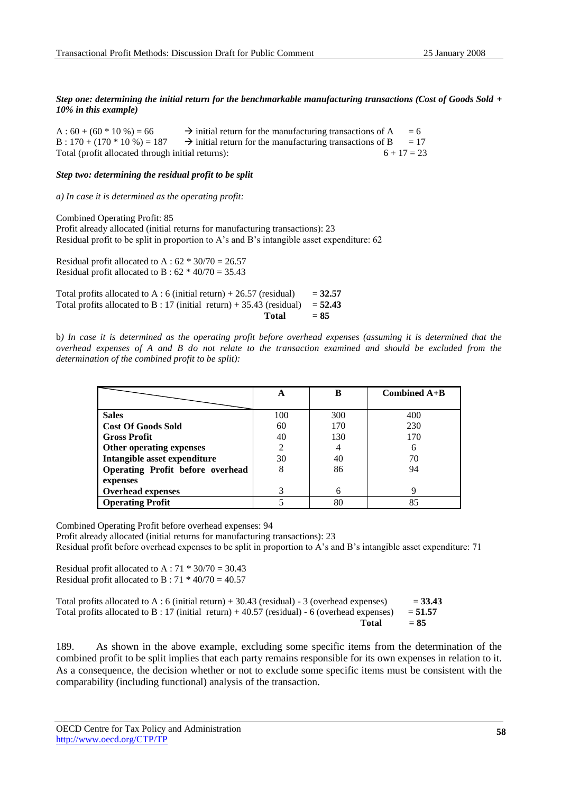#### *Step one: determining the initial return for the benchmarkable manufacturing transactions (Cost of Goods Sold + 10% in this example)*

A : 60 + (60 \* 10 %) = 66  $\rightarrow$  initial return for the manufacturing transactions of A = 6 B : 170 + (170 \* 10 %) = 187  $\rightarrow$  initial return for the manufacturing transactions of B = 17 Total (profit allocated through initial returns):  $6 + 17 = 23$ 

*Step two: determining the residual profit to be split*

*a) In case it is determined as the operating profit:*

Combined Operating Profit: 85

Profit already allocated (initial returns for manufacturing transactions): 23 Residual profit to be split in proportion to A's and B's intangible asset expenditure: 62

Residual profit allocated to A :  $62 * 30/70 = 26.57$ Residual profit allocated to B :  $62 * 40/70 = 35.43$ 

Total profits allocated to A : 6 (initial return) + 26.57 (residual) =  $32.57$ <br>Total profits allocated to B : 17 (initial return) + 35.43 (residual) =  $52.43$ Total profits allocated to  $B : 17$  (initial return)  $+ 35.43$  (residual)  $Total = 85$ 

b*) In case it is determined as the operating profit before overhead expenses (assuming it is determined that the overhead expenses of A and B do not relate to the transaction examined and should be excluded from the determination of the combined profit to be split):*

|                                  | A   | в   | Combined $A+B$ |
|----------------------------------|-----|-----|----------------|
|                                  |     |     |                |
| <b>Sales</b>                     | 100 | 300 | 400            |
| <b>Cost Of Goods Sold</b>        | 60  | 170 | 230            |
| <b>Gross Profit</b>              | 40  | 130 | 170            |
| Other operating expenses         | 2   | 4   |                |
| Intangible asset expenditure     | 30  | 40  | 70             |
| Operating Profit before overhead | 8   | 86  | 94             |
| expenses                         |     |     |                |
| <b>Overhead expenses</b>         | 3   | 6   | Q              |
| <b>Operating Profit</b>          |     | 80  | 85             |

Combined Operating Profit before overhead expenses: 94

Profit already allocated (initial returns for manufacturing transactions): 23

Residual profit before overhead expenses to be split in proportion to A's and B's intangible asset expenditure: 71

Residual profit allocated to A :  $71 * 30/70 = 30.43$ Residual profit allocated to B :  $71 * 40/70 = 40.57$ 

| Total profits allocated to A : 6 (initial return) $+30.43$ (residual) - 3 (overhead expenses)  | $= 33.43$ |
|------------------------------------------------------------------------------------------------|-----------|
| Total profits allocated to B : 17 (initial return) $+40.57$ (residual) - 6 (overhead expenses) | $= 51.57$ |
| Total                                                                                          | $= 85$    |

189. As shown in the above example, excluding some specific items from the determination of the combined profit to be split implies that each party remains responsible for its own expenses in relation to it. As a consequence, the decision whether or not to exclude some specific items must be consistent with the comparability (including functional) analysis of the transaction.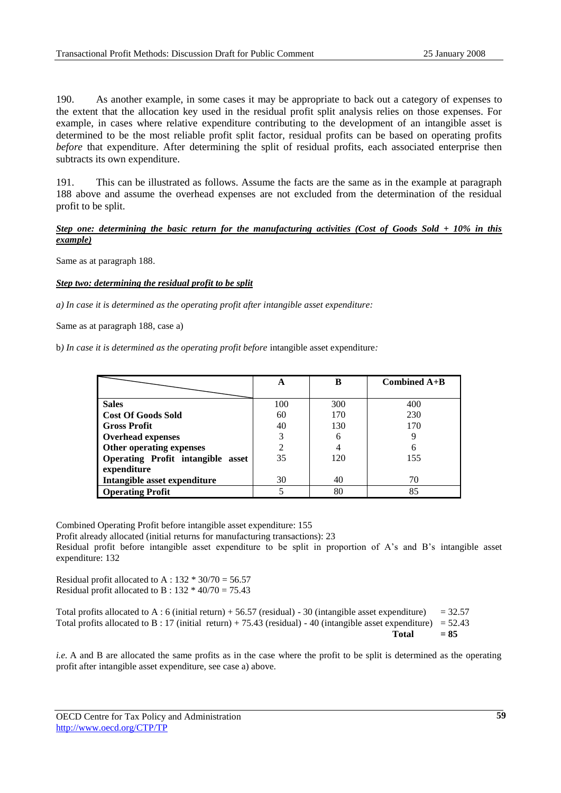190. As another example, in some cases it may be appropriate to back out a category of expenses to the extent that the allocation key used in the residual profit split analysis relies on those expenses. For example, in cases where relative expenditure contributing to the development of an intangible asset is determined to be the most reliable profit split factor, residual profits can be based on operating profits *before* that expenditure. After determining the split of residual profits, each associated enterprise then subtracts its own expenditure.

191. This can be illustrated as follows. Assume the facts are the same as in the example at paragraph 188 above and assume the overhead expenses are not excluded from the determination of the residual profit to be split.

#### *Step one: determining the basic return for the manufacturing activities (Cost of Goods Sold + 10% in this example)*

Same as at paragraph 188.

#### *Step two: determining the residual profit to be split*

*a) In case it is determined as the operating profit after intangible asset expenditure:*

Same as at paragraph 188, case a)

b*) In case it is determined as the operating profit before* intangible asset expenditure*:*

|                                   | A   | B   | Combined $A+B$ |
|-----------------------------------|-----|-----|----------------|
|                                   |     |     |                |
| <b>Sales</b>                      | 100 | 300 | 400            |
| <b>Cost Of Goods Sold</b>         | 60  | 170 | 230            |
| <b>Gross Profit</b>               | 40  | 130 | 170            |
| <b>Overhead expenses</b>          |     |     |                |
| Other operating expenses          |     |     |                |
| Operating Profit intangible asset | 35  | 120 | 155            |
| expenditure                       |     |     |                |
| Intangible asset expenditure      | 30  | 40  | 70             |
| <b>Operating Profit</b>           |     | 80  | 85             |

Combined Operating Profit before intangible asset expenditure: 155

Profit already allocated (initial returns for manufacturing transactions): 23

Residual profit before intangible asset expenditure to be split in proportion of A's and B's intangible asset expenditure: 132

Residual profit allocated to A :  $132 * 30/70 = 56.57$ Residual profit allocated to B :  $132 * 40/70 = 75.43$ 

| Total profits allocated to A : 6 (initial return) $+ 56.57$ (residual) - 30 (intangible asset expenditure) = 32.57 |        |
|--------------------------------------------------------------------------------------------------------------------|--------|
| Total profits allocated to B : 17 (initial return) + 75.43 (residual) - 40 (intangible asset expenditure) = 52.43  |        |
| Total                                                                                                              | $= 85$ |

*i.e.* A and B are allocated the same profits as in the case where the profit to be split is determined as the operating profit after intangible asset expenditure, see case a) above.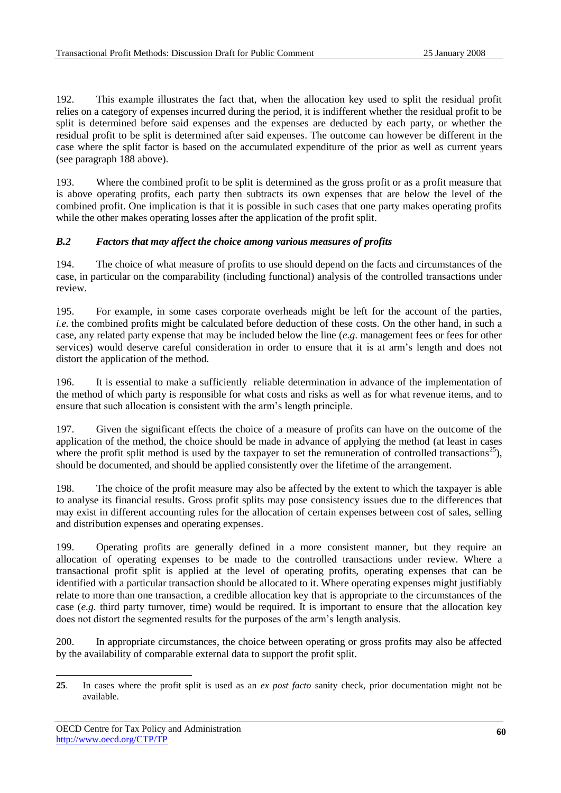192. This example illustrates the fact that, when the allocation key used to split the residual profit relies on a category of expenses incurred during the period, it is indifferent whether the residual profit to be split is determined before said expenses and the expenses are deducted by each party, or whether the residual profit to be split is determined after said expenses. The outcome can however be different in the case where the split factor is based on the accumulated expenditure of the prior as well as current years (see paragraph 188 above).

193. Where the combined profit to be split is determined as the gross profit or as a profit measure that is above operating profits, each party then subtracts its own expenses that are below the level of the combined profit. One implication is that it is possible in such cases that one party makes operating profits while the other makes operating losses after the application of the profit split.

# *B.2 Factors that may affect the choice among various measures of profits*

194. The choice of what measure of profits to use should depend on the facts and circumstances of the case, in particular on the comparability (including functional) analysis of the controlled transactions under review.

195. For example, in some cases corporate overheads might be left for the account of the parties, *i.e.* the combined profits might be calculated before deduction of these costs. On the other hand, in such a case, any related party expense that may be included below the line (*e.g*. management fees or fees for other services) would deserve careful consideration in order to ensure that it is at arm's length and does not distort the application of the method.

196. It is essential to make a sufficiently reliable determination in advance of the implementation of the method of which party is responsible for what costs and risks as well as for what revenue items, and to ensure that such allocation is consistent with the arm's length principle.

197. Given the significant effects the choice of a measure of profits can have on the outcome of the application of the method, the choice should be made in advance of applying the method (at least in cases where the profit split method is used by the taxpayer to set the remuneration of controlled transactions<sup>25</sup>), should be documented, and should be applied consistently over the lifetime of the arrangement.

198. The choice of the profit measure may also be affected by the extent to which the taxpayer is able to analyse its financial results. Gross profit splits may pose consistency issues due to the differences that may exist in different accounting rules for the allocation of certain expenses between cost of sales, selling and distribution expenses and operating expenses.

199. Operating profits are generally defined in a more consistent manner, but they require an allocation of operating expenses to be made to the controlled transactions under review. Where a transactional profit split is applied at the level of operating profits, operating expenses that can be identified with a particular transaction should be allocated to it. Where operating expenses might justifiably relate to more than one transaction, a credible allocation key that is appropriate to the circumstances of the case (*e.g.* third party turnover, time) would be required. It is important to ensure that the allocation key does not distort the segmented results for the purposes of the arm's length analysis.

200. In appropriate circumstances, the choice between operating or gross profits may also be affected by the availability of comparable external data to support the profit split.

l **25**. In cases where the profit split is used as an *ex post facto* sanity check, prior documentation might not be available.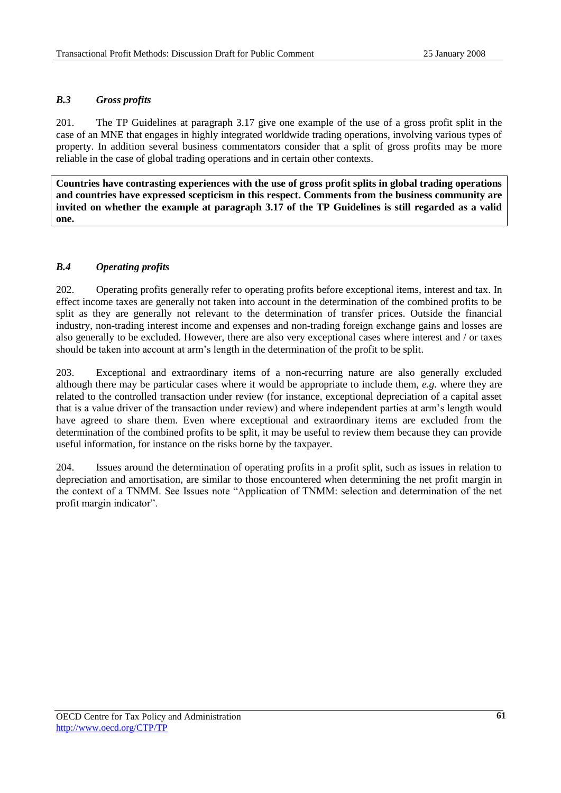# *B.3 Gross profits*

201. The TP Guidelines at paragraph 3.17 give one example of the use of a gross profit split in the case of an MNE that engages in highly integrated worldwide trading operations, involving various types of property. In addition several business commentators consider that a split of gross profits may be more reliable in the case of global trading operations and in certain other contexts.

**Countries have contrasting experiences with the use of gross profit splits in global trading operations and countries have expressed scepticism in this respect. Comments from the business community are invited on whether the example at paragraph 3.17 of the TP Guidelines is still regarded as a valid one.** 

# *B.4 Operating profits*

202. Operating profits generally refer to operating profits before exceptional items, interest and tax. In effect income taxes are generally not taken into account in the determination of the combined profits to be split as they are generally not relevant to the determination of transfer prices. Outside the financial industry, non-trading interest income and expenses and non-trading foreign exchange gains and losses are also generally to be excluded. However, there are also very exceptional cases where interest and / or taxes should be taken into account at arm's length in the determination of the profit to be split.

203. Exceptional and extraordinary items of a non-recurring nature are also generally excluded although there may be particular cases where it would be appropriate to include them, *e.g.* where they are related to the controlled transaction under review (for instance, exceptional depreciation of a capital asset that is a value driver of the transaction under review) and where independent parties at arm's length would have agreed to share them. Even where exceptional and extraordinary items are excluded from the determination of the combined profits to be split, it may be useful to review them because they can provide useful information, for instance on the risks borne by the taxpayer.

204. Issues around the determination of operating profits in a profit split, such as issues in relation to depreciation and amortisation, are similar to those encountered when determining the net profit margin in the context of a TNMM. See Issues note "Application of TNMM: selection and determination of the net profit margin indicator".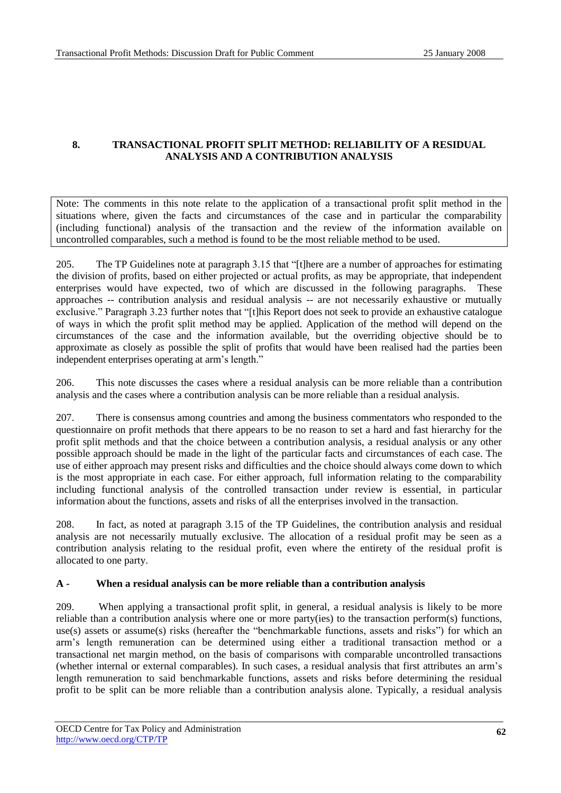# **8. TRANSACTIONAL PROFIT SPLIT METHOD: RELIABILITY OF A RESIDUAL ANALYSIS AND A CONTRIBUTION ANALYSIS**

Note: The comments in this note relate to the application of a transactional profit split method in the situations where, given the facts and circumstances of the case and in particular the comparability (including functional) analysis of the transaction and the review of the information available on uncontrolled comparables, such a method is found to be the most reliable method to be used.

205. The TP Guidelines note at paragraph 3.15 that "[t]here are a number of approaches for estimating the division of profits, based on either projected or actual profits, as may be appropriate, that independent enterprises would have expected, two of which are discussed in the following paragraphs. These approaches -- contribution analysis and residual analysis -- are not necessarily exhaustive or mutually exclusive." Paragraph 3.23 further notes that "[t]his Report does not seek to provide an exhaustive catalogue of ways in which the profit split method may be applied. Application of the method will depend on the circumstances of the case and the information available, but the overriding objective should be to approximate as closely as possible the split of profits that would have been realised had the parties been independent enterprises operating at arm's length."

206. This note discusses the cases where a residual analysis can be more reliable than a contribution analysis and the cases where a contribution analysis can be more reliable than a residual analysis.

207. There is consensus among countries and among the business commentators who responded to the questionnaire on profit methods that there appears to be no reason to set a hard and fast hierarchy for the profit split methods and that the choice between a contribution analysis, a residual analysis or any other possible approach should be made in the light of the particular facts and circumstances of each case. The use of either approach may present risks and difficulties and the choice should always come down to which is the most appropriate in each case. For either approach, full information relating to the comparability including functional analysis of the controlled transaction under review is essential, in particular information about the functions, assets and risks of all the enterprises involved in the transaction.

208. In fact, as noted at paragraph 3.15 of the TP Guidelines, the contribution analysis and residual analysis are not necessarily mutually exclusive. The allocation of a residual profit may be seen as a contribution analysis relating to the residual profit, even where the entirety of the residual profit is allocated to one party.

## **A - When a residual analysis can be more reliable than a contribution analysis**

209. When applying a transactional profit split, in general, a residual analysis is likely to be more reliable than a contribution analysis where one or more party(ies) to the transaction perform(s) functions, use(s) assets or assume(s) risks (hereafter the "benchmarkable functions, assets and risks") for which an arm's length remuneration can be determined using either a traditional transaction method or a transactional net margin method, on the basis of comparisons with comparable uncontrolled transactions (whether internal or external comparables). In such cases, a residual analysis that first attributes an arm's length remuneration to said benchmarkable functions, assets and risks before determining the residual profit to be split can be more reliable than a contribution analysis alone. Typically, a residual analysis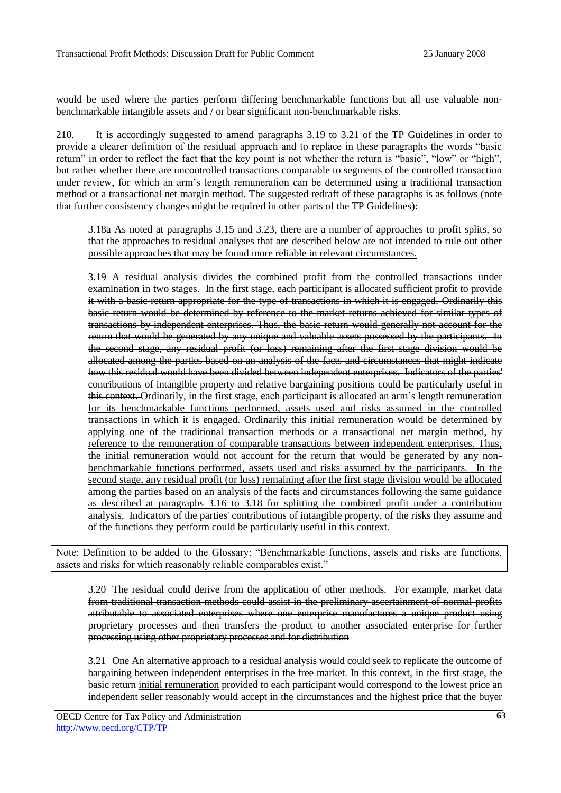would be used where the parties perform differing benchmarkable functions but all use valuable nonbenchmarkable intangible assets and / or bear significant non-benchmarkable risks.

210. It is accordingly suggested to amend paragraphs 3.19 to 3.21 of the TP Guidelines in order to provide a clearer definition of the residual approach and to replace in these paragraphs the words "basic return" in order to reflect the fact that the key point is not whether the return is "basic", "low" or "high", but rather whether there are uncontrolled transactions comparable to segments of the controlled transaction under review, for which an arm's length remuneration can be determined using a traditional transaction method or a transactional net margin method. The suggested redraft of these paragraphs is as follows (note that further consistency changes might be required in other parts of the TP Guidelines):

3.18a As noted at paragraphs 3.15 and 3.23, there are a number of approaches to profit splits, so that the approaches to residual analyses that are described below are not intended to rule out other possible approaches that may be found more reliable in relevant circumstances.

3.19 A residual analysis divides the combined profit from the controlled transactions under examination in two stages. In the first stage, each participant is allocated sufficient profit to provide it with a basic return appropriate for the type of transactions in which it is engaged. Ordinarily this basic return would be determined by reference to the market returns achieved for similar types of transactions by independent enterprises. Thus, the basic return would generally not account for the return that would be generated by any unique and valuable assets possessed by the participants. In the second stage, any residual profit (or loss) remaining after the first stage division would be allocated among the parties based on an analysis of the facts and circumstances that might indicate how this residual would have been divided between independent enterprises. Indicators of the parties' contributions of intangible property and relative bargaining positions could be particularly useful in this context. Ordinarily, in the first stage, each participant is allocated an arm's length remuneration for its benchmarkable functions performed, assets used and risks assumed in the controlled transactions in which it is engaged. Ordinarily this initial remuneration would be determined by applying one of the traditional transaction methods or a transactional net margin method, by reference to the remuneration of comparable transactions between independent enterprises. Thus, the initial remuneration would not account for the return that would be generated by any nonbenchmarkable functions performed, assets used and risks assumed by the participants. In the second stage, any residual profit (or loss) remaining after the first stage division would be allocated among the parties based on an analysis of the facts and circumstances following the same guidance as described at paragraphs 3.16 to 3.18 for splitting the combined profit under a contribution analysis. Indicators of the parties' contributions of intangible property, of the risks they assume and of the functions they perform could be particularly useful in this context.

Note: Definition to be added to the Glossary: "Benchmarkable functions, assets and risks are functions, assets and risks for which reasonably reliable comparables exist."

3.20 The residual could derive from the application of other methods. For example, market data from traditional transaction methods could assist in the preliminary ascertainment of normal profits attributable to associated enterprises where one enterprise manufactures a unique product using proprietary processes and then transfers the product to another associated enterprise for further processing using other proprietary processes and for distribution

3.21 One An alternative approach to a residual analysis would could seek to replicate the outcome of bargaining between independent enterprises in the free market. In this context, in the first stage, the basic return initial remuneration provided to each participant would correspond to the lowest price an independent seller reasonably would accept in the circumstances and the highest price that the buyer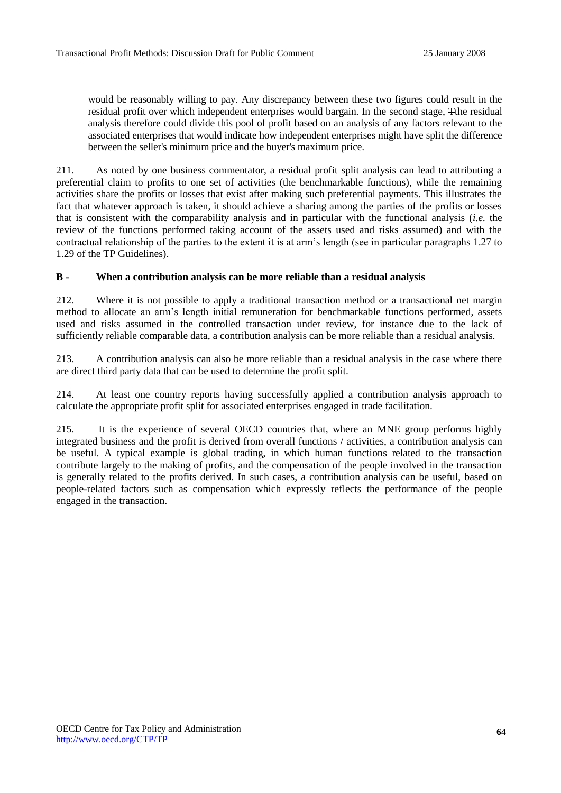would be reasonably willing to pay. Any discrepancy between these two figures could result in the residual profit over which independent enterprises would bargain. In the second stage, Tthe residual analysis therefore could divide this pool of profit based on an analysis of any factors relevant to the associated enterprises that would indicate how independent enterprises might have split the difference between the seller's minimum price and the buyer's maximum price.

211. As noted by one business commentator, a residual profit split analysis can lead to attributing a preferential claim to profits to one set of activities (the benchmarkable functions), while the remaining activities share the profits or losses that exist after making such preferential payments. This illustrates the fact that whatever approach is taken, it should achieve a sharing among the parties of the profits or losses that is consistent with the comparability analysis and in particular with the functional analysis (*i.e.* the review of the functions performed taking account of the assets used and risks assumed) and with the contractual relationship of the parties to the extent it is at arm's length (see in particular paragraphs 1.27 to 1.29 of the TP Guidelines).

# **B - When a contribution analysis can be more reliable than a residual analysis**

212. Where it is not possible to apply a traditional transaction method or a transactional net margin method to allocate an arm's length initial remuneration for benchmarkable functions performed, assets used and risks assumed in the controlled transaction under review, for instance due to the lack of sufficiently reliable comparable data, a contribution analysis can be more reliable than a residual analysis.

213. A contribution analysis can also be more reliable than a residual analysis in the case where there are direct third party data that can be used to determine the profit split.

214. At least one country reports having successfully applied a contribution analysis approach to calculate the appropriate profit split for associated enterprises engaged in trade facilitation.

215. It is the experience of several OECD countries that, where an MNE group performs highly integrated business and the profit is derived from overall functions / activities, a contribution analysis can be useful. A typical example is global trading, in which human functions related to the transaction contribute largely to the making of profits, and the compensation of the people involved in the transaction is generally related to the profits derived. In such cases, a contribution analysis can be useful, based on people-related factors such as compensation which expressly reflects the performance of the people engaged in the transaction.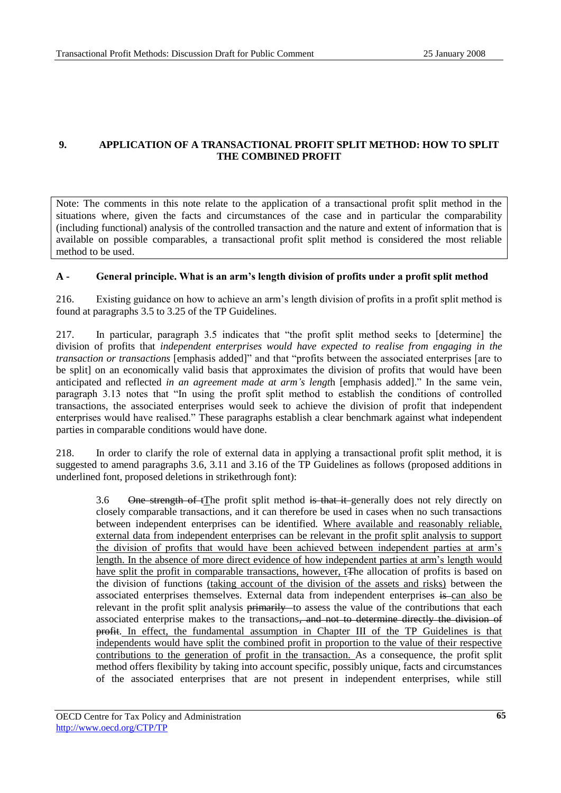# **9. APPLICATION OF A TRANSACTIONAL PROFIT SPLIT METHOD: HOW TO SPLIT THE COMBINED PROFIT**

Note: The comments in this note relate to the application of a transactional profit split method in the situations where, given the facts and circumstances of the case and in particular the comparability (including functional) analysis of the controlled transaction and the nature and extent of information that is available on possible comparables, a transactional profit split method is considered the most reliable method to be used.

# **A - General principle. What is an arm's length division of profits under a profit split method**

216. Existing guidance on how to achieve an arm's length division of profits in a profit split method is found at paragraphs 3.5 to 3.25 of the TP Guidelines.

217. In particular, paragraph 3.5 indicates that "the profit split method seeks to [determine] the division of profits that *independent enterprises would have expected to realise from engaging in the transaction or transactions* [emphasis added]" and that "profits between the associated enterprises [are to be split] on an economically valid basis that approximates the division of profits that would have been anticipated and reflected *in an agreement made at arm's lengt*h [emphasis added]." In the same vein, paragraph 3.13 notes that "In using the profit split method to establish the conditions of controlled transactions, the associated enterprises would seek to achieve the division of profit that independent enterprises would have realised." These paragraphs establish a clear benchmark against what independent parties in comparable conditions would have done.

218. In order to clarify the role of external data in applying a transactional profit split method, it is suggested to amend paragraphs 3.6, 3.11 and 3.16 of the TP Guidelines as follows (proposed additions in underlined font, proposed deletions in strikethrough font):

3.6 One strength of tThe profit split method is that it generally does not rely directly on closely comparable transactions, and it can therefore be used in cases when no such transactions between independent enterprises can be identified. Where available and reasonably reliable, external data from independent enterprises can be relevant in the profit split analysis to support the division of profits that would have been achieved between independent parties at arm's length. In the absence of more direct evidence of how independent parties at arm's length would have split the profit in comparable transactions, however, t<sub>The allocation</sub> of profits is based on the division of functions (taking account of the division of the assets and risks) between the associated enterprises themselves. External data from independent enterprises is can also be relevant in the profit split analysis primarily to assess the value of the contributions that each associated enterprise makes to the transactions, and not to determine directly the division of profit. In effect, the fundamental assumption in Chapter III of the TP Guidelines is that independents would have split the combined profit in proportion to the value of their respective contributions to the generation of profit in the transaction. As a consequence, the profit split method offers flexibility by taking into account specific, possibly unique, facts and circumstances of the associated enterprises that are not present in independent enterprises, while still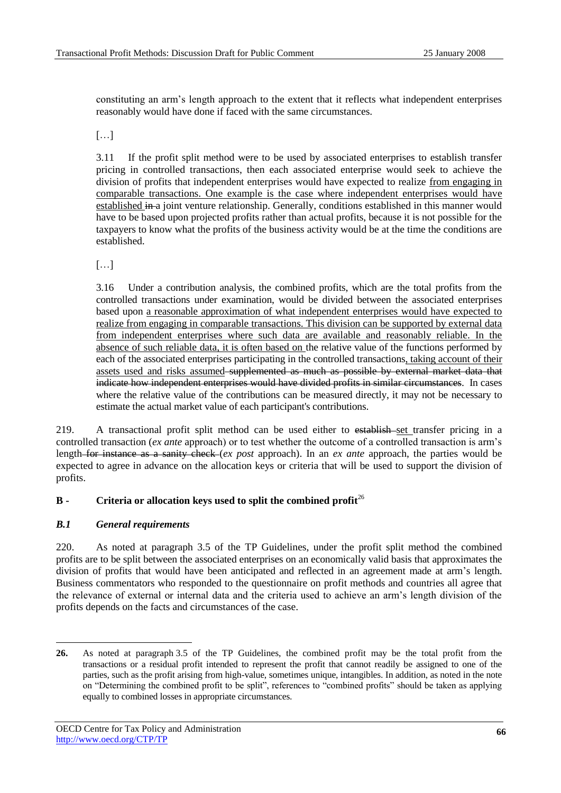constituting an arm's length approach to the extent that it reflects what independent enterprises reasonably would have done if faced with the same circumstances.

 $[...]$ 

3.11 If the profit split method were to be used by associated enterprises to establish transfer pricing in controlled transactions, then each associated enterprise would seek to achieve the division of profits that independent enterprises would have expected to realize from engaging in comparable transactions. One example is the case where independent enterprises would have established in a joint venture relationship. Generally, conditions established in this manner would have to be based upon projected profits rather than actual profits, because it is not possible for the taxpayers to know what the profits of the business activity would be at the time the conditions are established.

 $\Box$ 

3.16 Under a contribution analysis, the combined profits, which are the total profits from the controlled transactions under examination, would be divided between the associated enterprises based upon a reasonable approximation of what independent enterprises would have expected to realize from engaging in comparable transactions. This division can be supported by external data from independent enterprises where such data are available and reasonably reliable. In the absence of such reliable data, it is often based on the relative value of the functions performed by each of the associated enterprises participating in the controlled transactions, taking account of their assets used and risks assumed supplemented as much as possible by external market data that indicate how independent enterprises would have divided profits in similar circumstances. In cases where the relative value of the contributions can be measured directly, it may not be necessary to estimate the actual market value of each participant's contributions.

219. A transactional profit split method can be used either to establish set transfer pricing in a controlled transaction (*ex ante* approach) or to test whether the outcome of a controlled transaction is arm's length for instance as a sanity check (*ex post* approach). In an *ex ante* approach, the parties would be expected to agree in advance on the allocation keys or criteria that will be used to support the division of profits.

# **B** - **Criteria or allocation keys used to split the combined profit<sup>26</sup>**

## *B.1 General requirements*

l

220. As noted at paragraph 3.5 of the TP Guidelines, under the profit split method the combined profits are to be split between the associated enterprises on an economically valid basis that approximates the division of profits that would have been anticipated and reflected in an agreement made at arm's length. Business commentators who responded to the questionnaire on profit methods and countries all agree that the relevance of external or internal data and the criteria used to achieve an arm's length division of the profits depends on the facts and circumstances of the case.

**<sup>26.</sup>** As noted at paragraph 3.5 of the TP Guidelines, the combined profit may be the total profit from the transactions or a residual profit intended to represent the profit that cannot readily be assigned to one of the parties, such as the profit arising from high-value, sometimes unique, intangibles. In addition, as noted in the note on "Determining the combined profit to be split", references to "combined profits" should be taken as applying equally to combined losses in appropriate circumstances.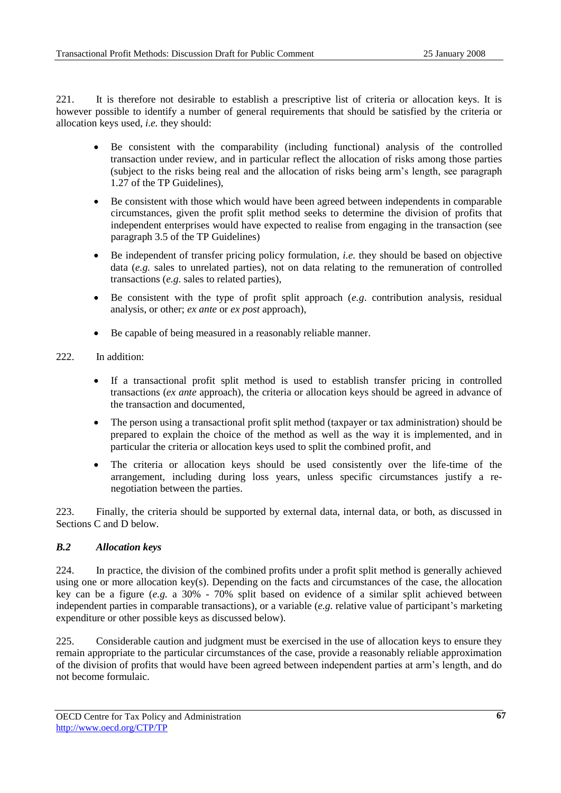221. It is therefore not desirable to establish a prescriptive list of criteria or allocation keys. It is however possible to identify a number of general requirements that should be satisfied by the criteria or allocation keys used, *i.e.* they should:

- Be consistent with the comparability (including functional) analysis of the controlled transaction under review, and in particular reflect the allocation of risks among those parties (subject to the risks being real and the allocation of risks being arm's length, see paragraph 1.27 of the TP Guidelines),
- Be consistent with those which would have been agreed between independents in comparable circumstances, given the profit split method seeks to determine the division of profits that independent enterprises would have expected to realise from engaging in the transaction (see paragraph 3.5 of the TP Guidelines)
- Be independent of transfer pricing policy formulation, *i.e.* they should be based on objective data (*e.g.* sales to unrelated parties), not on data relating to the remuneration of controlled transactions (*e.g.* sales to related parties),
- Be consistent with the type of profit split approach (*e.g*. contribution analysis, residual analysis, or other; *ex ante* or *ex post* approach),
- Be capable of being measured in a reasonably reliable manner.
- 222. In addition:
	- If a transactional profit split method is used to establish transfer pricing in controlled transactions (*ex ante* approach), the criteria or allocation keys should be agreed in advance of the transaction and documented,
	- The person using a transactional profit split method (taxpayer or tax administration) should be prepared to explain the choice of the method as well as the way it is implemented, and in particular the criteria or allocation keys used to split the combined profit, and
	- The criteria or allocation keys should be used consistently over the life-time of the arrangement, including during loss years, unless specific circumstances justify a renegotiation between the parties.

223. Finally, the criteria should be supported by external data, internal data, or both, as discussed in Sections C and D below.

# *B.2 Allocation keys*

224. In practice, the division of the combined profits under a profit split method is generally achieved using one or more allocation key(s). Depending on the facts and circumstances of the case, the allocation key can be a figure (*e.g.* a 30% - 70% split based on evidence of a similar split achieved between independent parties in comparable transactions), or a variable (*e.g.* relative value of participant's marketing expenditure or other possible keys as discussed below).

225. Considerable caution and judgment must be exercised in the use of allocation keys to ensure they remain appropriate to the particular circumstances of the case, provide a reasonably reliable approximation of the division of profits that would have been agreed between independent parties at arm's length, and do not become formulaic.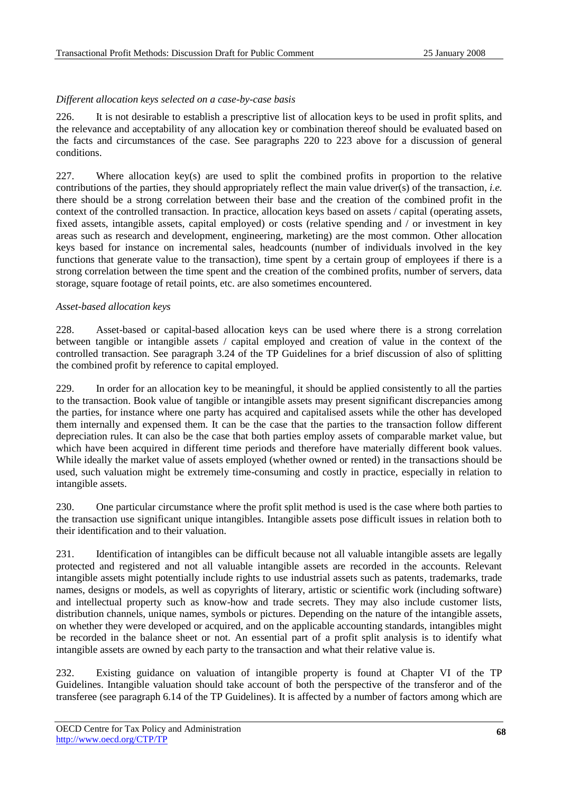# *Different allocation keys selected on a case-by-case basis*

226. It is not desirable to establish a prescriptive list of allocation keys to be used in profit splits, and the relevance and acceptability of any allocation key or combination thereof should be evaluated based on the facts and circumstances of the case. See paragraphs 220 to 223 above for a discussion of general conditions.

227. Where allocation key(s) are used to split the combined profits in proportion to the relative contributions of the parties, they should appropriately reflect the main value driver(s) of the transaction, *i.e.* there should be a strong correlation between their base and the creation of the combined profit in the context of the controlled transaction. In practice, allocation keys based on assets / capital (operating assets, fixed assets, intangible assets, capital employed) or costs (relative spending and / or investment in key areas such as research and development, engineering, marketing) are the most common. Other allocation keys based for instance on incremental sales, headcounts (number of individuals involved in the key functions that generate value to the transaction), time spent by a certain group of employees if there is a strong correlation between the time spent and the creation of the combined profits, number of servers, data storage, square footage of retail points, etc. are also sometimes encountered.

## *Asset-based allocation keys*

228. Asset-based or capital-based allocation keys can be used where there is a strong correlation between tangible or intangible assets / capital employed and creation of value in the context of the controlled transaction. See paragraph 3.24 of the TP Guidelines for a brief discussion of also of splitting the combined profit by reference to capital employed.

229. In order for an allocation key to be meaningful, it should be applied consistently to all the parties to the transaction. Book value of tangible or intangible assets may present significant discrepancies among the parties, for instance where one party has acquired and capitalised assets while the other has developed them internally and expensed them. It can be the case that the parties to the transaction follow different depreciation rules. It can also be the case that both parties employ assets of comparable market value, but which have been acquired in different time periods and therefore have materially different book values. While ideally the market value of assets employed (whether owned or rented) in the transactions should be used, such valuation might be extremely time-consuming and costly in practice, especially in relation to intangible assets.

230. One particular circumstance where the profit split method is used is the case where both parties to the transaction use significant unique intangibles. Intangible assets pose difficult issues in relation both to their identification and to their valuation.

231. Identification of intangibles can be difficult because not all valuable intangible assets are legally protected and registered and not all valuable intangible assets are recorded in the accounts. Relevant intangible assets might potentially include rights to use industrial assets such as patents, trademarks, trade names, designs or models, as well as copyrights of literary, artistic or scientific work (including software) and intellectual property such as know-how and trade secrets. They may also include customer lists, distribution channels, unique names, symbols or pictures. Depending on the nature of the intangible assets, on whether they were developed or acquired, and on the applicable accounting standards, intangibles might be recorded in the balance sheet or not. An essential part of a profit split analysis is to identify what intangible assets are owned by each party to the transaction and what their relative value is.

232. Existing guidance on valuation of intangible property is found at Chapter VI of the TP Guidelines. Intangible valuation should take account of both the perspective of the transferor and of the transferee (see paragraph 6.14 of the TP Guidelines). It is affected by a number of factors among which are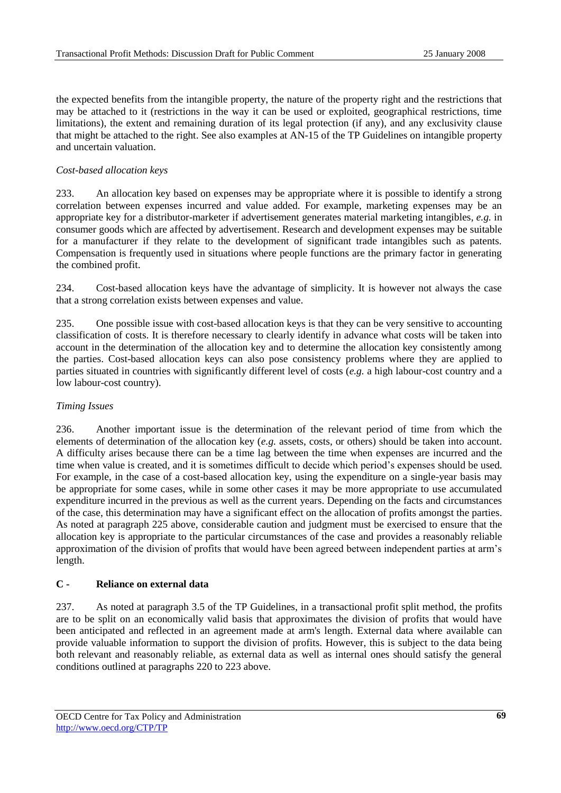the expected benefits from the intangible property, the nature of the property right and the restrictions that may be attached to it (restrictions in the way it can be used or exploited, geographical restrictions, time limitations), the extent and remaining duration of its legal protection (if any), and any exclusivity clause that might be attached to the right. See also examples at AN-15 of the TP Guidelines on intangible property and uncertain valuation.

# *Cost-based allocation keys*

233. An allocation key based on expenses may be appropriate where it is possible to identify a strong correlation between expenses incurred and value added. For example, marketing expenses may be an appropriate key for a distributor-marketer if advertisement generates material marketing intangibles, *e.g.* in consumer goods which are affected by advertisement. Research and development expenses may be suitable for a manufacturer if they relate to the development of significant trade intangibles such as patents. Compensation is frequently used in situations where people functions are the primary factor in generating the combined profit.

234. Cost-based allocation keys have the advantage of simplicity. It is however not always the case that a strong correlation exists between expenses and value.

235. One possible issue with cost-based allocation keys is that they can be very sensitive to accounting classification of costs. It is therefore necessary to clearly identify in advance what costs will be taken into account in the determination of the allocation key and to determine the allocation key consistently among the parties. Cost-based allocation keys can also pose consistency problems where they are applied to parties situated in countries with significantly different level of costs (*e.g.* a high labour-cost country and a low labour-cost country).

## *Timing Issues*

236. Another important issue is the determination of the relevant period of time from which the elements of determination of the allocation key (*e.g.* assets, costs, or others) should be taken into account. A difficulty arises because there can be a time lag between the time when expenses are incurred and the time when value is created, and it is sometimes difficult to decide which period's expenses should be used. For example, in the case of a cost-based allocation key, using the expenditure on a single-year basis may be appropriate for some cases, while in some other cases it may be more appropriate to use accumulated expenditure incurred in the previous as well as the current years. Depending on the facts and circumstances of the case, this determination may have a significant effect on the allocation of profits amongst the parties. As noted at paragraph 225 above, considerable caution and judgment must be exercised to ensure that the allocation key is appropriate to the particular circumstances of the case and provides a reasonably reliable approximation of the division of profits that would have been agreed between independent parties at arm's length.

## **C - Reliance on external data**

237. As noted at paragraph 3.5 of the TP Guidelines, in a transactional profit split method, the profits are to be split on an economically valid basis that approximates the division of profits that would have been anticipated and reflected in an agreement made at arm's length. External data where available can provide valuable information to support the division of profits. However, this is subject to the data being both relevant and reasonably reliable, as external data as well as internal ones should satisfy the general conditions outlined at paragraphs 220 to 223 above.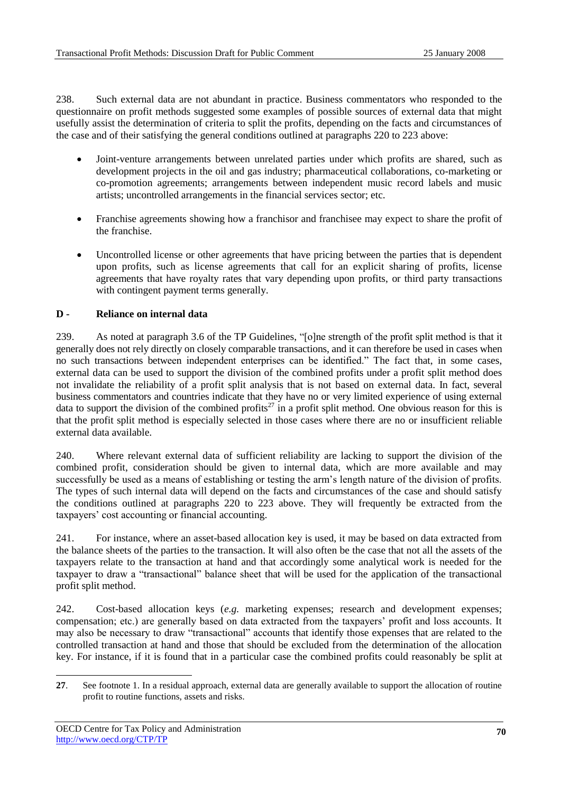238. Such external data are not abundant in practice. Business commentators who responded to the questionnaire on profit methods suggested some examples of possible sources of external data that might usefully assist the determination of criteria to split the profits, depending on the facts and circumstances of the case and of their satisfying the general conditions outlined at paragraphs 220 to 223 above:

- Joint-venture arrangements between unrelated parties under which profits are shared, such as development projects in the oil and gas industry; pharmaceutical collaborations, co-marketing or co-promotion agreements; arrangements between independent music record labels and music artists; uncontrolled arrangements in the financial services sector; etc.
- Franchise agreements showing how a franchisor and franchisee may expect to share the profit of the franchise.
- Uncontrolled license or other agreements that have pricing between the parties that is dependent upon profits, such as license agreements that call for an explicit sharing of profits, license agreements that have royalty rates that vary depending upon profits, or third party transactions with contingent payment terms generally.

# **D - Reliance on internal data**

239. As noted at paragraph 3.6 of the TP Guidelines, "[o]ne strength of the profit split method is that it generally does not rely directly on closely comparable transactions, and it can therefore be used in cases when no such transactions between independent enterprises can be identified." The fact that, in some cases, external data can be used to support the division of the combined profits under a profit split method does not invalidate the reliability of a profit split analysis that is not based on external data. In fact, several business commentators and countries indicate that they have no or very limited experience of using external data to support the division of the combined profits<sup>27</sup> in a profit split method. One obvious reason for this is that the profit split method is especially selected in those cases where there are no or insufficient reliable external data available.

240. Where relevant external data of sufficient reliability are lacking to support the division of the combined profit, consideration should be given to internal data, which are more available and may successfully be used as a means of establishing or testing the arm's length nature of the division of profits. The types of such internal data will depend on the facts and circumstances of the case and should satisfy the conditions outlined at paragraphs 220 to 223 above. They will frequently be extracted from the taxpayers' cost accounting or financial accounting.

241. For instance, where an asset-based allocation key is used, it may be based on data extracted from the balance sheets of the parties to the transaction. It will also often be the case that not all the assets of the taxpayers relate to the transaction at hand and that accordingly some analytical work is needed for the taxpayer to draw a "transactional" balance sheet that will be used for the application of the transactional profit split method.

242. Cost-based allocation keys (*e.g.* marketing expenses; research and development expenses; compensation; etc.) are generally based on data extracted from the taxpayers' profit and loss accounts. It may also be necessary to draw "transactional" accounts that identify those expenses that are related to the controlled transaction at hand and those that should be excluded from the determination of the allocation key. For instance, if it is found that in a particular case the combined profits could reasonably be split at

l **27**. See footnote 1. In a residual approach, external data are generally available to support the allocation of routine profit to routine functions, assets and risks.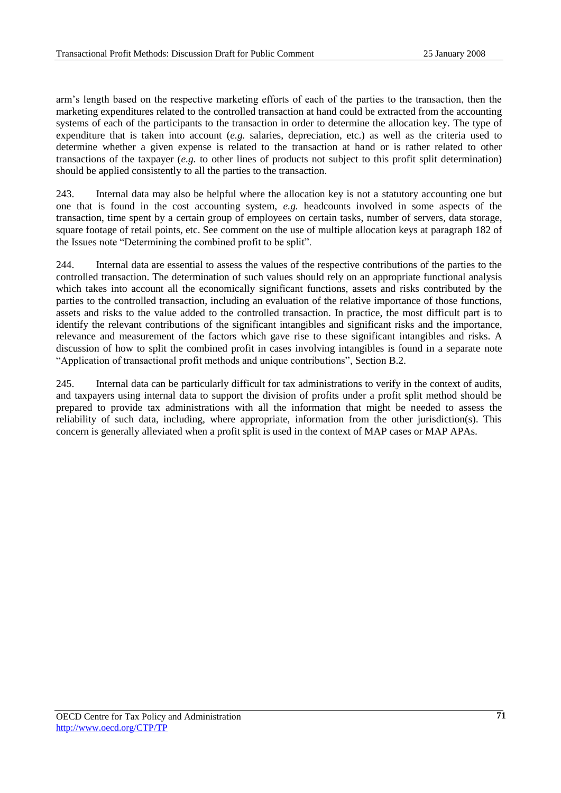arm's length based on the respective marketing efforts of each of the parties to the transaction, then the marketing expenditures related to the controlled transaction at hand could be extracted from the accounting systems of each of the participants to the transaction in order to determine the allocation key. The type of expenditure that is taken into account (*e.g.* salaries, depreciation, etc.) as well as the criteria used to determine whether a given expense is related to the transaction at hand or is rather related to other transactions of the taxpayer (*e.g.* to other lines of products not subject to this profit split determination) should be applied consistently to all the parties to the transaction.

243. Internal data may also be helpful where the allocation key is not a statutory accounting one but one that is found in the cost accounting system, *e.g.* headcounts involved in some aspects of the transaction, time spent by a certain group of employees on certain tasks, number of servers, data storage, square footage of retail points, etc. See comment on the use of multiple allocation keys at paragraph 182 of the Issues note "Determining the combined profit to be split".

244. Internal data are essential to assess the values of the respective contributions of the parties to the controlled transaction. The determination of such values should rely on an appropriate functional analysis which takes into account all the economically significant functions, assets and risks contributed by the parties to the controlled transaction, including an evaluation of the relative importance of those functions, assets and risks to the value added to the controlled transaction. In practice, the most difficult part is to identify the relevant contributions of the significant intangibles and significant risks and the importance, relevance and measurement of the factors which gave rise to these significant intangibles and risks. A discussion of how to split the combined profit in cases involving intangibles is found in a separate note "Application of transactional profit methods and unique contributions", Section B.2.

245. Internal data can be particularly difficult for tax administrations to verify in the context of audits, and taxpayers using internal data to support the division of profits under a profit split method should be prepared to provide tax administrations with all the information that might be needed to assess the reliability of such data, including, where appropriate, information from the other jurisdiction(s). This concern is generally alleviated when a profit split is used in the context of MAP cases or MAP APAs.